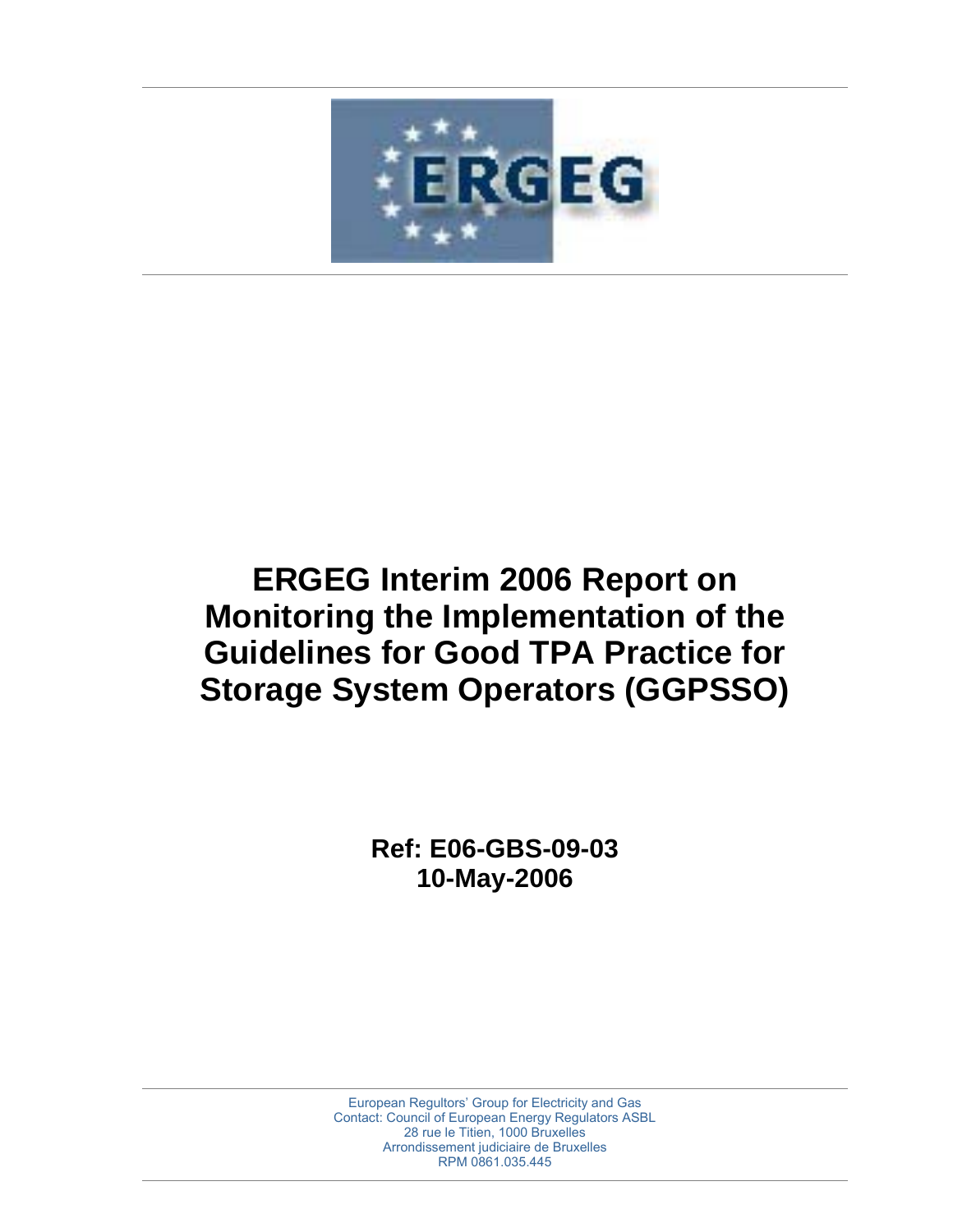

# **ERGEG Interim 2006 Report on Monitoring the Implementation of the Guidelines for Good TPA Practice for Storage System Operators (GGPSSO)**

**Ref: E06-GBS-09-03 10-May-2006**

European Regultors' Group for Electricity and Gas Contact: Council of European Energy Regulators ASBL 28 rue le Titien, 1000 Bruxelles Arrondissement judiciaire de Bruxelles RPM 0861.035.445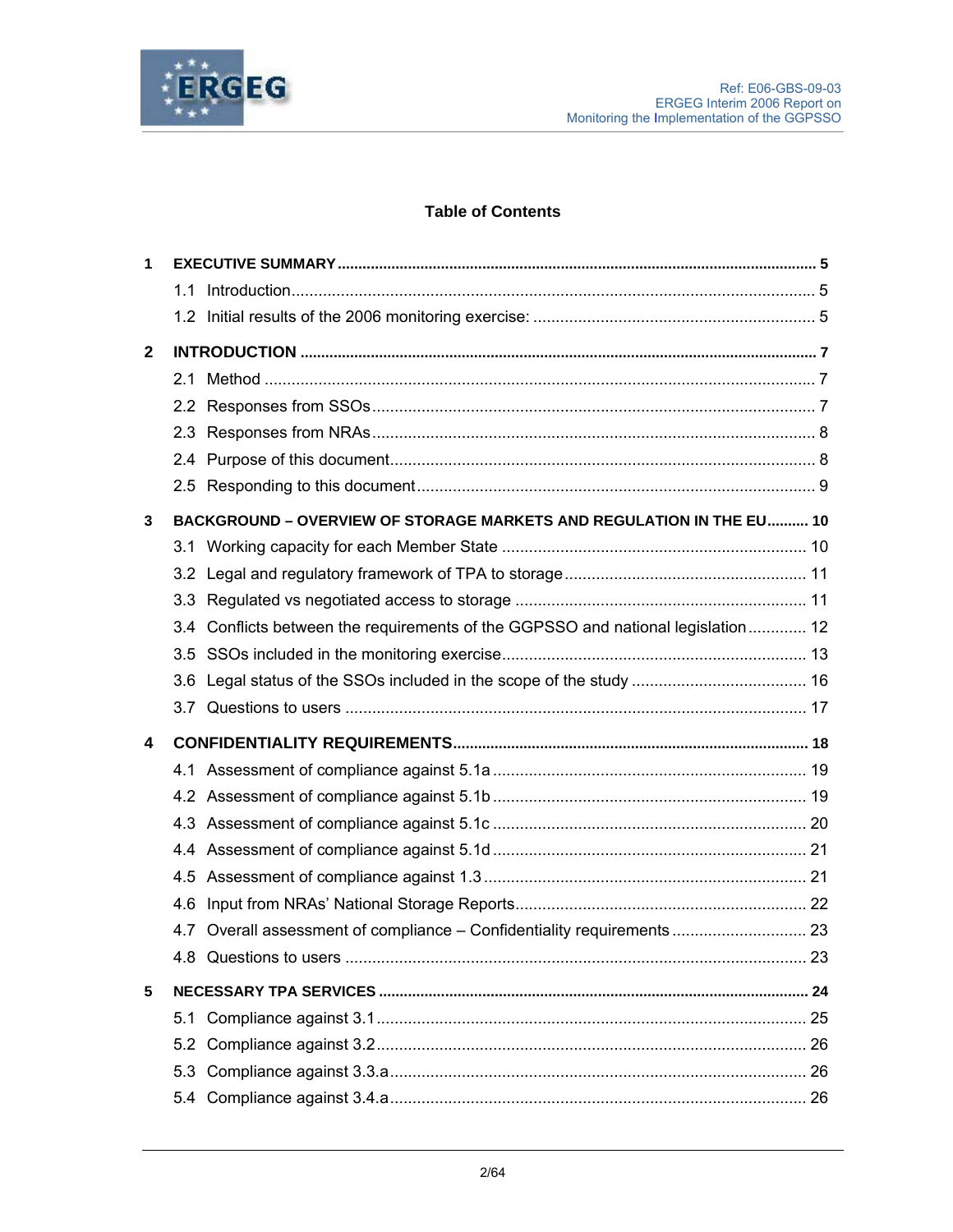

# **Table of Contents**

| 1            |                                                                                  |  |
|--------------|----------------------------------------------------------------------------------|--|
|              |                                                                                  |  |
|              |                                                                                  |  |
| $\mathbf{2}$ |                                                                                  |  |
|              |                                                                                  |  |
|              |                                                                                  |  |
|              |                                                                                  |  |
|              |                                                                                  |  |
|              |                                                                                  |  |
| 3            | BACKGROUND - OVERVIEW OF STORAGE MARKETS AND REGULATION IN THE EU 10             |  |
|              |                                                                                  |  |
|              |                                                                                  |  |
|              |                                                                                  |  |
|              | 3.4 Conflicts between the requirements of the GGPSSO and national legislation 12 |  |
|              |                                                                                  |  |
|              |                                                                                  |  |
|              |                                                                                  |  |
| 4            |                                                                                  |  |
|              |                                                                                  |  |
|              |                                                                                  |  |
|              |                                                                                  |  |
|              |                                                                                  |  |
|              |                                                                                  |  |
|              |                                                                                  |  |
|              | 4.7 Overall assessment of compliance – Confidentiality requirements  23          |  |
|              |                                                                                  |  |
| 5            |                                                                                  |  |
|              |                                                                                  |  |
|              |                                                                                  |  |
|              |                                                                                  |  |
|              |                                                                                  |  |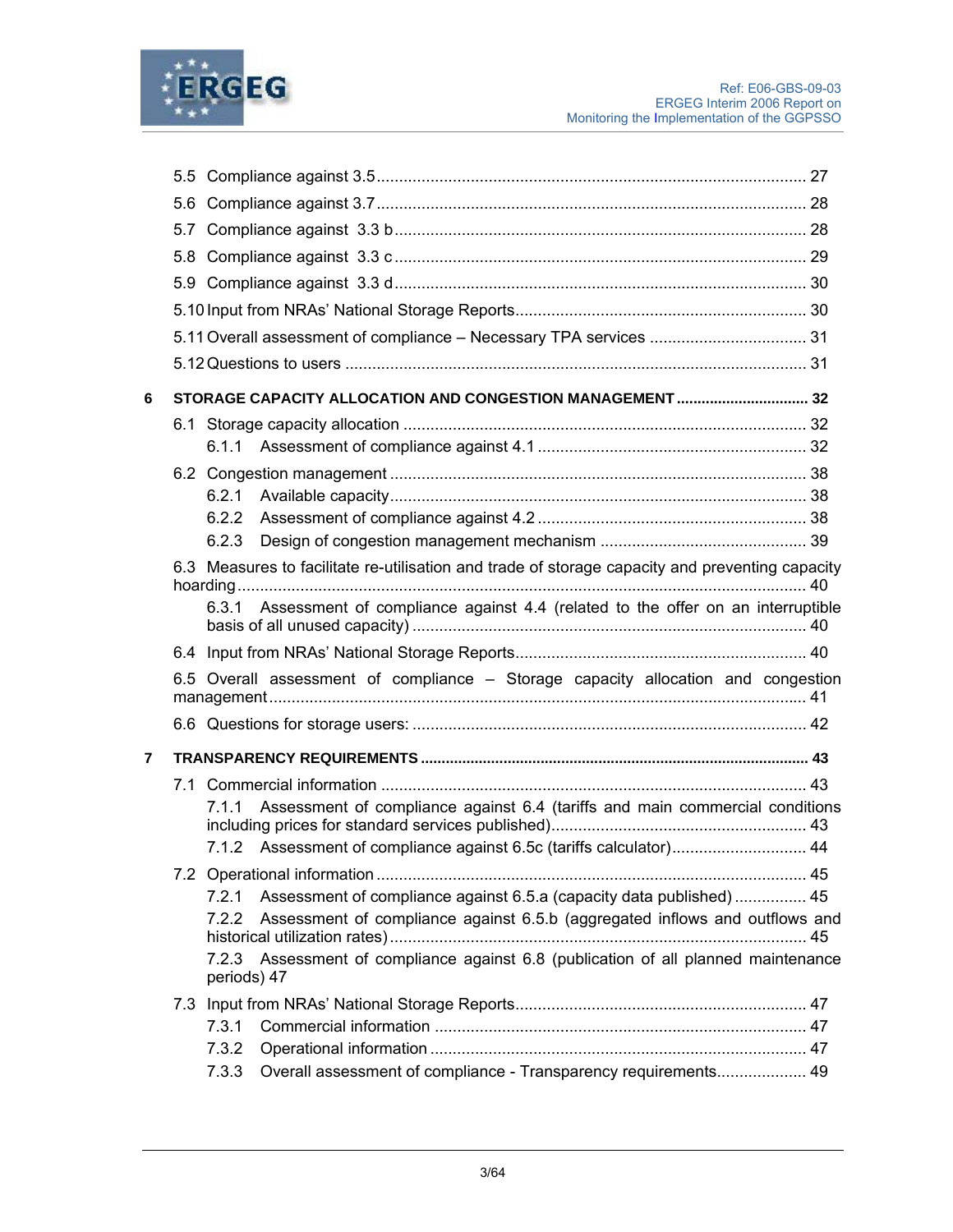

|   | 5.6 |                                                                                                   |  |
|---|-----|---------------------------------------------------------------------------------------------------|--|
|   |     |                                                                                                   |  |
|   |     |                                                                                                   |  |
|   | 5.9 |                                                                                                   |  |
|   |     |                                                                                                   |  |
|   |     | 5.11 Overall assessment of compliance - Necessary TPA services  31                                |  |
|   |     |                                                                                                   |  |
| 6 |     | STORAGE CAPACITY ALLOCATION AND CONGESTION MANAGEMENT  32                                         |  |
|   |     |                                                                                                   |  |
|   |     |                                                                                                   |  |
|   |     |                                                                                                   |  |
|   |     | 6.2.1                                                                                             |  |
|   |     | 6.2.2                                                                                             |  |
|   |     | 6.2.3                                                                                             |  |
|   |     | 6.3 Measures to facilitate re-utilisation and trade of storage capacity and preventing capacity   |  |
|   |     | 6.3.1 Assessment of compliance against 4.4 (related to the offer on an interruptible              |  |
|   |     |                                                                                                   |  |
|   |     | 6.5 Overall assessment of compliance - Storage capacity allocation and congestion                 |  |
|   |     |                                                                                                   |  |
| 7 |     |                                                                                                   |  |
|   |     |                                                                                                   |  |
|   |     | Assessment of compliance against 6.4 (tariffs and main commercial conditions<br>7.1.1             |  |
|   |     | 7.1.2 Assessment of compliance against 6.5c (tariffs calculator) 44                               |  |
|   |     |                                                                                                   |  |
|   |     |                                                                                                   |  |
|   |     | Assessment of compliance against 6.5.a (capacity data published)  45<br>7.2.1                     |  |
|   |     | Assessment of compliance against 6.5.b (aggregated inflows and outflows and<br>7.2.2              |  |
|   |     | 7.2.3 Assessment of compliance against 6.8 (publication of all planned maintenance<br>periods) 47 |  |
|   |     |                                                                                                   |  |
|   |     | 7.3.1                                                                                             |  |
|   |     | 7.3.2<br>Overall assessment of compliance - Transparency requirements 49<br>7.3.3                 |  |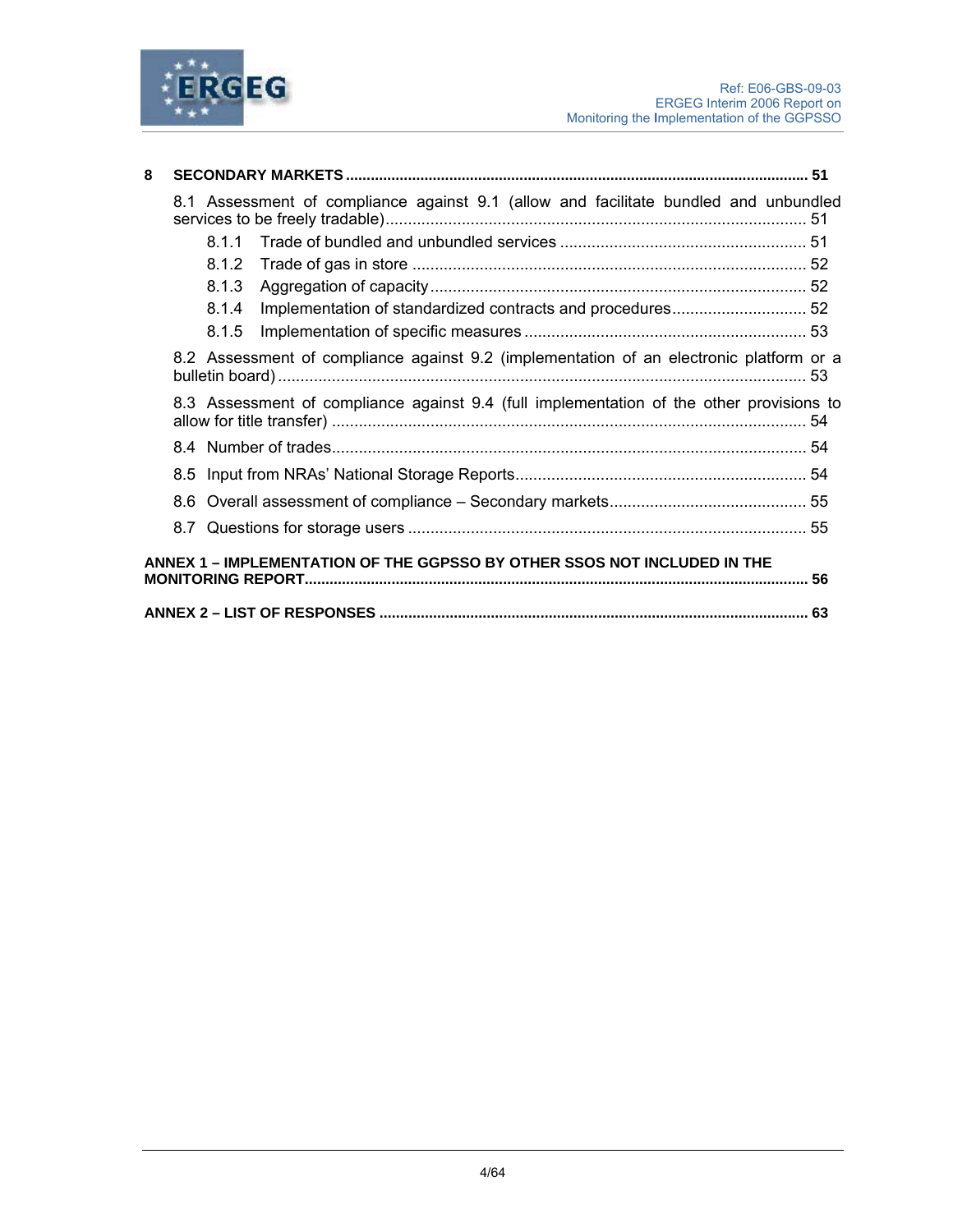

| 8 |                                                                          |       |                                                                                          |  |  |  |  |
|---|--------------------------------------------------------------------------|-------|------------------------------------------------------------------------------------------|--|--|--|--|
|   |                                                                          |       | 8.1 Assessment of compliance against 9.1 (allow and facilitate bundled and unbundled     |  |  |  |  |
|   |                                                                          | 8.1.1 |                                                                                          |  |  |  |  |
|   |                                                                          | 8.1.2 |                                                                                          |  |  |  |  |
|   |                                                                          | 8.1.3 |                                                                                          |  |  |  |  |
|   |                                                                          | 8.1.4 |                                                                                          |  |  |  |  |
|   |                                                                          | 8.1.5 |                                                                                          |  |  |  |  |
|   |                                                                          |       | 8.2 Assessment of compliance against 9.2 (implementation of an electronic platform or a  |  |  |  |  |
|   |                                                                          |       | 8.3 Assessment of compliance against 9.4 (full implementation of the other provisions to |  |  |  |  |
|   |                                                                          |       |                                                                                          |  |  |  |  |
|   |                                                                          |       |                                                                                          |  |  |  |  |
|   |                                                                          |       |                                                                                          |  |  |  |  |
|   |                                                                          |       |                                                                                          |  |  |  |  |
|   | ANNEX 1 - IMPLEMENTATION OF THE GGPSSO BY OTHER SSOS NOT INCLUDED IN THE |       |                                                                                          |  |  |  |  |
|   |                                                                          |       |                                                                                          |  |  |  |  |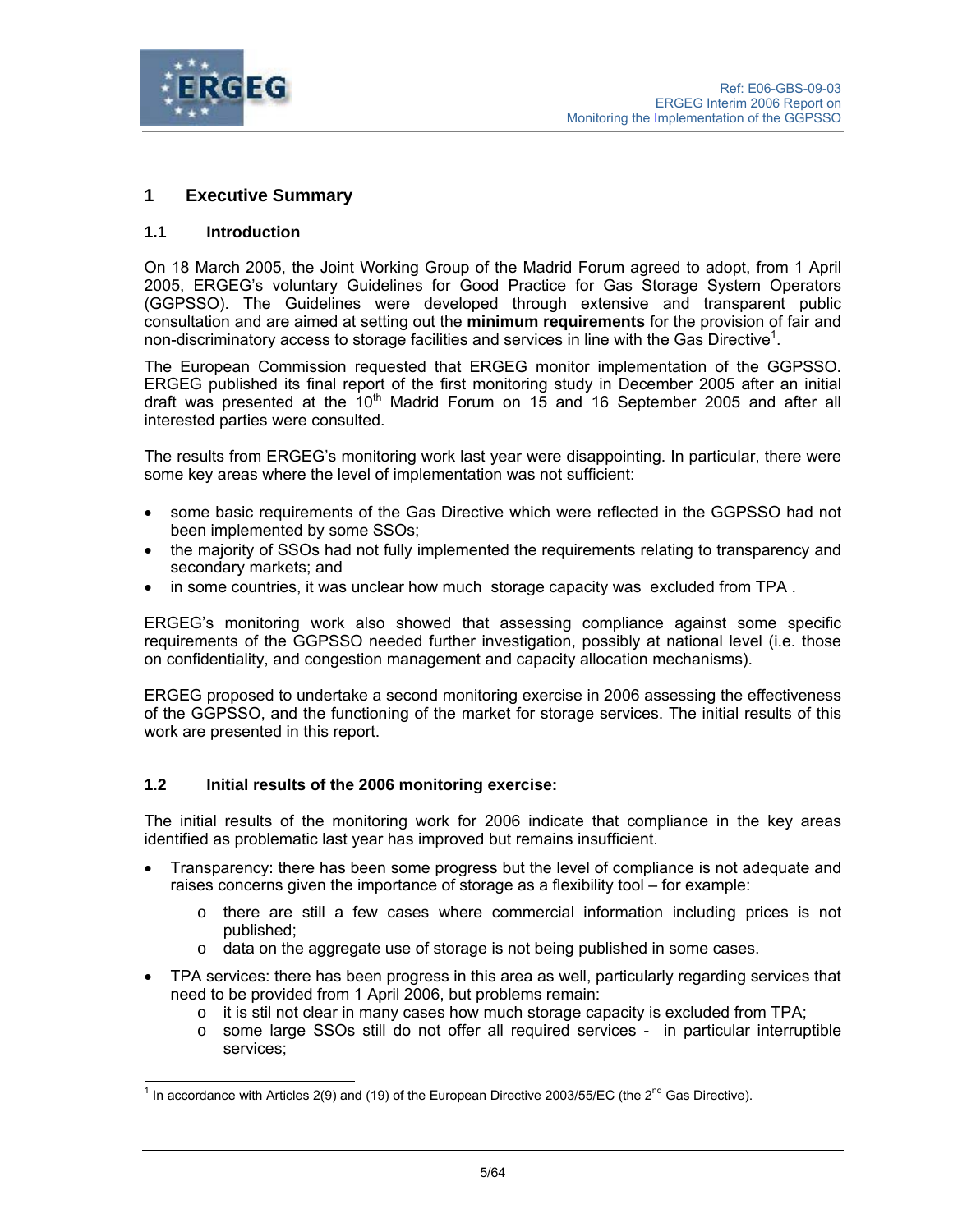

# **1 Executive Summary**

## **1.1 Introduction**

On 18 March 2005, the Joint Working Group of the Madrid Forum agreed to adopt, from 1 April 2005, ERGEG's voluntary Guidelines for Good Practice for Gas Storage System Operators (GGPSSO). The Guidelines were developed through extensive and transparent public consultation and are aimed at setting out the **minimum requirements** for the provision of fair and non-discriminatory access to storage facilities and services in line with the Gas Directive<sup>1</sup>.

The European Commission requested that ERGEG monitor implementation of the GGPSSO. ERGEG published its final report of the first monitoring study in December 2005 after an initial draft was presented at the  $10<sup>th</sup>$  Madrid Forum on 15 and 16 September 2005 and after all interested parties were consulted.

The results from ERGEG's monitoring work last year were disappointing. In particular, there were some key areas where the level of implementation was not sufficient:

- some basic requirements of the Gas Directive which were reflected in the GGPSSO had not been implemented by some SSOs;
- the majority of SSOs had not fully implemented the requirements relating to transparency and secondary markets; and
- in some countries, it was unclear how much storage capacity was excluded from TPA.

ERGEG's monitoring work also showed that assessing compliance against some specific requirements of the GGPSSO needed further investigation, possibly at national level (i.e. those on confidentiality, and congestion management and capacity allocation mechanisms).

ERGEG proposed to undertake a second monitoring exercise in 2006 assessing the effectiveness of the GGPSSO, and the functioning of the market for storage services. The initial results of this work are presented in this report.

#### **1.2 Initial results of the 2006 monitoring exercise:**

The initial results of the monitoring work for 2006 indicate that compliance in the key areas identified as problematic last year has improved but remains insufficient.

- Transparency: there has been some progress but the level of compliance is not adequate and raises concerns given the importance of storage as a flexibility tool – for example:
	- $\circ$  there are still a few cases where commercial information including prices is not published;
	- $\circ$  data on the aggregate use of storage is not being published in some cases.
- TPA services: there has been progress in this area as well, particularly regarding services that need to be provided from 1 April 2006, but problems remain:
	- $\circ$  it is stil not clear in many cases how much storage capacity is excluded from TPA;
	- o some large SSOs still do not offer all required services in particular interruptible services;

 $\frac{1}{1}$  In accordance with Articles 2(9) and (19) of the European Directive 2003/55/EC (the 2<sup>nd</sup> Gas Directive).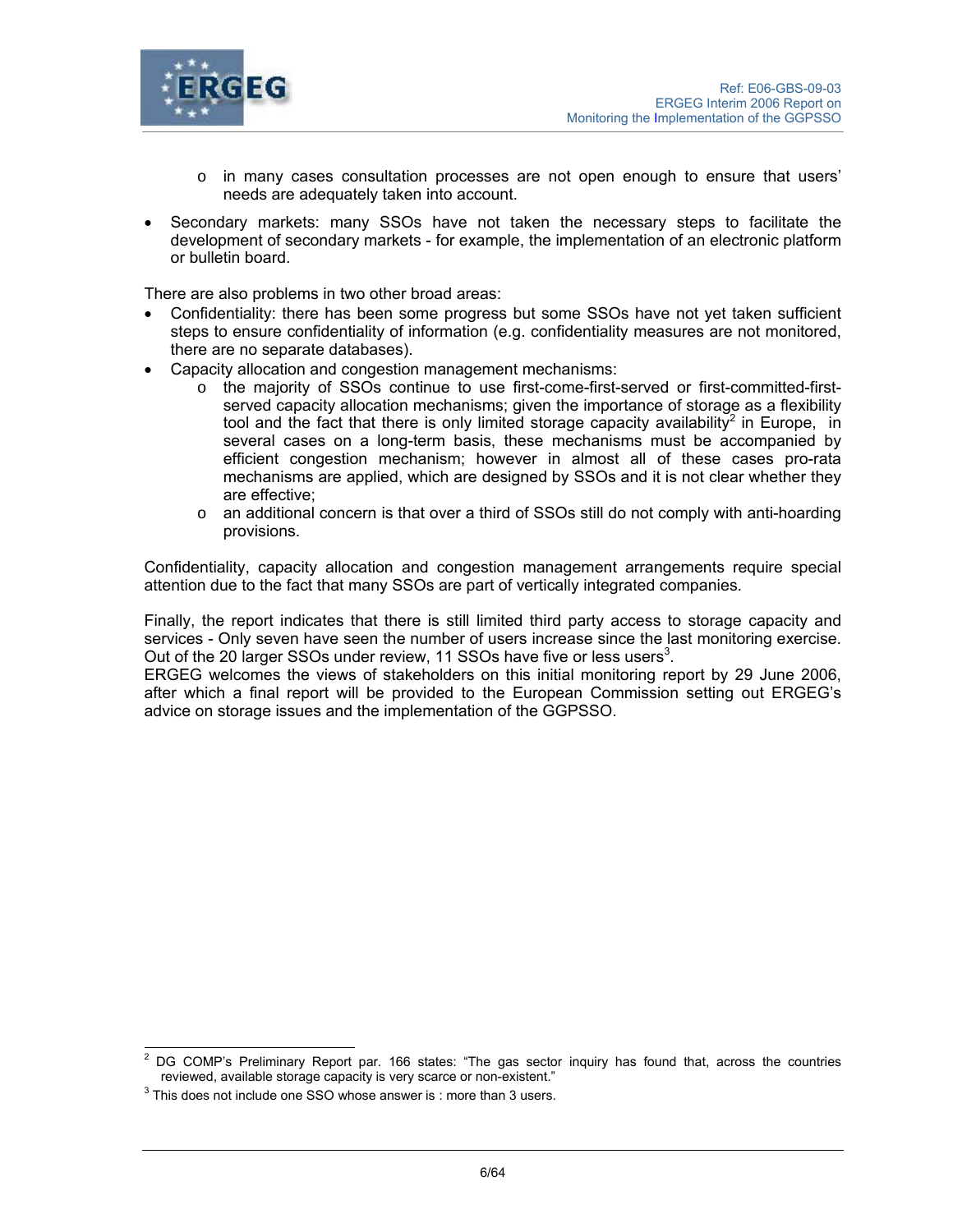

- $\circ$  in many cases consultation processes are not open enough to ensure that users' needs are adequately taken into account.
- Secondary markets: many SSOs have not taken the necessary steps to facilitate the development of secondary markets - for example, the implementation of an electronic platform or bulletin board.

There are also problems in two other broad areas:

- Confidentiality: there has been some progress but some SSOs have not yet taken sufficient steps to ensure confidentiality of information (e.g. confidentiality measures are not monitored, there are no separate databases).
- Capacity allocation and congestion management mechanisms:
	- o the majority of SSOs continue to use first-come-first-served or first-committed-firstserved capacity allocation mechanisms; given the importance of storage as a flexibility tool and the fact that there is only limited storage capacity availability<sup>2</sup> in Europe, in several cases on a long-term basis, these mechanisms must be accompanied by efficient congestion mechanism; however in almost all of these cases pro-rata mechanisms are applied, which are designed by SSOs and it is not clear whether they are effective;
	- $\circ$  an additional concern is that over a third of SSOs still do not comply with anti-hoarding provisions.

Confidentiality, capacity allocation and congestion management arrangements require special attention due to the fact that many SSOs are part of vertically integrated companies.

Finally, the report indicates that there is still limited third party access to storage capacity and services - Only seven have seen the number of users increase since the last monitoring exercise. Out of the 20 larger SSOs under review, 11 SSOs have five or less users<sup>3</sup>.

ERGEG welcomes the views of stakeholders on this initial monitoring report by 29 June 2006, after which a final report will be provided to the European Commission setting out ERGEG's advice on storage issues and the implementation of the GGPSSO.

 $\overline{a}$ 2 DG COMP's Preliminary Report par. 166 states: "The gas sector inquiry has found that, across the countries reviewed, available storage capacity is very scarce or non-existent." 3

 $3$  This does not include one SSO whose answer is : more than 3 users.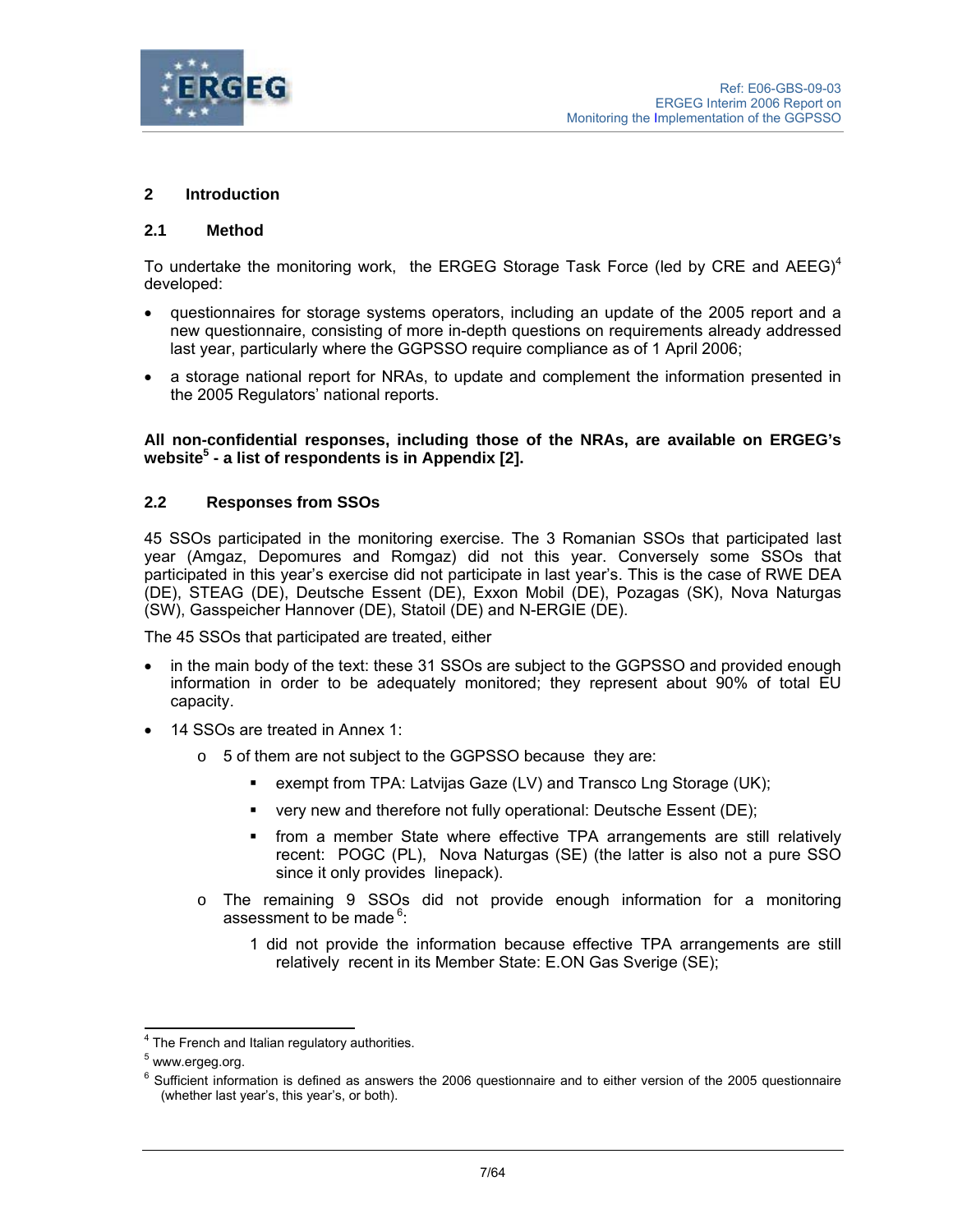

## **2 Introduction**

#### **2.1 Method**

To undertake the monitoring work, the ERGEG Storage Task Force (led by CRE and AEEG)<sup>4</sup> developed:

- questionnaires for storage systems operators, including an update of the 2005 report and a new questionnaire, consisting of more in-depth questions on requirements already addressed last year, particularly where the GGPSSO require compliance as of 1 April 2006;
- a storage national report for NRAs, to update and complement the information presented in the 2005 Regulators' national reports.

#### **All non-confidential responses, including those of the NRAs, are available on ERGEG's**  website<sup>5</sup> - a list of respondents is in Appendix [2].

## **2.2 Responses from SSOs**

45 SSOs participated in the monitoring exercise. The 3 Romanian SSOs that participated last year (Amgaz, Depomures and Romgaz) did not this year. Conversely some SSOs that participated in this year's exercise did not participate in last year's. This is the case of RWE DEA (DE), STEAG (DE), Deutsche Essent (DE), Exxon Mobil (DE), Pozagas (SK), Nova Naturgas (SW), Gasspeicher Hannover (DE), Statoil (DE) and N-ERGIE (DE).

The 45 SSOs that participated are treated, either

- in the main body of the text: these 31 SSOs are subject to the GGPSSO and provided enough information in order to be adequately monitored; they represent about 90% of total EU capacity.
- 14 SSOs are treated in Annex 1:
	- o 5 of them are not subject to the GGPSSO because they are:
		- **EXEMPLE FRA**: Latvijas Gaze (LV) and Transco Lng Storage (UK);
		- very new and therefore not fully operational: Deutsche Essent (DE);
		- from a member State where effective TPA arrangements are still relatively recent: POGC (PL), Nova Naturgas (SE) (the latter is also not a pure SSO since it only provides linepack).
	- $\circ$  The remaining 9 SSOs did not provide enough information for a monitoring assessment to be made  $6$ :
		- 1 did not provide the information because effective TPA arrangements are still relatively recent in its Member State: E.ON Gas Sverige (SE);

 4 The French and Italian regulatory authorities.

<sup>&</sup>lt;sup>5</sup> www.ergeg.org.

<sup>&</sup>lt;sup>6</sup> Sufficient information is defined as answers the 2006 questionnaire and to either version of the 2005 questionnaire (whether last year's, this year's, or both).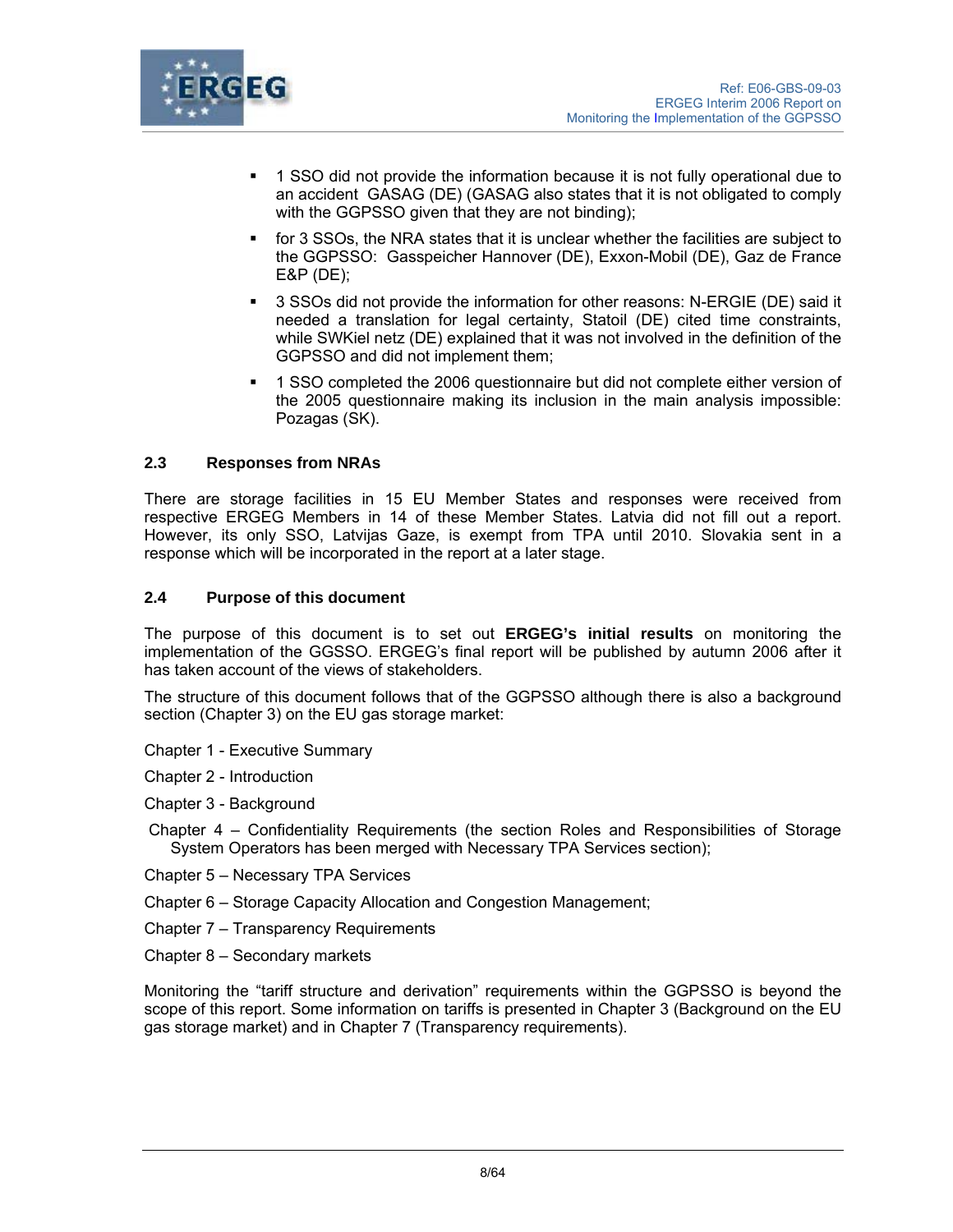

- 1 SSO did not provide the information because it is not fully operational due to an accident GASAG (DE) (GASAG also states that it is not obligated to comply with the GGPSSO given that they are not binding);
- for 3 SSOs, the NRA states that it is unclear whether the facilities are subject to the GGPSSO: Gasspeicher Hannover (DE), Exxon-Mobil (DE), Gaz de France E&P (DE);
- 3 SSOs did not provide the information for other reasons: N-ERGIE (DE) said it needed a translation for legal certainty, Statoil (DE) cited time constraints, while SWKiel netz (DE) explained that it was not involved in the definition of the GGPSSO and did not implement them;
- 1 SSO completed the 2006 questionnaire but did not complete either version of the 2005 questionnaire making its inclusion in the main analysis impossible: Pozagas (SK).

## **2.3 Responses from NRAs**

There are storage facilities in 15 EU Member States and responses were received from respective ERGEG Members in 14 of these Member States. Latvia did not fill out a report. However, its only SSO, Latvijas Gaze, is exempt from TPA until 2010. Slovakia sent in a response which will be incorporated in the report at a later stage.

## **2.4 Purpose of this document**

The purpose of this document is to set out **ERGEG's initial results** on monitoring the implementation of the GGSSO. ERGEG's final report will be published by autumn 2006 after it has taken account of the views of stakeholders.

The structure of this document follows that of the GGPSSO although there is also a background section (Chapter 3) on the EU gas storage market:

- Chapter 1 Executive Summary
- Chapter 2 Introduction
- Chapter 3 Background
- Chapter 4 Confidentiality Requirements (the section Roles and Responsibilities of Storage System Operators has been merged with Necessary TPA Services section);
- Chapter 5 Necessary TPA Services
- Chapter 6 Storage Capacity Allocation and Congestion Management;
- Chapter 7 Transparency Requirements
- Chapter 8 Secondary markets

Monitoring the "tariff structure and derivation" requirements within the GGPSSO is beyond the scope of this report. Some information on tariffs is presented in Chapter 3 (Background on the EU gas storage market) and in Chapter 7 (Transparency requirements).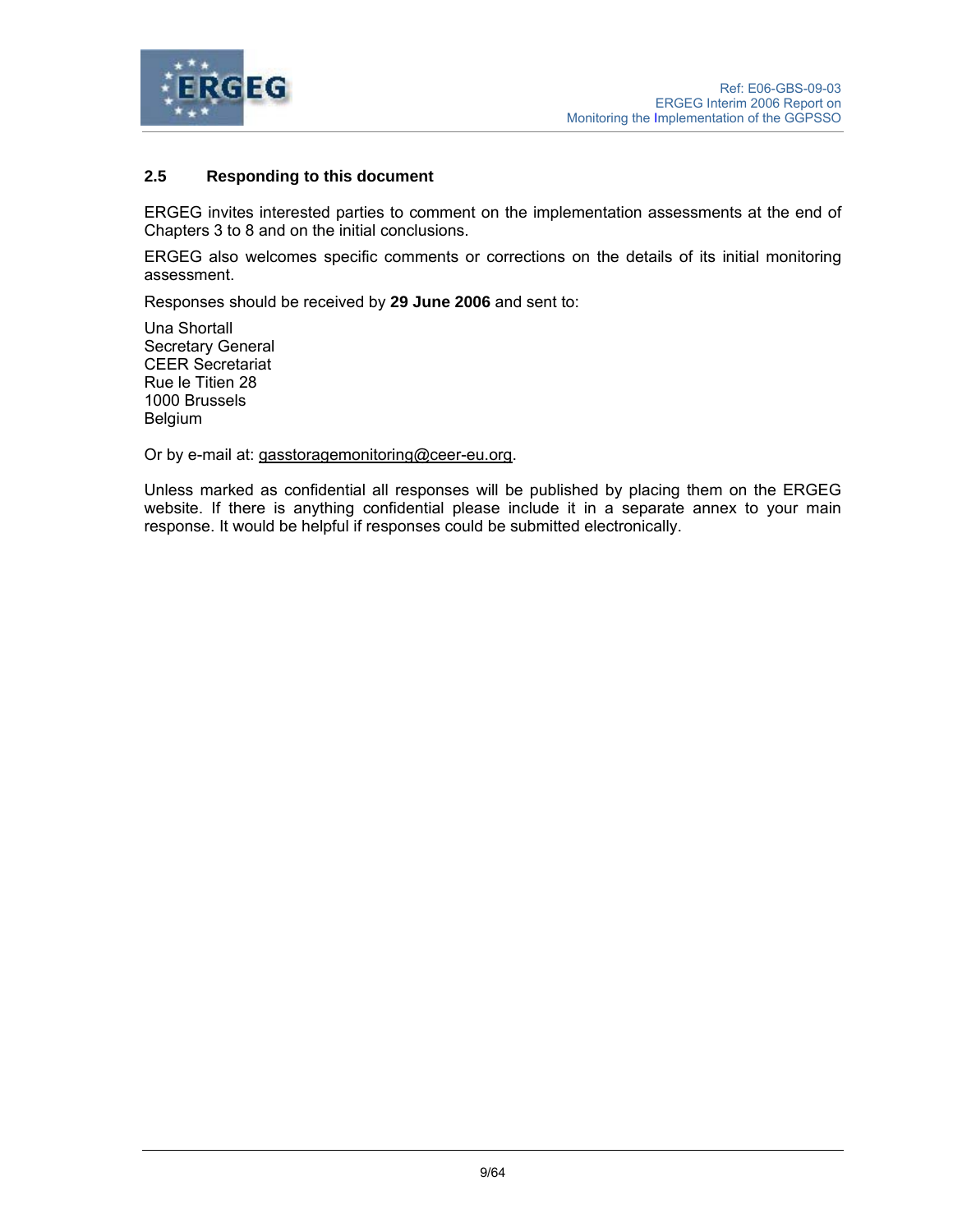

## **2.5 Responding to this document**

ERGEG invites interested parties to comment on the implementation assessments at the end of Chapters 3 to 8 and on the initial conclusions.

ERGEG also welcomes specific comments or corrections on the details of its initial monitoring assessment.

Responses should be received by **29 June 2006** and sent to:

Una Shortall Secretary General CEER Secretariat Rue le Titien 28 1000 Brussels Belgium

Or by e-mail at: gasstoragemonitoring@ceer-eu.org.

Unless marked as confidential all responses will be published by placing them on the ERGEG website. If there is anything confidential please include it in a separate annex to your main response. It would be helpful if responses could be submitted electronically.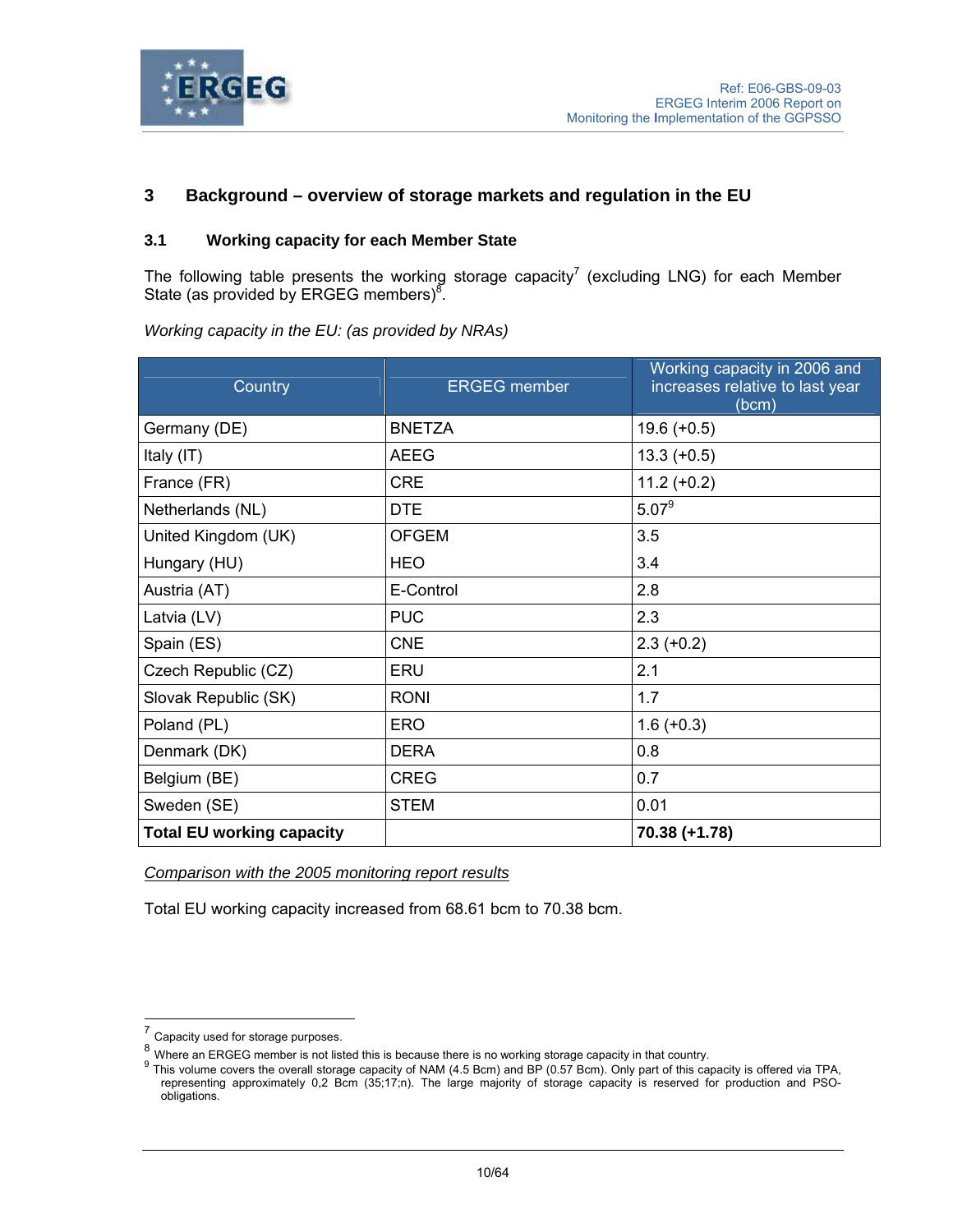

# **3 Background – overview of storage markets and regulation in the EU**

# **3.1 Working capacity for each Member State**

The following table presents the working storage capacity<sup>7</sup> (excluding LNG) for each Member State (as provided by ERGEG members)<sup>8</sup>.

| Country                          | <b>ERGEG</b> member | Working capacity in 2006 and<br>increases relative to last year<br>(bcm) |
|----------------------------------|---------------------|--------------------------------------------------------------------------|
| Germany (DE)                     | <b>BNETZA</b>       | $19.6 (+0.5)$                                                            |
| Italy (IT)                       | <b>AEEG</b>         | $13.3 (+0.5)$                                                            |
| France (FR)                      | <b>CRE</b>          | $11.2 (+0.2)$                                                            |
| Netherlands (NL)                 | <b>DTE</b>          | $5.07^9$                                                                 |
| United Kingdom (UK)              | <b>OFGEM</b>        | 3.5                                                                      |
| Hungary (HU)                     | <b>HEO</b>          | 3.4                                                                      |
| Austria (AT)                     | E-Control           | 2.8                                                                      |
| Latvia (LV)                      | <b>PUC</b>          | 2.3                                                                      |
| Spain (ES)                       | <b>CNE</b>          | $2.3 (+0.2)$                                                             |
| Czech Republic (CZ)              | ERU                 | 2.1                                                                      |
| Slovak Republic (SK)             | <b>RONI</b>         | 1.7                                                                      |
| Poland (PL)                      | <b>ERO</b>          | $1.6 (+0.3)$                                                             |
| Denmark (DK)                     | <b>DERA</b>         | 0.8                                                                      |
| Belgium (BE)                     | <b>CREG</b>         | 0.7                                                                      |
| Sweden (SE)                      | <b>STEM</b>         | 0.01                                                                     |
| <b>Total EU working capacity</b> |                     | 70.38 (+1.78)                                                            |

*Working capacity in the EU: (as provided by NRAs)* 

*Comparison with the 2005 monitoring report results*

Total EU working capacity increased from 68.61 bcm to 70.38 bcm.

l

 $7$  Capacity used for storage purposes.

<sup>8&</sup>lt;br>Where an ERGEG member is not listed this is because there is no working storage capacity in that country.<br><sup>9</sup> This volume covers the overall storage capacity of NAM (4.5 Bcm) and BP (0.57 Bcm). Only part of this capacity representing approximately 0,2 Bcm (35;17;n). The large majority of storage capacity is reserved for production and PSOobligations.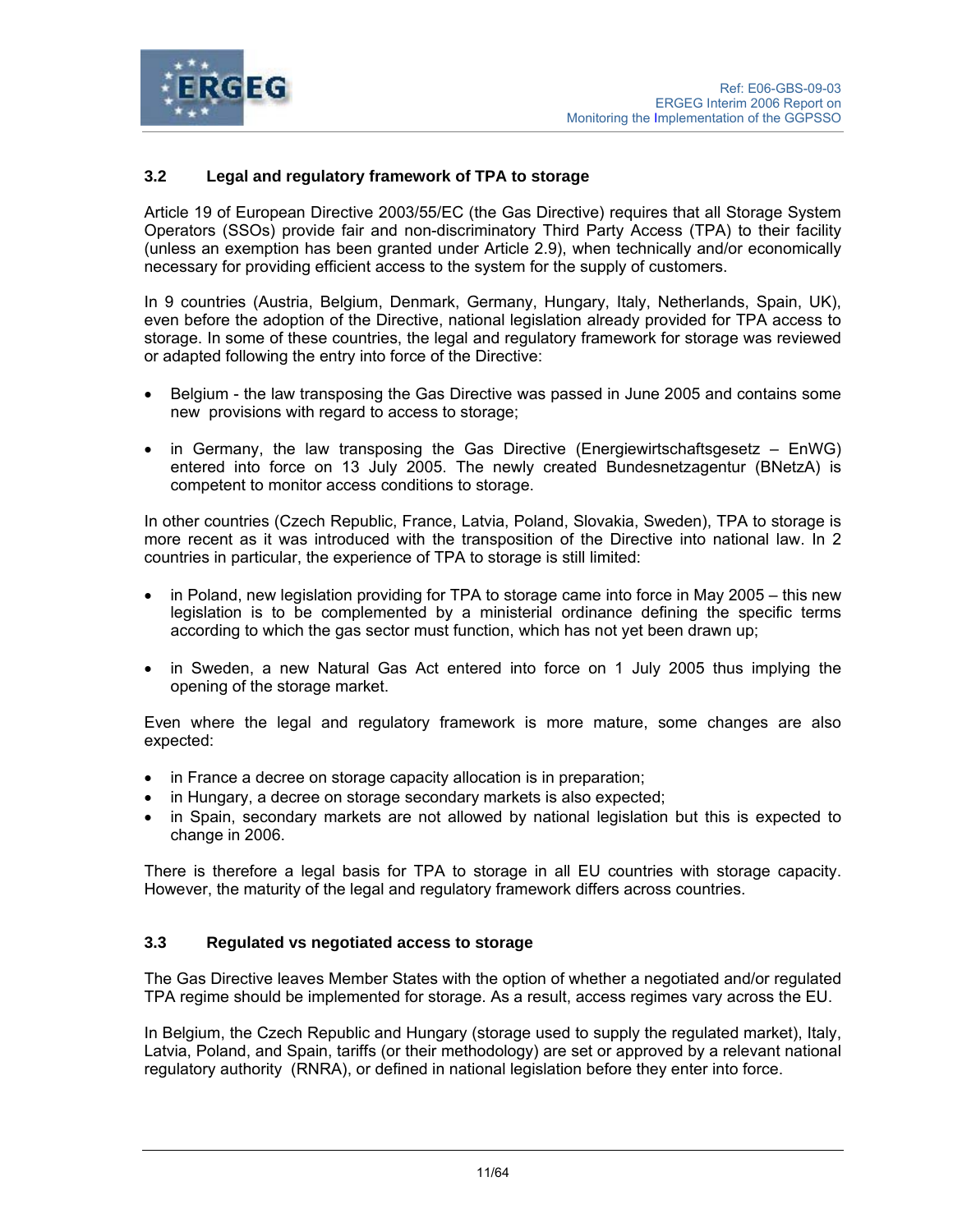

# **3.2 Legal and regulatory framework of TPA to storage**

Article 19 of European Directive 2003/55/EC (the Gas Directive) requires that all Storage System Operators (SSOs) provide fair and non-discriminatory Third Party Access (TPA) to their facility (unless an exemption has been granted under Article 2.9), when technically and/or economically necessary for providing efficient access to the system for the supply of customers.

In 9 countries (Austria, Belgium, Denmark, Germany, Hungary, Italy, Netherlands, Spain, UK), even before the adoption of the Directive, national legislation already provided for TPA access to storage. In some of these countries, the legal and regulatory framework for storage was reviewed or adapted following the entry into force of the Directive:

- Belgium the law transposing the Gas Directive was passed in June 2005 and contains some new provisions with regard to access to storage;
- in Germany, the law transposing the Gas Directive (Energiewirtschaftsgesetz EnWG) entered into force on 13 July 2005. The newly created Bundesnetzagentur (BNetzA) is competent to monitor access conditions to storage.

In other countries (Czech Republic, France, Latvia, Poland, Slovakia, Sweden), TPA to storage is more recent as it was introduced with the transposition of the Directive into national law. In 2 countries in particular, the experience of TPA to storage is still limited:

- in Poland, new legislation providing for TPA to storage came into force in May 2005 this new legislation is to be complemented by a ministerial ordinance defining the specific terms according to which the gas sector must function, which has not yet been drawn up;
- in Sweden, a new Natural Gas Act entered into force on 1 July 2005 thus implying the opening of the storage market.

Even where the legal and regulatory framework is more mature, some changes are also expected:

- in France a decree on storage capacity allocation is in preparation;
- in Hungary, a decree on storage secondary markets is also expected;
- in Spain, secondary markets are not allowed by national legislation but this is expected to change in 2006.

There is therefore a legal basis for TPA to storage in all EU countries with storage capacity. However, the maturity of the legal and regulatory framework differs across countries.

## **3.3 Regulated vs negotiated access to storage**

The Gas Directive leaves Member States with the option of whether a negotiated and/or regulated TPA regime should be implemented for storage. As a result, access regimes vary across the EU.

In Belgium, the Czech Republic and Hungary (storage used to supply the regulated market), Italy, Latvia, Poland, and Spain, tariffs (or their methodology) are set or approved by a relevant national regulatory authority (RNRA), or defined in national legislation before they enter into force.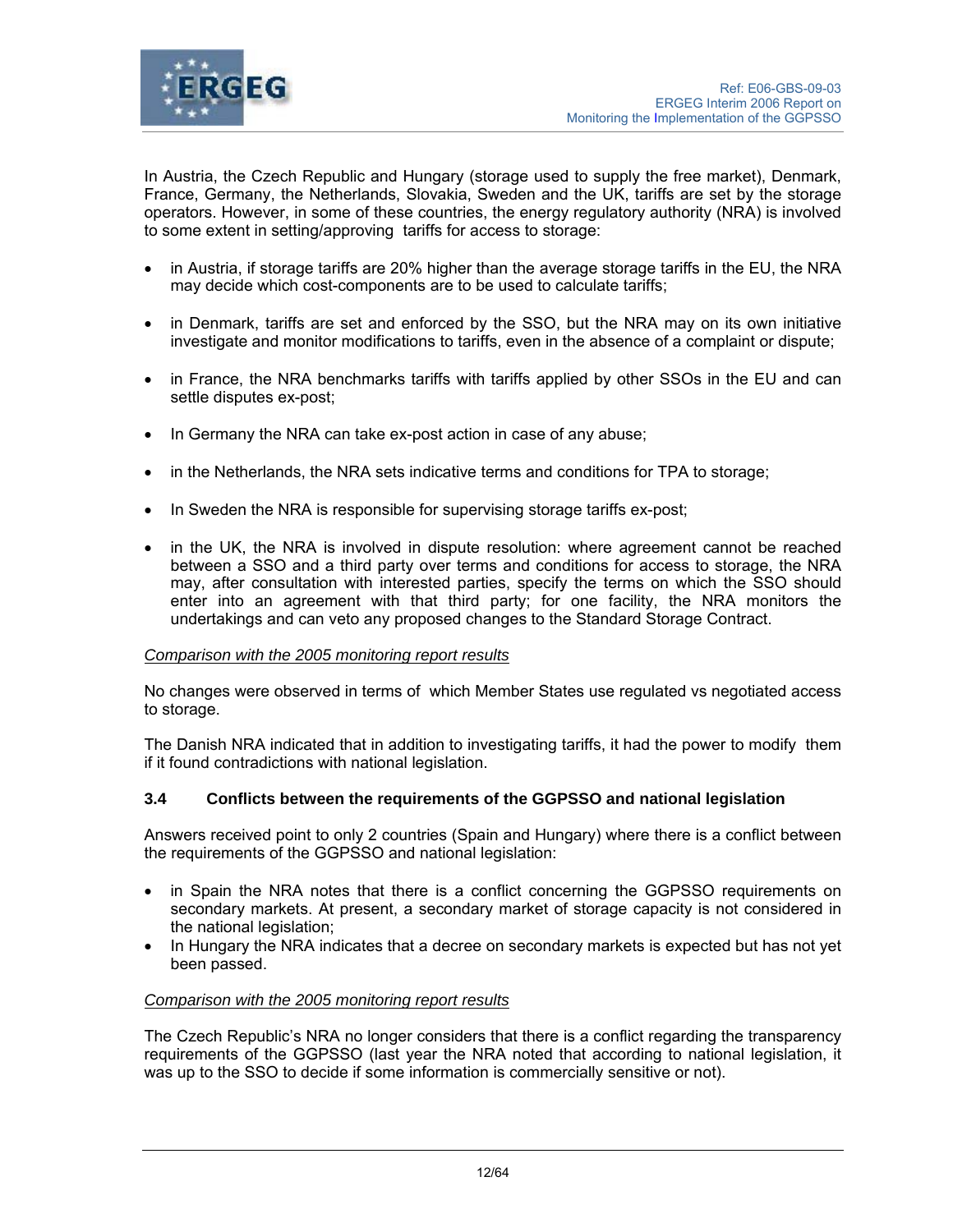

In Austria, the Czech Republic and Hungary (storage used to supply the free market), Denmark, France, Germany, the Netherlands, Slovakia, Sweden and the UK, tariffs are set by the storage operators. However, in some of these countries, the energy regulatory authority (NRA) is involved to some extent in setting/approving tariffs for access to storage:

- in Austria, if storage tariffs are 20% higher than the average storage tariffs in the EU, the NRA may decide which cost-components are to be used to calculate tariffs;
- in Denmark, tariffs are set and enforced by the SSO, but the NRA may on its own initiative investigate and monitor modifications to tariffs, even in the absence of a complaint or dispute;
- in France, the NRA benchmarks tariffs with tariffs applied by other SSOs in the EU and can settle disputes ex-post;
- In Germany the NRA can take ex-post action in case of any abuse;
- in the Netherlands, the NRA sets indicative terms and conditions for TPA to storage;
- In Sweden the NRA is responsible for supervising storage tariffs ex-post;
- in the UK, the NRA is involved in dispute resolution: where agreement cannot be reached between a SSO and a third party over terms and conditions for access to storage, the NRA may, after consultation with interested parties, specify the terms on which the SSO should enter into an agreement with that third party; for one facility, the NRA monitors the undertakings and can veto any proposed changes to the Standard Storage Contract.

## *Comparison with the 2005 monitoring report results*

No changes were observed in terms of which Member States use regulated vs negotiated access to storage.

The Danish NRA indicated that in addition to investigating tariffs, it had the power to modify them if it found contradictions with national legislation.

## **3.4 Conflicts between the requirements of the GGPSSO and national legislation**

Answers received point to only 2 countries (Spain and Hungary) where there is a conflict between the requirements of the GGPSSO and national legislation:

- in Spain the NRA notes that there is a conflict concerning the GGPSSO requirements on secondary markets. At present, a secondary market of storage capacity is not considered in the national legislation;
- In Hungary the NRA indicates that a decree on secondary markets is expected but has not yet been passed.

#### *Comparison with the 2005 monitoring report results*

The Czech Republic's NRA no longer considers that there is a conflict regarding the transparency requirements of the GGPSSO (last year the NRA noted that according to national legislation, it was up to the SSO to decide if some information is commercially sensitive or not).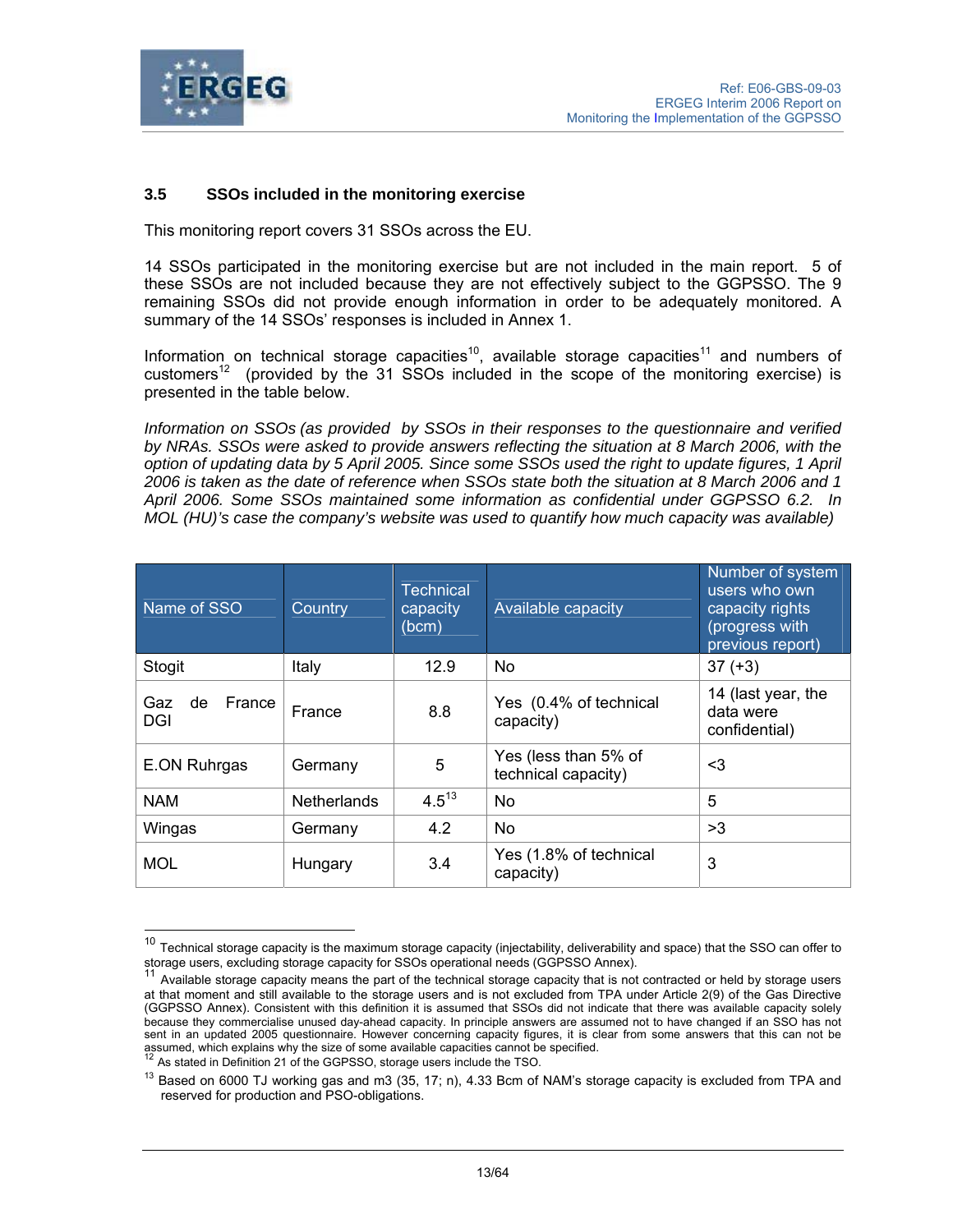

l

## **3.5 SSOs included in the monitoring exercise**

This monitoring report covers 31 SSOs across the EU.

14 SSOs participated in the monitoring exercise but are not included in the main report. 5 of these SSOs are not included because they are not effectively subject to the GGPSSO. The 9 remaining SSOs did not provide enough information in order to be adequately monitored. A summary of the 14 SSOs' responses is included in Annex 1.

Information on technical storage capacities<sup>10</sup>, available storage capacities<sup>11</sup> and numbers of customers<sup>12</sup> (provided by the 31 SSOs included in the scope of the monitoring exercise) is presented in the table below.

*Information on SSOs (as provided by SSOs in their responses to the questionnaire and verified by NRAs. SSOs were asked to provide answers reflecting the situation at 8 March 2006, with the option of updating data by 5 April 2005. Since some SSOs used the right to update figures, 1 April 2006 is taken as the date of reference when SSOs state both the situation at 8 March 2006 and 1 April 2006. Some SSOs maintained some information as confidential under GGPSSO 6.2. In MOL (HU)'s case the company's website was used to quantify how much capacity was available)*

| Name of SSO                | Country            | <b>Technical</b><br>capacity<br>(bcm) | Available capacity                          | Number of system<br>users who own<br>capacity rights<br>(progress with<br>previous report) |
|----------------------------|--------------------|---------------------------------------|---------------------------------------------|--------------------------------------------------------------------------------------------|
| Stogit                     | Italy              | 12.9                                  | N <sub>o</sub>                              | $37 (+3)$                                                                                  |
| de<br>France<br>Gaz<br>DGI | France             | 8.8                                   | Yes (0.4% of technical<br>capacity)         | 14 (last year, the<br>data were<br>confidential)                                           |
| E.ON Ruhrgas               | Germany            | 5                                     | Yes (less than 5% of<br>technical capacity) | <3                                                                                         |
| <b>NAM</b>                 | <b>Netherlands</b> | $4.5^{13}$                            | <b>No</b>                                   | 5                                                                                          |
| Wingas                     | Germany            | 4.2                                   | <b>No</b>                                   | >3                                                                                         |
| <b>MOL</b>                 | Hungary            | 3.4                                   | Yes (1.8% of technical<br>capacity)         | 3                                                                                          |

 $^{10}$  Technical storage capacity is the maximum storage capacity (injectability, deliverability and space) that the SSO can offer to storage users, excluding storage capacity for SSOs operational needs (GGPSSO Annex).

Available storage capacity means the part of the technical storage capacity that is not contracted or held by storage users at that moment and still available to the storage users and is not excluded from TPA under Article 2(9) of the Gas Directive (GGPSSO Annex). Consistent with this definition it is assumed that SSOs did not indicate that there was available capacity solely because they commercialise unused day-ahead capacity. In principle answers are assumed not to have changed if an SSO has not sent in an updated 2005 questionnaire. However concerning capacity figures, it is clear from some answers that this can not be assumed, which explains why the size of some available capacities cannot be specified. As stated in Definition 21 of the GGPSSO, storage users include the TSO.

<sup>&</sup>lt;sup>13</sup> Based on 6000 TJ working gas and m3 (35, 17; n), 4.33 Bcm of NAM's storage capacity is excluded from TPA and reserved for production and PSO-obligations.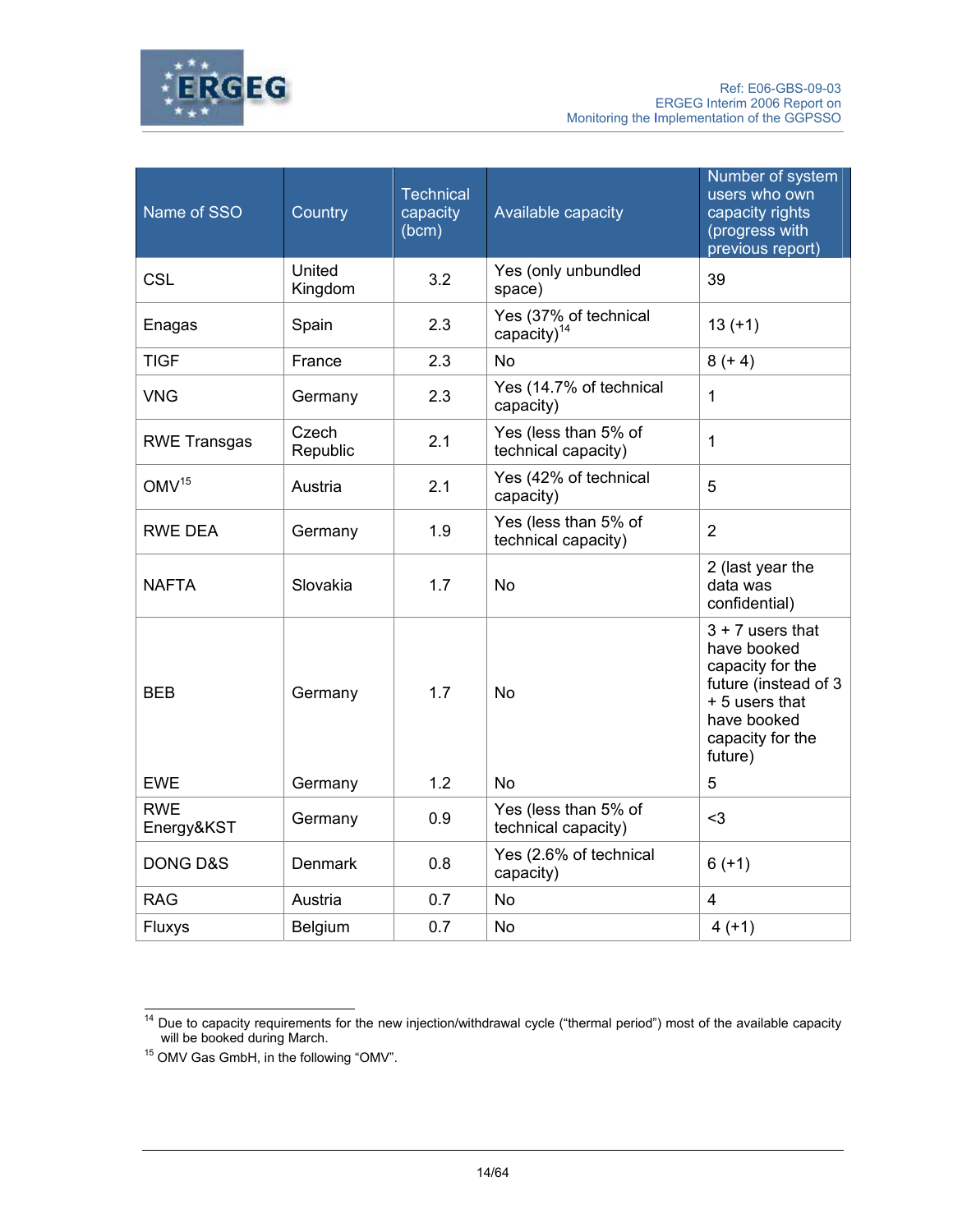

| Name of SSO              | Country           | <b>Technical</b><br>capacity<br>(bcm) | Available capacity                          | Number of system<br>users who own<br>capacity rights<br>(progress with<br>previous report)                                                    |
|--------------------------|-------------------|---------------------------------------|---------------------------------------------|-----------------------------------------------------------------------------------------------------------------------------------------------|
| CSL                      | United<br>Kingdom | 3.2                                   | Yes (only unbundled<br>space)               | 39                                                                                                                                            |
| Enagas                   | Spain             | 2.3                                   | Yes (37% of technical<br>capacity) $14$     | $13 (+1)$                                                                                                                                     |
| <b>TIGF</b>              | France            | 2.3                                   | <b>No</b>                                   | $8 (+ 4)$                                                                                                                                     |
| <b>VNG</b>               | Germany           | 2.3                                   | Yes (14.7% of technical<br>capacity)        | $\mathbf{1}$                                                                                                                                  |
| <b>RWE Transgas</b>      | Czech<br>Republic | 2.1                                   | Yes (less than 5% of<br>technical capacity) | $\mathbf{1}$                                                                                                                                  |
| OMV <sup>15</sup>        | Austria           | 2.1                                   | Yes (42% of technical<br>capacity)          | 5                                                                                                                                             |
| RWE DEA                  | Germany           | 1.9                                   | Yes (less than 5% of<br>technical capacity) | $\overline{2}$                                                                                                                                |
| <b>NAFTA</b>             | Slovakia          | 1.7                                   | <b>No</b>                                   | 2 (last year the<br>data was<br>confidential)                                                                                                 |
| <b>BEB</b>               | Germany           | 1.7                                   | <b>No</b>                                   | $3 + 7$ users that<br>have booked<br>capacity for the<br>future (instead of 3<br>+ 5 users that<br>have booked<br>capacity for the<br>future) |
| <b>EWE</b>               | Germany           | 1.2                                   | <b>No</b>                                   | 5                                                                                                                                             |
| <b>RWE</b><br>Energy&KST | Germany           | 0.9                                   | Yes (less than 5% of<br>technical capacity) | $3$                                                                                                                                           |
| <b>DONG D&amp;S</b>      | <b>Denmark</b>    | 0.8                                   | Yes (2.6% of technical<br>capacity)         | $6(+1)$                                                                                                                                       |
| <b>RAG</b>               | Austria           | 0.7                                   | <b>No</b>                                   | $\overline{4}$                                                                                                                                |
| Fluxys                   | Belgium           | 0.7                                   | No                                          | $4(+1)$                                                                                                                                       |

 $\overline{a}$  $14$  Due to capacity requirements for the new injection/withdrawal cycle ("thermal period") most of the available capacity

 $15$  OMV Gas GmbH, in the following "OMV".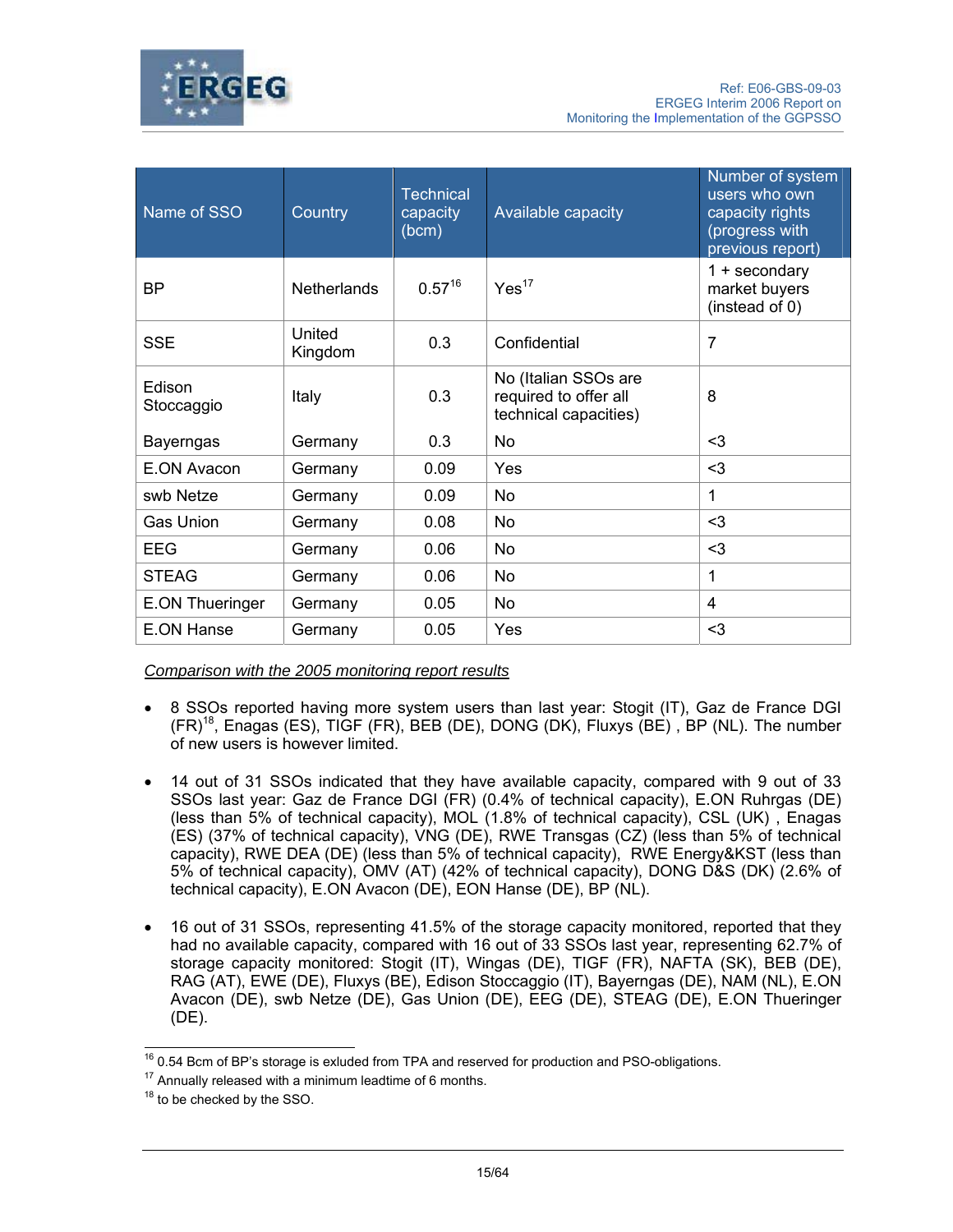



| Name of SSO            | Country            | <b>Technical</b><br>capacity<br>(bcm) | Available capacity                                                                                                                                                                        | Number of system<br>users who own<br>capacity rights<br>(progress with<br>previous report) |
|------------------------|--------------------|---------------------------------------|-------------------------------------------------------------------------------------------------------------------------------------------------------------------------------------------|--------------------------------------------------------------------------------------------|
| <b>BP</b>              | <b>Netherlands</b> | $0.57^{16}$                           | Yes <sup>17</sup>                                                                                                                                                                         | $1 +$ secondary<br>market buyers<br>(instead of 0)                                         |
| <b>SSE</b>             | United<br>Kingdom  | 0.3                                   | 7<br>Confidential<br>No (Italian SSOs are<br>8<br>required to offer all<br>technical capacities)<br>No<br>$3$<br>$3$<br>Yes<br>No<br>1<br>$3$<br><b>No</b><br>$3$<br><b>No</b><br>1<br>No |                                                                                            |
| Edison<br>Stoccaggio   | Italy              | 0.3                                   |                                                                                                                                                                                           |                                                                                            |
| <b>Bayerngas</b>       | Germany            | 0.3                                   |                                                                                                                                                                                           |                                                                                            |
| E.ON Avacon            | Germany            | 0.09                                  |                                                                                                                                                                                           |                                                                                            |
| swb Netze              | Germany            | 0.09                                  |                                                                                                                                                                                           |                                                                                            |
| <b>Gas Union</b>       | Germany            | 0.08                                  |                                                                                                                                                                                           |                                                                                            |
| <b>EEG</b>             | Germany            | 0.06                                  |                                                                                                                                                                                           |                                                                                            |
| <b>STEAG</b>           | Germany            | 0.06                                  |                                                                                                                                                                                           |                                                                                            |
| <b>E.ON Thueringer</b> | Germany            | 0.05                                  | No                                                                                                                                                                                        | 4                                                                                          |
| E.ON Hanse             | Germany            | 0.05                                  | Yes                                                                                                                                                                                       | $3$                                                                                        |

*Comparison with the 2005 monitoring report results*

- 8 SSOs reported having more system users than last year: Stogit (IT), Gaz de France DGI  $(FR)^{18}$ , Enagas (ES), TIGF (FR), BEB (DE), DONG (DK), Fluxys (BE), BP (NL). The number of new users is however limited.
- 14 out of 31 SSOs indicated that they have available capacity, compared with 9 out of 33 SSOs last year: Gaz de France DGI (FR) (0.4% of technical capacity), E.ON Ruhrgas (DE) (less than 5% of technical capacity), MOL (1.8% of technical capacity), CSL (UK) , Enagas (ES) (37% of technical capacity), VNG (DE), RWE Transgas (CZ) (less than 5% of technical capacity), RWE DEA (DE) (less than 5% of technical capacity), RWE Energy&KST (less than 5% of technical capacity), OMV (AT) (42% of technical capacity), DONG D&S (DK) (2.6% of technical capacity), E.ON Avacon (DE), EON Hanse (DE), BP (NL).
- 16 out of 31 SSOs, representing 41.5% of the storage capacity monitored, reported that they had no available capacity, compared with 16 out of 33 SSOs last year, representing 62.7% of storage capacity monitored: Stogit (IT), Wingas (DE), TIGF (FR), NAFTA (SK), BEB (DE), RAG (AT), EWE (DE), Fluxys (BE), Edison Stoccaggio (IT), Bayerngas (DE), NAM (NL), E.ON Avacon (DE), swb Netze (DE), Gas Union (DE), EEG (DE), STEAG (DE), E.ON Thueringer (DE).

 $\overline{\phantom{a}}$  $16$  0.54 Bcm of BP's storage is exluded from TPA and reserved for production and PSO-obligations.

 $17$  Annually released with a minimum leadtime of 6 months.

<sup>&</sup>lt;sup>18</sup> to be checked by the SSO.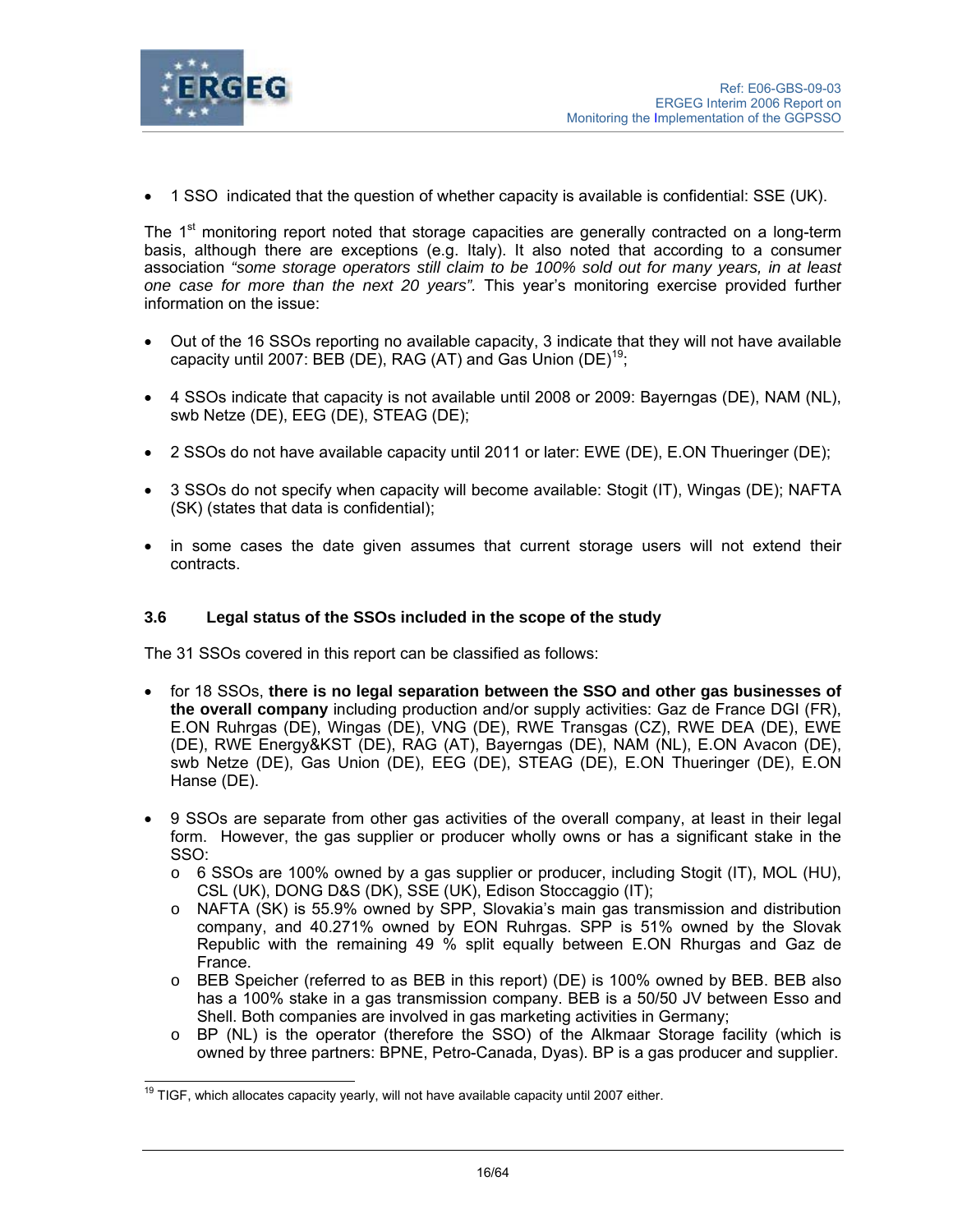

• 1 SSO indicated that the question of whether capacity is available is confidential: SSE (UK).

The  $1<sup>st</sup>$  monitoring report noted that storage capacities are generally contracted on a long-term basis, although there are exceptions (e.g. Italy). It also noted that according to a consumer association *"some storage operators still claim to be 100% sold out for many years, in at least one case for more than the next 20 years".* This year's monitoring exercise provided further information on the issue:

- Out of the 16 SSOs reporting no available capacity, 3 indicate that they will not have available capacity until 2007: BEB (DE), RAG (AT) and Gas Union  $(DE)^{19}$ ;
- 4 SSOs indicate that capacity is not available until 2008 or 2009: Bayerngas (DE), NAM (NL), swb Netze (DE), EEG (DE), STEAG (DE);
- 2 SSOs do not have available capacity until 2011 or later: EWE (DE), E.ON Thueringer (DE);
- 3 SSOs do not specify when capacity will become available: Stogit (IT), Wingas (DE); NAFTA (SK) (states that data is confidential);
- in some cases the date given assumes that current storage users will not extend their contracts.

## **3.6 Legal status of the SSOs included in the scope of the study**

The 31 SSOs covered in this report can be classified as follows:

- for 18 SSOs, **there is no legal separation between the SSO and other gas businesses of the overall company** including production and/or supply activities: Gaz de France DGI (FR), E.ON Ruhrgas (DE), Wingas (DE), VNG (DE), RWE Transgas (CZ), RWE DEA (DE), EWE (DE), RWE Energy&KST (DE), RAG (AT), Bayerngas (DE), NAM (NL), E.ON Avacon (DE), swb Netze (DE), Gas Union (DE), EEG (DE), STEAG (DE), E.ON Thueringer (DE), E.ON Hanse (DE).
- 9 SSOs are separate from other gas activities of the overall company, at least in their legal form. However, the gas supplier or producer wholly owns or has a significant stake in the SSO:
	- o 6 SSOs are 100% owned by a gas supplier or producer, including Stogit (IT), MOL (HU), CSL (UK), DONG D&S (DK), SSE (UK), Edison Stoccaggio (IT);
	- o NAFTA (SK) is 55.9% owned by SPP, Slovakia's main gas transmission and distribution company, and 40.271% owned by EON Ruhrgas. SPP is 51% owned by the Slovak Republic with the remaining 49 % split equally between E.ON Rhurgas and Gaz de France.
	- o BEB Speicher (referred to as BEB in this report) (DE) is 100% owned by BEB. BEB also has a 100% stake in a gas transmission company. BEB is a 50/50 JV between Esso and Shell. Both companies are involved in gas marketing activities in Germany;
	- o BP (NL) is the operator (therefore the SSO) of the Alkmaar Storage facility (which is owned by three partners: BPNE, Petro-Canada, Dyas). BP is a gas producer and supplier.

 $\overline{\phantom{a}}$ 

 $19$  TIGF, which allocates capacity yearly, will not have available capacity until 2007 either.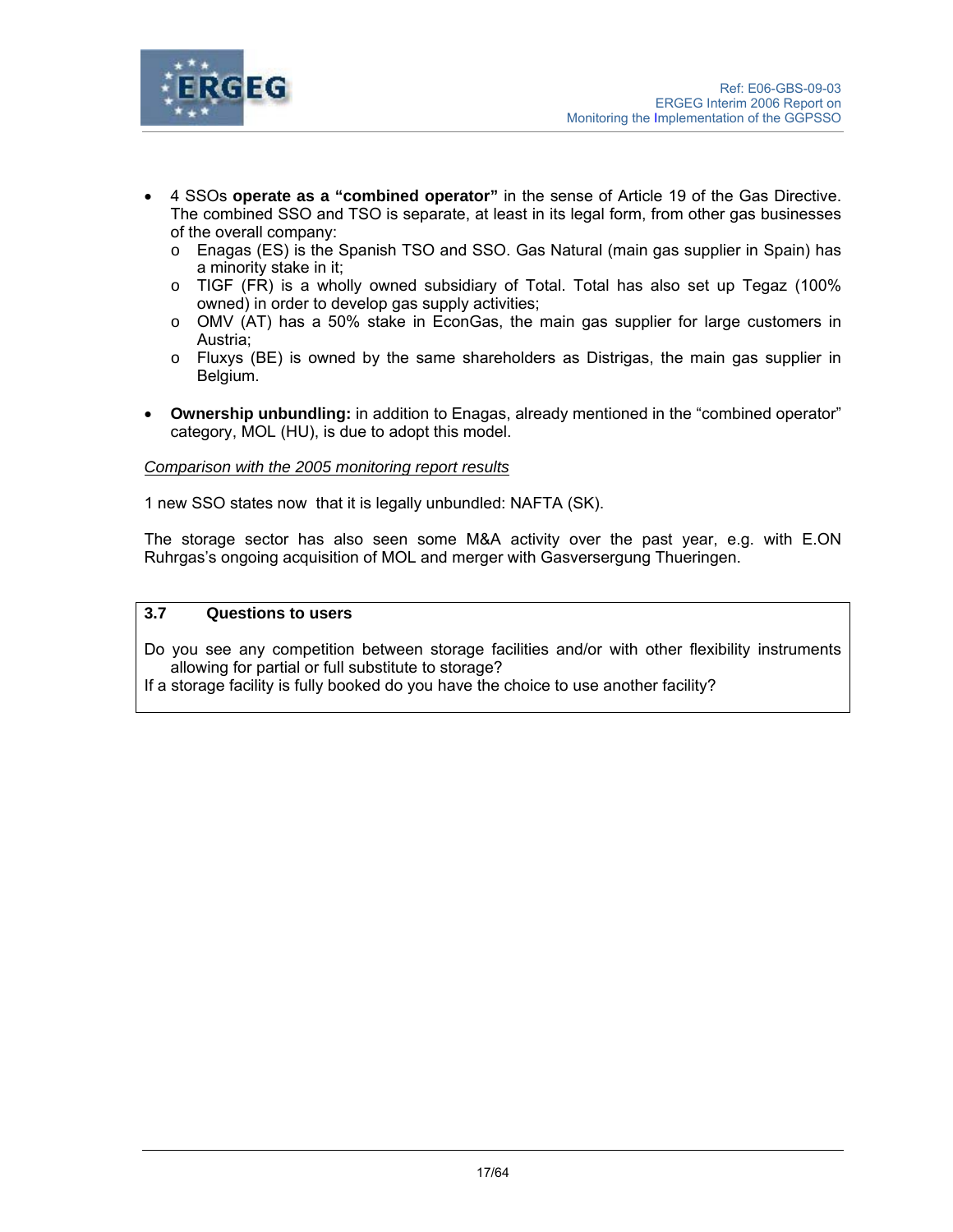

- 4 SSOs **operate as a "combined operator"** in the sense of Article 19 of the Gas Directive. The combined SSO and TSO is separate, at least in its legal form, from other gas businesses of the overall company:
	- o Enagas (ES) is the Spanish TSO and SSO. Gas Natural (main gas supplier in Spain) has a minority stake in it;
	- $\circ$  TIGF (FR) is a wholly owned subsidiary of Total. Total has also set up Tegaz (100%) owned) in order to develop gas supply activities;
	- o OMV (AT) has a 50% stake in EconGas, the main gas supplier for large customers in Austria;
	- $\circ$  Fluxys (BE) is owned by the same shareholders as Distrigas, the main gas supplier in Belgium.
- **Ownership unbundling:** in addition to Enagas, already mentioned in the "combined operator" category, MOL (HU), is due to adopt this model.

### *Comparison with the 2005 monitoring report results*

1 new SSO states now that it is legally unbundled: NAFTA (SK).

The storage sector has also seen some M&A activity over the past year, e.g. with E.ON Ruhrgas's ongoing acquisition of MOL and merger with Gasversergung Thueringen.

## **3.7 Questions to users**

Do you see any competition between storage facilities and/or with other flexibility instruments allowing for partial or full substitute to storage?

If a storage facility is fully booked do you have the choice to use another facility?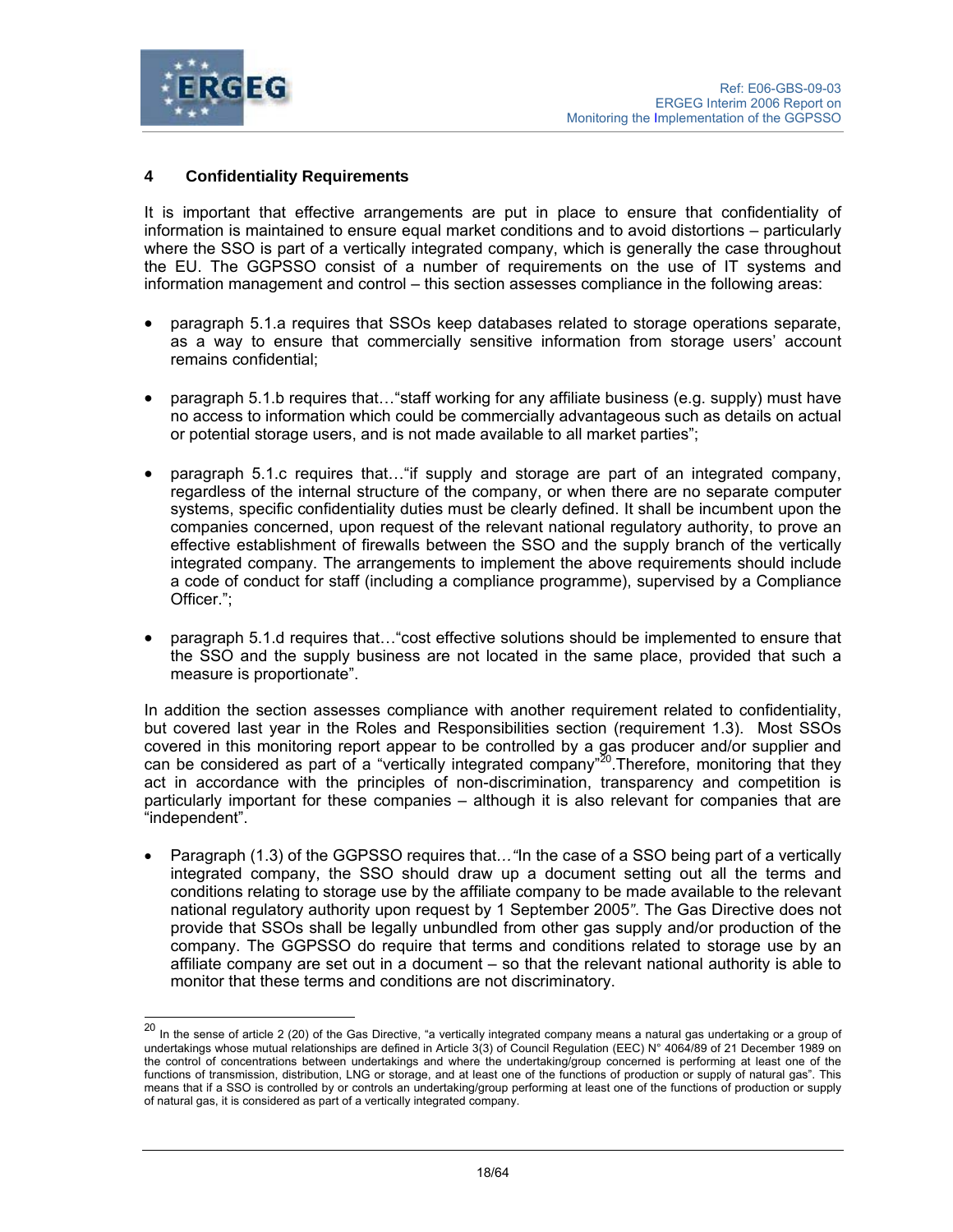

l

# **4 Confidentiality Requirements**

It is important that effective arrangements are put in place to ensure that confidentiality of information is maintained to ensure equal market conditions and to avoid distortions – particularly where the SSO is part of a vertically integrated company, which is generally the case throughout the EU. The GGPSSO consist of a number of requirements on the use of IT systems and information management and control – this section assesses compliance in the following areas:

- paragraph 5.1.a requires that SSOs keep databases related to storage operations separate, as a way to ensure that commercially sensitive information from storage users' account remains confidential;
- paragraph 5.1.b requires that…"staff working for any affiliate business (e.g. supply) must have no access to information which could be commercially advantageous such as details on actual or potential storage users, and is not made available to all market parties";
- paragraph 5.1.c requires that…"if supply and storage are part of an integrated company, regardless of the internal structure of the company, or when there are no separate computer systems, specific confidentiality duties must be clearly defined. It shall be incumbent upon the companies concerned, upon request of the relevant national regulatory authority, to prove an effective establishment of firewalls between the SSO and the supply branch of the vertically integrated company. The arrangements to implement the above requirements should include a code of conduct for staff (including a compliance programme), supervised by a Compliance Officer.";
- paragraph 5.1.d requires that…"cost effective solutions should be implemented to ensure that the SSO and the supply business are not located in the same place, provided that such a measure is proportionate".

In addition the section assesses compliance with another requirement related to confidentiality, but covered last year in the Roles and Responsibilities section (requirement 1.3). Most SSOs covered in this monitoring report appear to be controlled by a gas producer and/or supplier and can be considered as part of a "vertically integrated company"<sup>20</sup>. Therefore, monitoring that they act in accordance with the principles of non-discrimination, transparency and competition is particularly important for these companies – although it is also relevant for companies that are "independent".

• Paragraph (1.3) of the GGPSSO requires that*…"*In the case of a SSO being part of a vertically integrated company, the SSO should draw up a document setting out all the terms and conditions relating to storage use by the affiliate company to be made available to the relevant national regulatory authority upon request by 1 September 2005*"*. The Gas Directive does not provide that SSOs shall be legally unbundled from other gas supply and/or production of the company. The GGPSSO do require that terms and conditions related to storage use by an affiliate company are set out in a document – so that the relevant national authority is able to monitor that these terms and conditions are not discriminatory.

<sup>&</sup>lt;sup>20</sup> In the sense of article 2 (20) of the Gas Directive, "a vertically integrated company means a natural gas undertaking or a group of undertakings whose mutual relationships are defined in Article 3(3) of Council Regulation (EEC) N° 4064/89 of 21 December 1989 on the control of concentrations between undertakings and where the undertaking/group concerned is performing at least one of the functions of transmission, distribution, LNG or storage, and at least one of the functions of production or supply of natural gas". This means that if a SSO is controlled by or controls an undertaking/group performing at least one of the functions of production or supply of natural gas, it is considered as part of a vertically integrated company.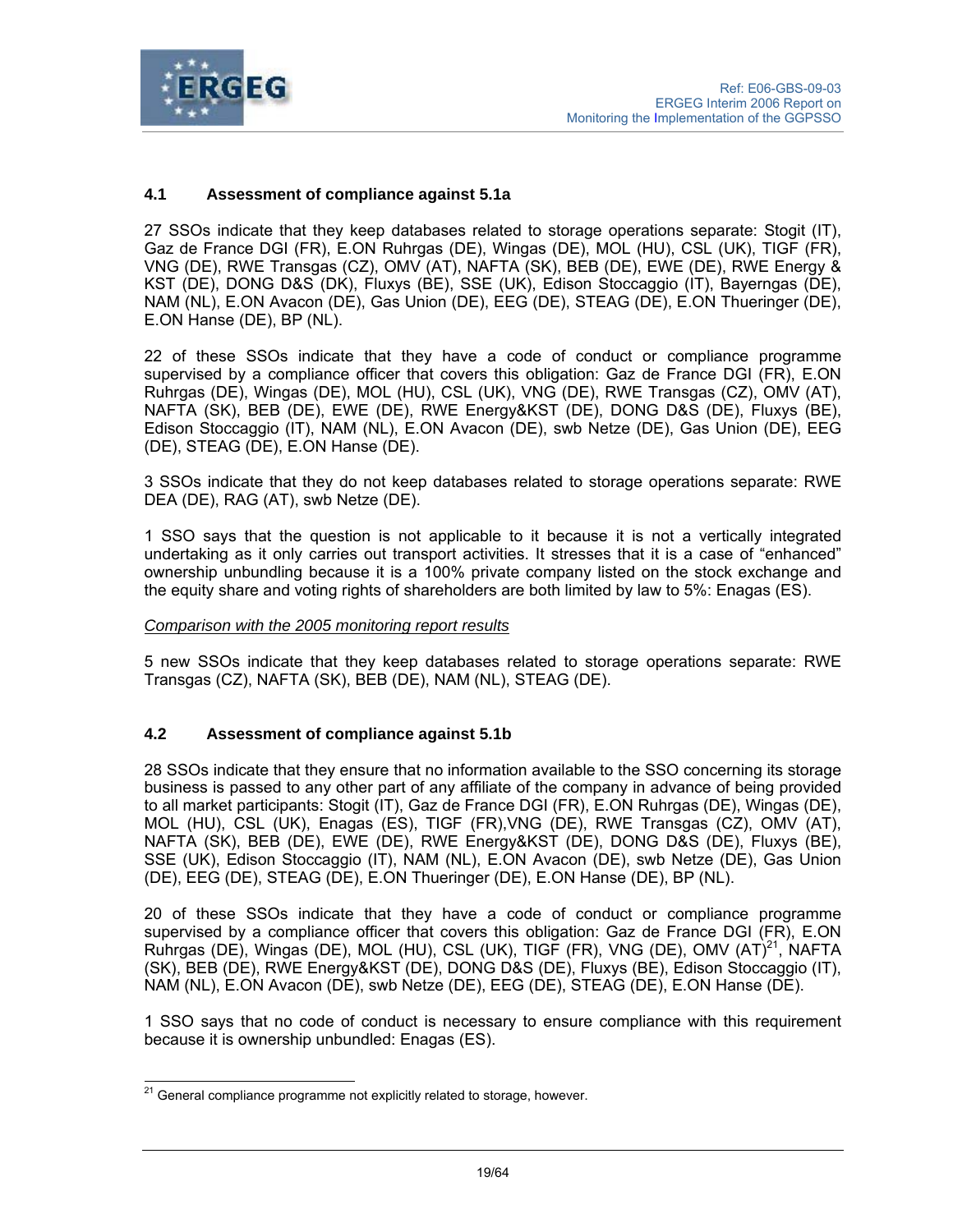

## **4.1 Assessment of compliance against 5.1a**

27 SSOs indicate that they keep databases related to storage operations separate: Stogit (IT), Gaz de France DGI (FR), E.ON Ruhrgas (DE), Wingas (DE), MOL (HU), CSL (UK), TIGF (FR), VNG (DE), RWE Transgas (CZ), OMV (AT), NAFTA (SK), BEB (DE), EWE (DE), RWE Energy & KST (DE), DONG D&S (DK), Fluxys (BE), SSE (UK), Edison Stoccaggio (IT), Bayerngas (DE), NAM (NL), E.ON Avacon (DE), Gas Union (DE), EEG (DE), STEAG (DE), E.ON Thueringer (DE), E.ON Hanse (DE), BP (NL).

22 of these SSOs indicate that they have a code of conduct or compliance programme supervised by a compliance officer that covers this obligation: Gaz de France DGI (FR), E.ON Ruhrgas (DE), Wingas (DE), MOL (HU), CSL (UK), VNG (DE), RWE Transgas (CZ), OMV (AT), NAFTA (SK), BEB (DE), EWE (DE), RWE Energy&KST (DE), DONG D&S (DE), Fluxys (BE), Edison Stoccaggio (IT), NAM (NL), E.ON Avacon (DE), swb Netze (DE), Gas Union (DE), EEG (DE), STEAG (DE), E.ON Hanse (DE).

3 SSOs indicate that they do not keep databases related to storage operations separate: RWE DEA (DE), RAG (AT), swb Netze (DE).

1 SSO says that the question is not applicable to it because it is not a vertically integrated undertaking as it only carries out transport activities. It stresses that it is a case of "enhanced" ownership unbundling because it is a 100% private company listed on the stock exchange and the equity share and voting rights of shareholders are both limited by law to 5%: Enagas (ES).

#### *Comparison with the 2005 monitoring report results*

5 new SSOs indicate that they keep databases related to storage operations separate: RWE Transgas (CZ), NAFTA (SK), BEB (DE), NAM (NL), STEAG (DE).

## **4.2 Assessment of compliance against 5.1b**

28 SSOs indicate that they ensure that no information available to the SSO concerning its storage business is passed to any other part of any affiliate of the company in advance of being provided to all market participants: Stogit (IT), Gaz de France DGI (FR), E.ON Ruhrgas (DE), Wingas (DE), MOL (HU), CSL (UK), Enagas (ES), TIGF (FR),VNG (DE), RWE Transgas (CZ), OMV (AT), NAFTA (SK), BEB (DE), EWE (DE), RWE Energy&KST (DE), DONG D&S (DE), Fluxys (BE), SSE (UK), Edison Stoccaggio (IT), NAM (NL), E.ON Avacon (DE), swb Netze (DE), Gas Union (DE), EEG (DE), STEAG (DE), E.ON Thueringer (DE), E.ON Hanse (DE), BP (NL).

20 of these SSOs indicate that they have a code of conduct or compliance programme supervised by a compliance officer that covers this obligation: Gaz de France DGI (FR), E.ON Ruhrgas (DE), Wingas (DE), MOL (HU), CSL (UK), TIGF (FR), VNG (DE), OMV (AT)<sup>21</sup>, NAFTA (SK), BEB (DE), RWE Energy&KST (DE), DONG D&S (DE), Fluxys (BE), Edison Stoccaggio (IT), NAM (NL), E.ON Avacon (DE), swb Netze (DE), EEG (DE), STEAG (DE), E.ON Hanse (DE).

1 SSO says that no code of conduct is necessary to ensure compliance with this requirement because it is ownership unbundled: Enagas (ES).

 $\overline{a}$  $^{21}$  General compliance programme not explicitly related to storage, however.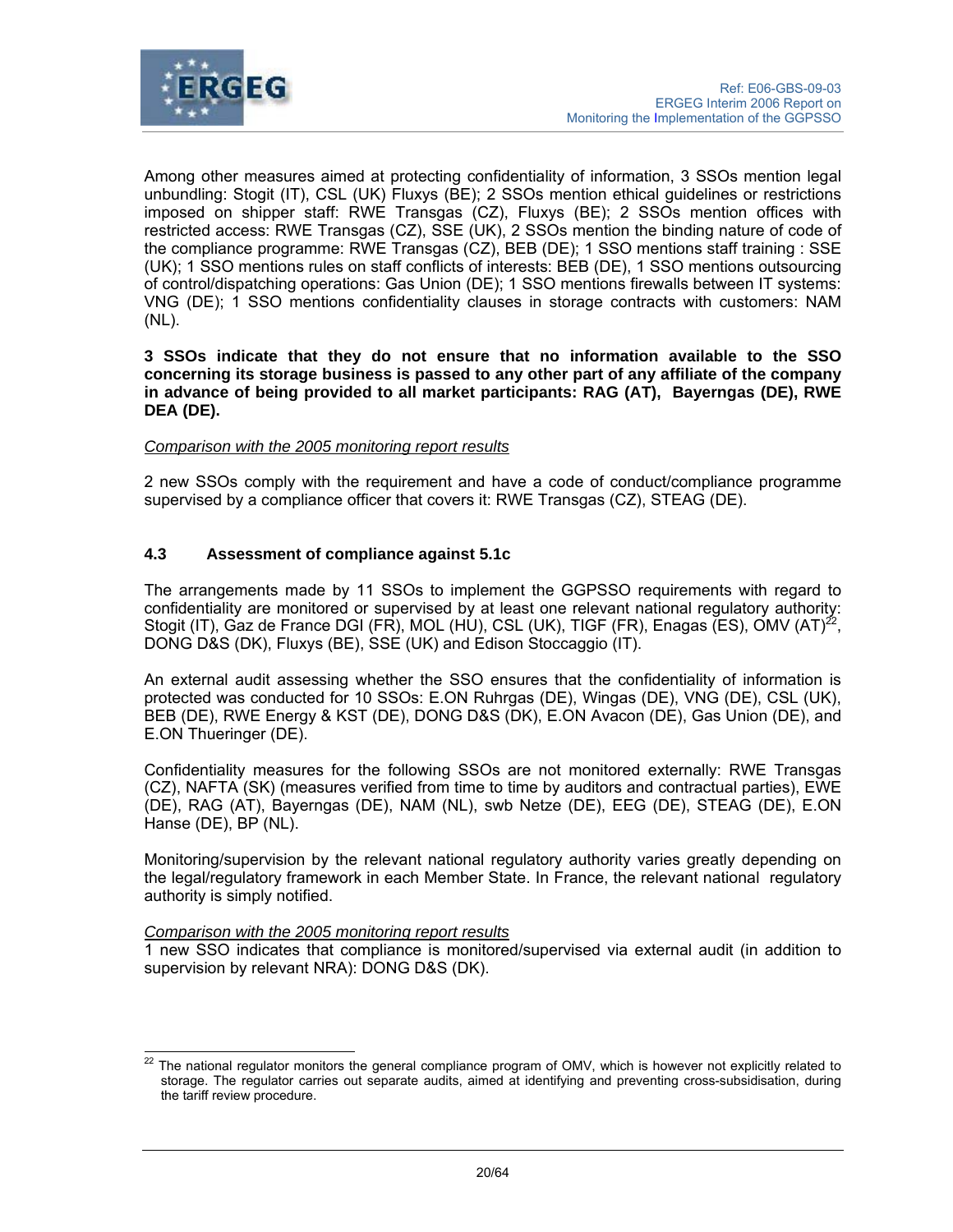

Among other measures aimed at protecting confidentiality of information, 3 SSOs mention legal unbundling: Stogit (IT), CSL (UK) Fluxys (BE); 2 SSOs mention ethical guidelines or restrictions imposed on shipper staff: RWE Transgas (CZ), Fluxys (BE); 2 SSOs mention offices with restricted access: RWE Transgas (CZ), SSE (UK), 2 SSOs mention the binding nature of code of the compliance programme: RWE Transgas (CZ), BEB (DE); 1 SSO mentions staff training : SSE (UK); 1 SSO mentions rules on staff conflicts of interests: BEB (DE), 1 SSO mentions outsourcing of control/dispatching operations: Gas Union (DE); 1 SSO mentions firewalls between IT systems: VNG (DE); 1 SSO mentions confidentiality clauses in storage contracts with customers: NAM (NL).

**3 SSOs indicate that they do not ensure that no information available to the SSO concerning its storage business is passed to any other part of any affiliate of the company in advance of being provided to all market participants: RAG (AT), Bayerngas (DE), RWE DEA (DE).** 

### *Comparison with the 2005 monitoring report results*

2 new SSOs comply with the requirement and have a code of conduct/compliance programme supervised by a compliance officer that covers it: RWE Transgas (CZ), STEAG (DE).

## **4.3 Assessment of compliance against 5.1c**

The arrangements made by 11 SSOs to implement the GGPSSO requirements with regard to confidentiality are monitored or supervised by at least one relevant national regulatory authority: Stogit (IT), Gaz de France DGI (FR), MOL (HU), CSL (UK), TIGF (FR), Enagas (ES), OMV (AT)<sup>22</sup>, DONG D&S (DK), Fluxys (BE), SSE (UK) and Edison Stoccaggio (IT).

An external audit assessing whether the SSO ensures that the confidentiality of information is protected was conducted for 10 SSOs: E.ON Ruhrgas (DE), Wingas (DE), VNG (DE), CSL (UK), BEB (DE), RWE Energy & KST (DE), DONG D&S (DK), E.ON Avacon (DE), Gas Union (DE), and E.ON Thueringer (DE).

Confidentiality measures for the following SSOs are not monitored externally: RWE Transgas (CZ), NAFTA (SK) (measures verified from time to time by auditors and contractual parties), EWE (DE), RAG (AT), Bayerngas (DE), NAM (NL), swb Netze (DE), EEG (DE), STEAG (DE), E.ON Hanse (DE), BP (NL).

Monitoring/supervision by the relevant national regulatory authority varies greatly depending on the legal/regulatory framework in each Member State. In France, the relevant national regulatory authority is simply notified.

### *Comparison with the 2005 monitoring report results*

1 new SSO indicates that compliance is monitored/supervised via external audit (in addition to supervision by relevant NRA): DONG D&S (DK).

 $\overline{a}$ 22 The national regulator monitors the general compliance program of OMV, which is however not explicitly related to storage. The regulator carries out separate audits, aimed at identifying and preventing cross-subsidisation, during the tariff review procedure.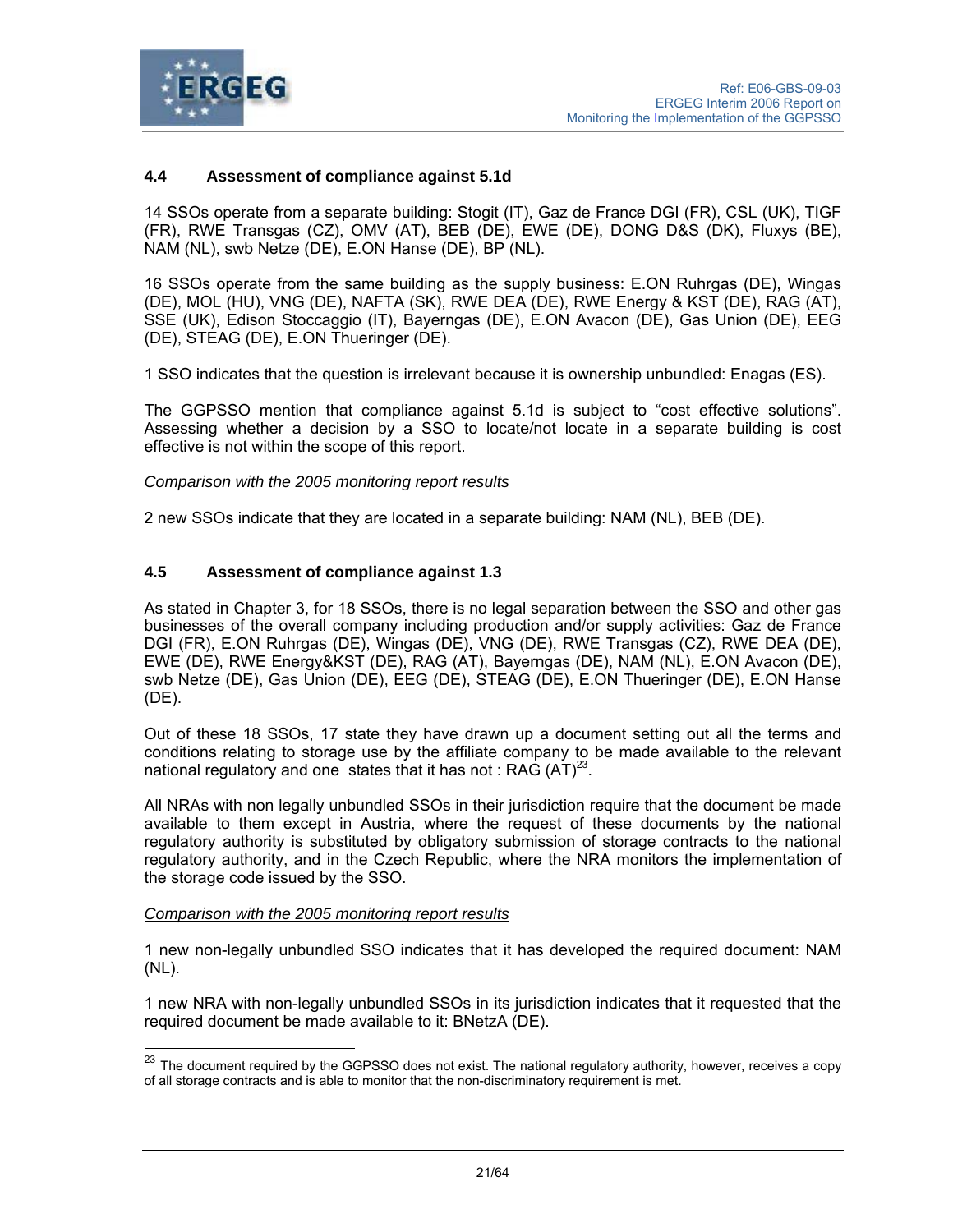

## **4.4 Assessment of compliance against 5.1d**

14 SSOs operate from a separate building: Stogit (IT), Gaz de France DGI (FR), CSL (UK), TIGF (FR), RWE Transgas (CZ), OMV (AT), BEB (DE), EWE (DE), DONG D&S (DK), Fluxys (BE), NAM (NL), swb Netze (DE), E.ON Hanse (DE), BP (NL).

16 SSOs operate from the same building as the supply business: E.ON Ruhrgas (DE), Wingas (DE), MOL (HU), VNG (DE), NAFTA (SK), RWE DEA (DE), RWE Energy & KST (DE), RAG (AT), SSE (UK), Edison Stoccaggio (IT), Bayerngas (DE), E.ON Avacon (DE), Gas Union (DE), EEG (DE), STEAG (DE), E.ON Thueringer (DE).

1 SSO indicates that the question is irrelevant because it is ownership unbundled: Enagas (ES).

The GGPSSO mention that compliance against 5.1d is subject to "cost effective solutions". Assessing whether a decision by a SSO to locate/not locate in a separate building is cost effective is not within the scope of this report.

*Comparison with the 2005 monitoring report results*

2 new SSOs indicate that they are located in a separate building: NAM (NL), BEB (DE).

#### **4.5 Assessment of compliance against 1.3**

As stated in Chapter 3, for 18 SSOs, there is no legal separation between the SSO and other gas businesses of the overall company including production and/or supply activities: Gaz de France DGI (FR), E.ON Ruhrgas (DE), Wingas (DE), VNG (DE), RWE Transgas (CZ), RWE DEA (DE), EWE (DE), RWE Energy&KST (DE), RAG (AT), Bayerngas (DE), NAM (NL), E.ON Avacon (DE), swb Netze (DE), Gas Union (DE), EEG (DE), STEAG (DE), E.ON Thueringer (DE), E.ON Hanse (DE).

Out of these 18 SSOs, 17 state they have drawn up a document setting out all the terms and conditions relating to storage use by the affiliate company to be made available to the relevant national regulatory and one states that it has not : RAG  $(AT)^{23}$ .

All NRAs with non legally unbundled SSOs in their jurisdiction require that the document be made available to them except in Austria, where the request of these documents by the national regulatory authority is substituted by obligatory submission of storage contracts to the national regulatory authority, and in the Czech Republic, where the NRA monitors the implementation of the storage code issued by the SSO.

#### *Comparison with the 2005 monitoring report results*

 $\overline{a}$ 

1 new non-legally unbundled SSO indicates that it has developed the required document: NAM (NL).

1 new NRA with non-legally unbundled SSOs in its jurisdiction indicates that it requested that the required document be made available to it: BNetzA (DE).

 $^{23}$  The document required by the GGPSSO does not exist. The national regulatory authority, however, receives a copy of all storage contracts and is able to monitor that the non-discriminatory requirement is met.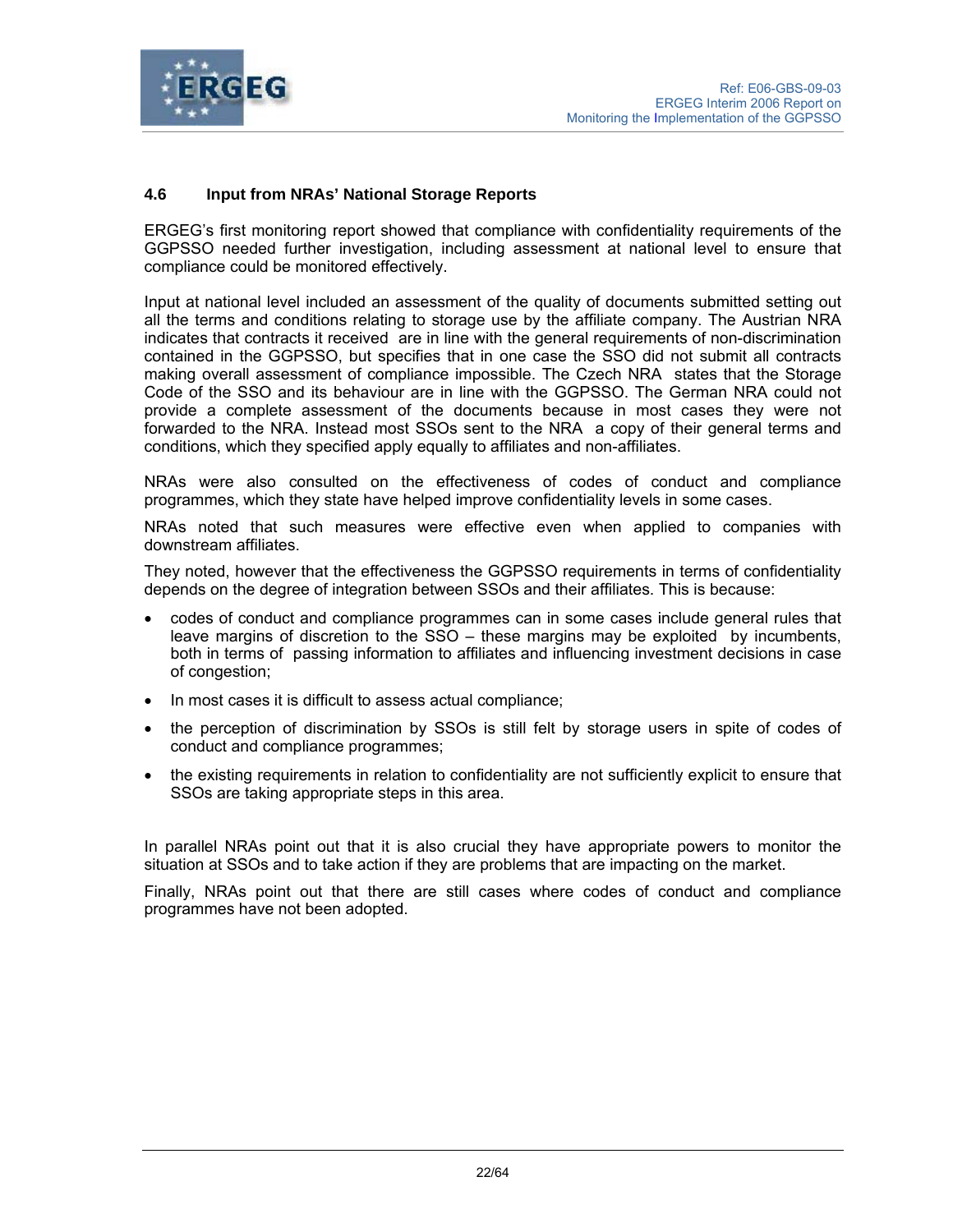

# **4.6 Input from NRAs' National Storage Reports**

ERGEG's first monitoring report showed that compliance with confidentiality requirements of the GGPSSO needed further investigation, including assessment at national level to ensure that compliance could be monitored effectively.

Input at national level included an assessment of the quality of documents submitted setting out all the terms and conditions relating to storage use by the affiliate company. The Austrian NRA indicates that contracts it received are in line with the general requirements of non-discrimination contained in the GGPSSO, but specifies that in one case the SSO did not submit all contracts making overall assessment of compliance impossible. The Czech NRA states that the Storage Code of the SSO and its behaviour are in line with the GGPSSO. The German NRA could not provide a complete assessment of the documents because in most cases they were not forwarded to the NRA. Instead most SSOs sent to the NRA a copy of their general terms and conditions, which they specified apply equally to affiliates and non-affiliates.

NRAs were also consulted on the effectiveness of codes of conduct and compliance programmes, which they state have helped improve confidentiality levels in some cases.

NRAs noted that such measures were effective even when applied to companies with downstream affiliates.

They noted, however that the effectiveness the GGPSSO requirements in terms of confidentiality depends on the degree of integration between SSOs and their affiliates. This is because:

- codes of conduct and compliance programmes can in some cases include general rules that leave margins of discretion to the SSO – these margins may be exploited by incumbents, both in terms of passing information to affiliates and influencing investment decisions in case of congestion;
- In most cases it is difficult to assess actual compliance;
- the perception of discrimination by SSOs is still felt by storage users in spite of codes of conduct and compliance programmes;
- the existing requirements in relation to confidentiality are not sufficiently explicit to ensure that SSOs are taking appropriate steps in this area.

In parallel NRAs point out that it is also crucial they have appropriate powers to monitor the situation at SSOs and to take action if they are problems that are impacting on the market.

Finally, NRAs point out that there are still cases where codes of conduct and compliance programmes have not been adopted.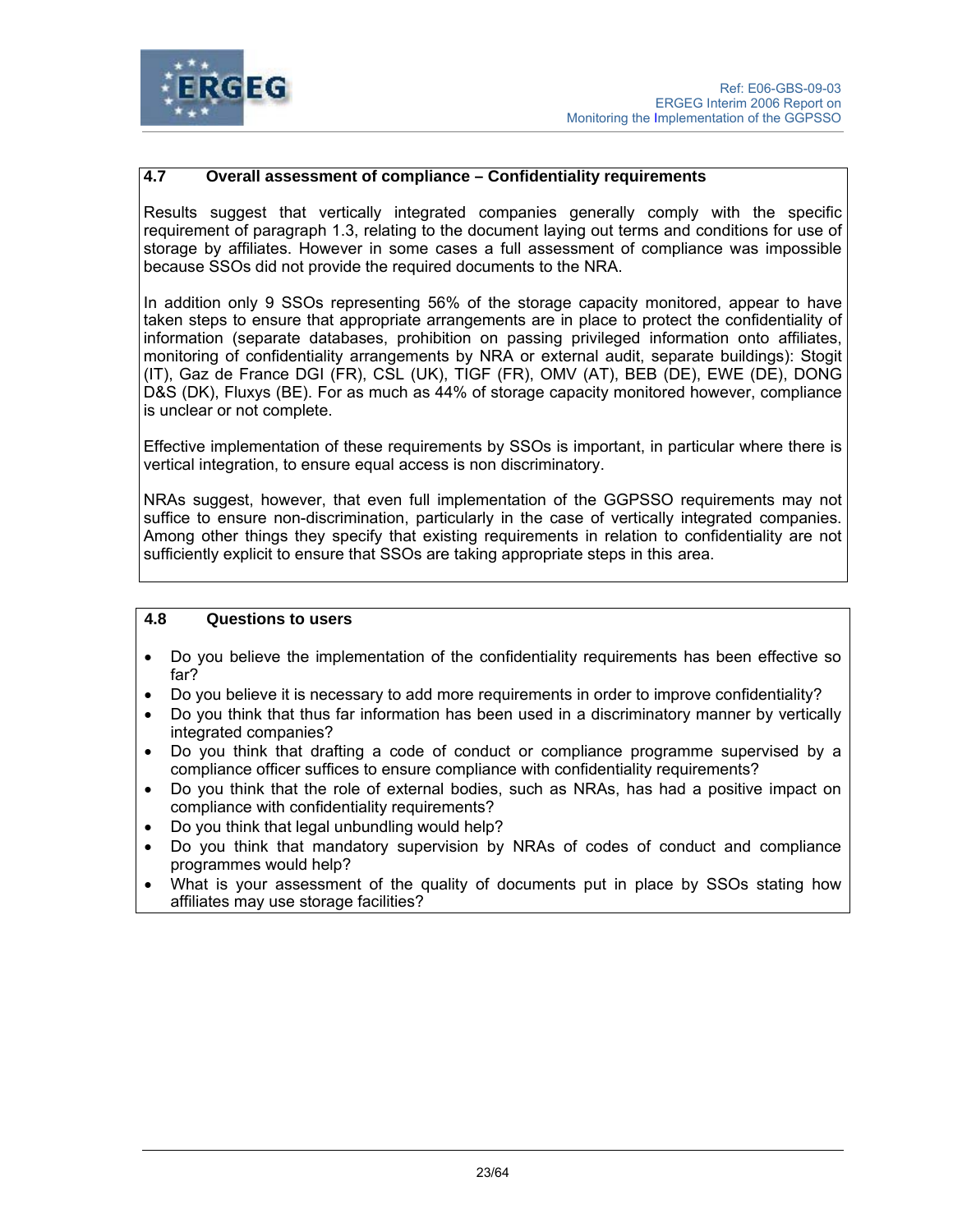

## **4.7 Overall assessment of compliance – Confidentiality requirements**

Results suggest that vertically integrated companies generally comply with the specific requirement of paragraph 1.3, relating to the document laying out terms and conditions for use of storage by affiliates. However in some cases a full assessment of compliance was impossible because SSOs did not provide the required documents to the NRA.

In addition only 9 SSOs representing 56% of the storage capacity monitored, appear to have taken steps to ensure that appropriate arrangements are in place to protect the confidentiality of information (separate databases, prohibition on passing privileged information onto affiliates, monitoring of confidentiality arrangements by NRA or external audit, separate buildings): Stogit (IT), Gaz de France DGI (FR), CSL (UK), TIGF (FR), OMV (AT), BEB (DE), EWE (DE), DONG D&S (DK), Fluxys (BE). For as much as 44% of storage capacity monitored however, compliance is unclear or not complete.

Effective implementation of these requirements by SSOs is important, in particular where there is vertical integration, to ensure equal access is non discriminatory.

NRAs suggest, however, that even full implementation of the GGPSSO requirements may not suffice to ensure non-discrimination, particularly in the case of vertically integrated companies. Among other things they specify that existing requirements in relation to confidentiality are not sufficiently explicit to ensure that SSOs are taking appropriate steps in this area.

#### **4.8 Questions to users**

- Do you believe the implementation of the confidentiality requirements has been effective so far?
- Do you believe it is necessary to add more requirements in order to improve confidentiality?
- Do you think that thus far information has been used in a discriminatory manner by vertically integrated companies?
- Do you think that drafting a code of conduct or compliance programme supervised by a compliance officer suffices to ensure compliance with confidentiality requirements?
- Do you think that the role of external bodies, such as NRAs, has had a positive impact on compliance with confidentiality requirements?
- Do you think that legal unbundling would help?
- Do you think that mandatory supervision by NRAs of codes of conduct and compliance programmes would help?
- What is your assessment of the quality of documents put in place by SSOs stating how affiliates may use storage facilities?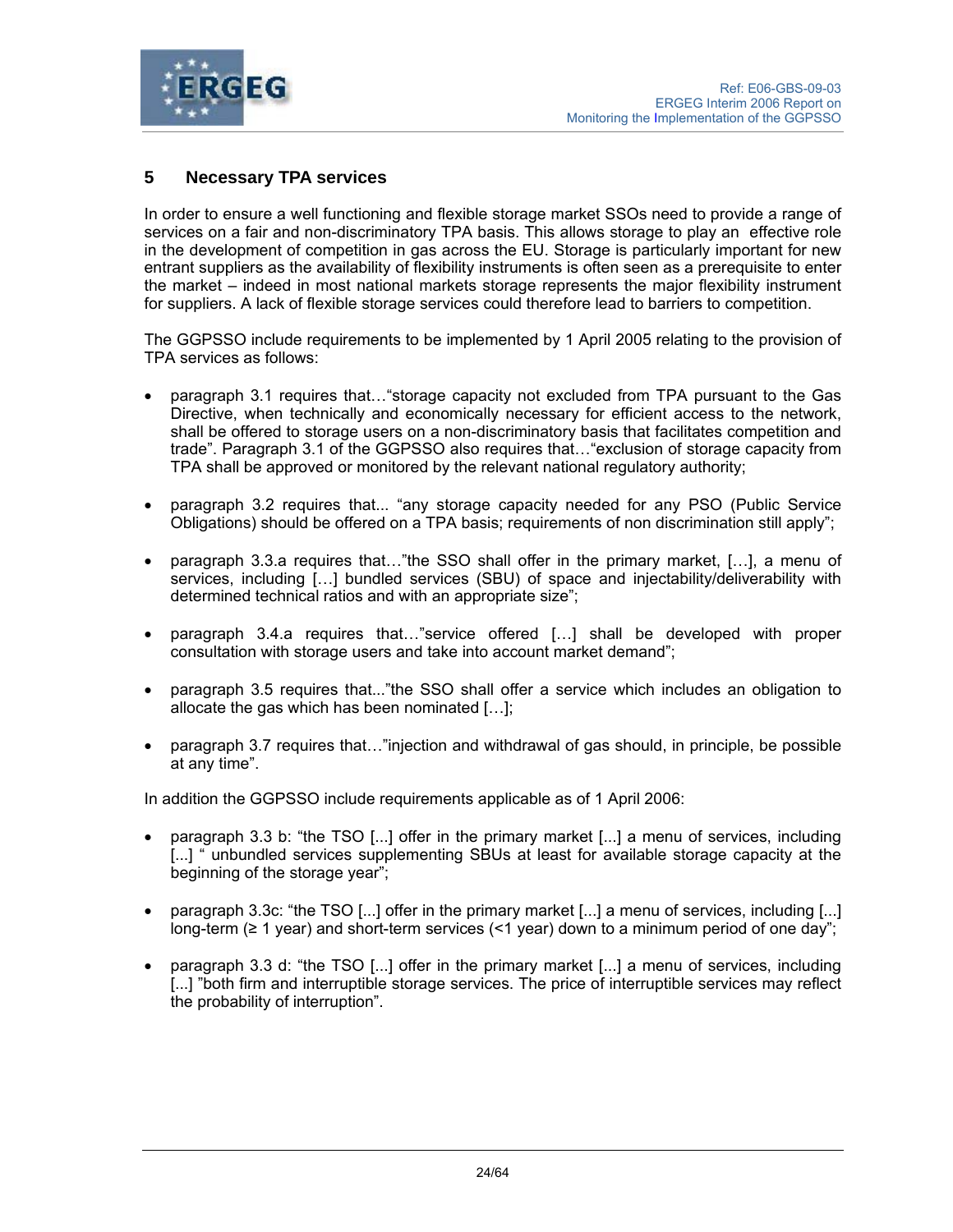

# **5 Necessary TPA services**

In order to ensure a well functioning and flexible storage market SSOs need to provide a range of services on a fair and non-discriminatory TPA basis. This allows storage to play an effective role in the development of competition in gas across the EU. Storage is particularly important for new entrant suppliers as the availability of flexibility instruments is often seen as a prerequisite to enter the market – indeed in most national markets storage represents the major flexibility instrument for suppliers. A lack of flexible storage services could therefore lead to barriers to competition.

The GGPSSO include requirements to be implemented by 1 April 2005 relating to the provision of TPA services as follows:

- paragraph 3.1 requires that…"storage capacity not excluded from TPA pursuant to the Gas Directive, when technically and economically necessary for efficient access to the network, shall be offered to storage users on a non-discriminatory basis that facilitates competition and trade". Paragraph 3.1 of the GGPSSO also requires that…"exclusion of storage capacity from TPA shall be approved or monitored by the relevant national regulatory authority;
- paragraph 3.2 requires that... "any storage capacity needed for any PSO (Public Service Obligations) should be offered on a TPA basis; requirements of non discrimination still apply";
- paragraph 3.3.a requires that…"the SSO shall offer in the primary market, […], a menu of services, including […] bundled services (SBU) of space and injectability/deliverability with determined technical ratios and with an appropriate size";
- paragraph 3.4.a requires that…"service offered […] shall be developed with proper consultation with storage users and take into account market demand";
- paragraph 3.5 requires that..."the SSO shall offer a service which includes an obligation to allocate the gas which has been nominated […];
- paragraph 3.7 requires that..."injection and withdrawal of gas should, in principle, be possible at any time".

In addition the GGPSSO include requirements applicable as of 1 April 2006:

- paragraph 3.3 b: "the TSO [...] offer in the primary market [...] a menu of services, including [...] " unbundled services supplementing SBUs at least for available storage capacity at the beginning of the storage year";
- paragraph 3.3c: "the TSO [...] offer in the primary market [...] a menu of services, including [...] long-term (≥ 1 year) and short-term services (<1 year) down to a minimum period of one day";
- paragraph 3.3 d: "the TSO [...] offer in the primary market [...] a menu of services, including [...] "both firm and interruptible storage services. The price of interruptible services may reflect the probability of interruption".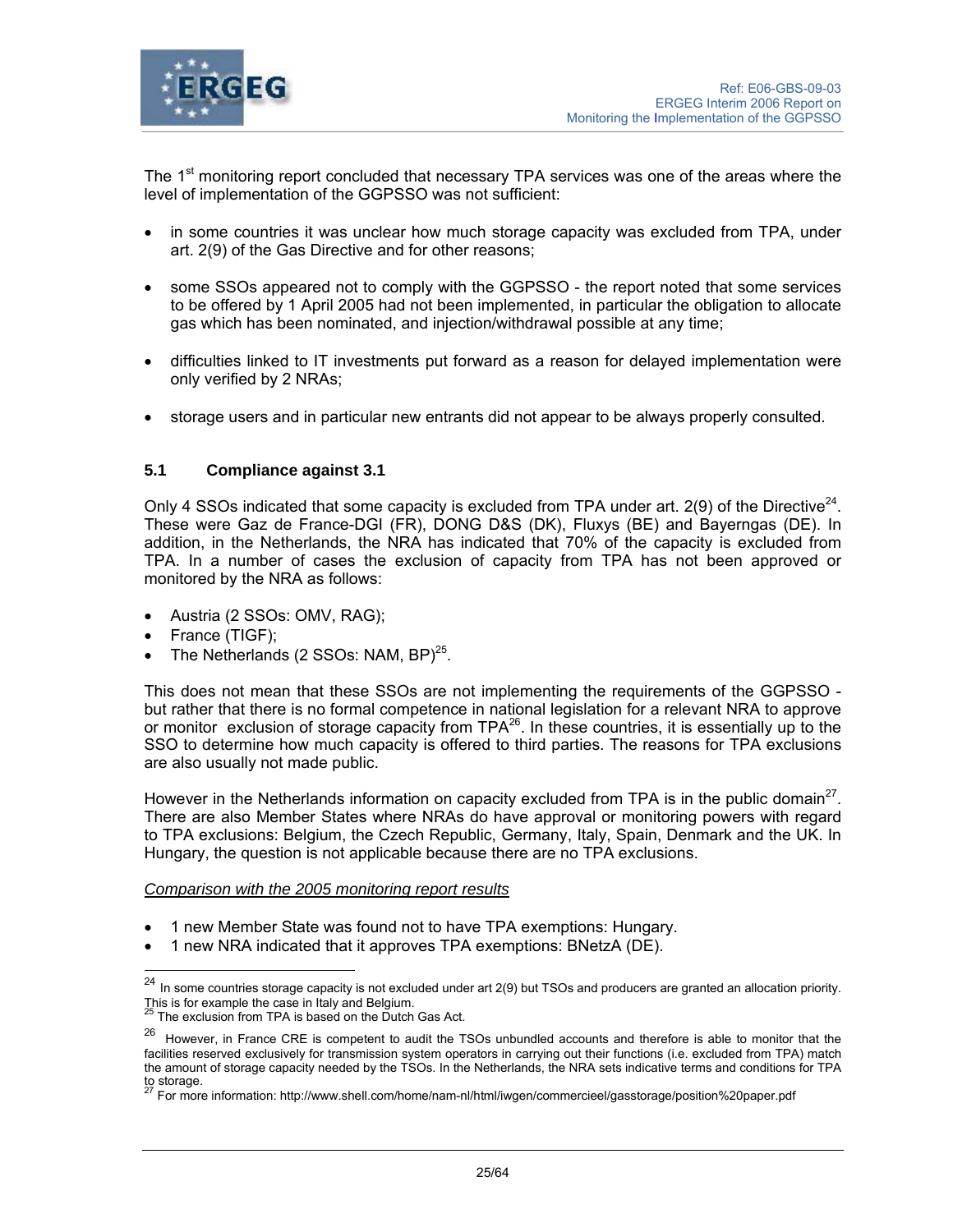

The 1<sup>st</sup> monitoring report concluded that necessary TPA services was one of the areas where the level of implementation of the GGPSSO was not sufficient:

- in some countries it was unclear how much storage capacity was excluded from TPA, under art. 2(9) of the Gas Directive and for other reasons;
- some SSOs appeared not to comply with the GGPSSO the report noted that some services to be offered by 1 April 2005 had not been implemented, in particular the obligation to allocate gas which has been nominated, and injection/withdrawal possible at any time;
- difficulties linked to IT investments put forward as a reason for delayed implementation were only verified by 2 NRAs;
- storage users and in particular new entrants did not appear to be always properly consulted.

# **5.1 Compliance against 3.1**

Only 4 SSOs indicated that some capacity is excluded from TPA under art.  $2(9)$  of the Directive<sup>24</sup>. These were Gaz de France-DGI (FR), DONG D&S (DK), Fluxys (BE) and Bayerngas (DE). In addition, in the Netherlands, the NRA has indicated that 70% of the capacity is excluded from TPA. In a number of cases the exclusion of capacity from TPA has not been approved or monitored by the NRA as follows:

- Austria (2 SSOs: OMV, RAG);
- France (TIGF);

l

The Netherlands (2 SSOs: NAM,  $BP$ )<sup>25</sup>.

This does not mean that these SSOs are not implementing the requirements of the GGPSSO but rather that there is no formal competence in national legislation for a relevant NRA to approve or monitor exclusion of storage capacity from TPA<sup>26</sup>. In these countries, it is essentially up to the SSO to determine how much capacity is offered to third parties. The reasons for TPA exclusions are also usually not made public.

However in the Netherlands information on capacity excluded from TPA is in the public domain<sup>27</sup>. There are also Member States where NRAs do have approval or monitoring powers with regard to TPA exclusions: Belgium, the Czech Republic, Germany, Italy, Spain, Denmark and the UK. In Hungary, the question is not applicable because there are no TPA exclusions.

#### *Comparison with the 2005 monitoring report results*

- 1 new Member State was found not to have TPA exemptions: Hungary.
- 1 new NRA indicated that it approves TPA exemptions: BNetzA (DE).

 $^{24}$  In some countries storage capacity is not excluded under art 2(9) but TSOs and producers are granted an allocation priority.

This is for example the case in Italy and Belgium.<br><sup>25</sup> The exclusion from TPA is based on the Dutch Gas Act.

<sup>&</sup>lt;sup>26</sup> However, in France CRE is competent to audit the TSOs unbundled accounts and therefore is able to monitor that the facilities reserved exclusively for transmission system operators in carrying out their functions (i.e. excluded from TPA) match the amount of storage capacity needed by the TSOs. In the Netherlands, the NRA sets indicative terms and conditions for TPA to storage.

<sup>27</sup> For more information: http://www.shell.com/home/nam-nl/html/iwgen/commercieel/gasstorage/position%20paper.pdf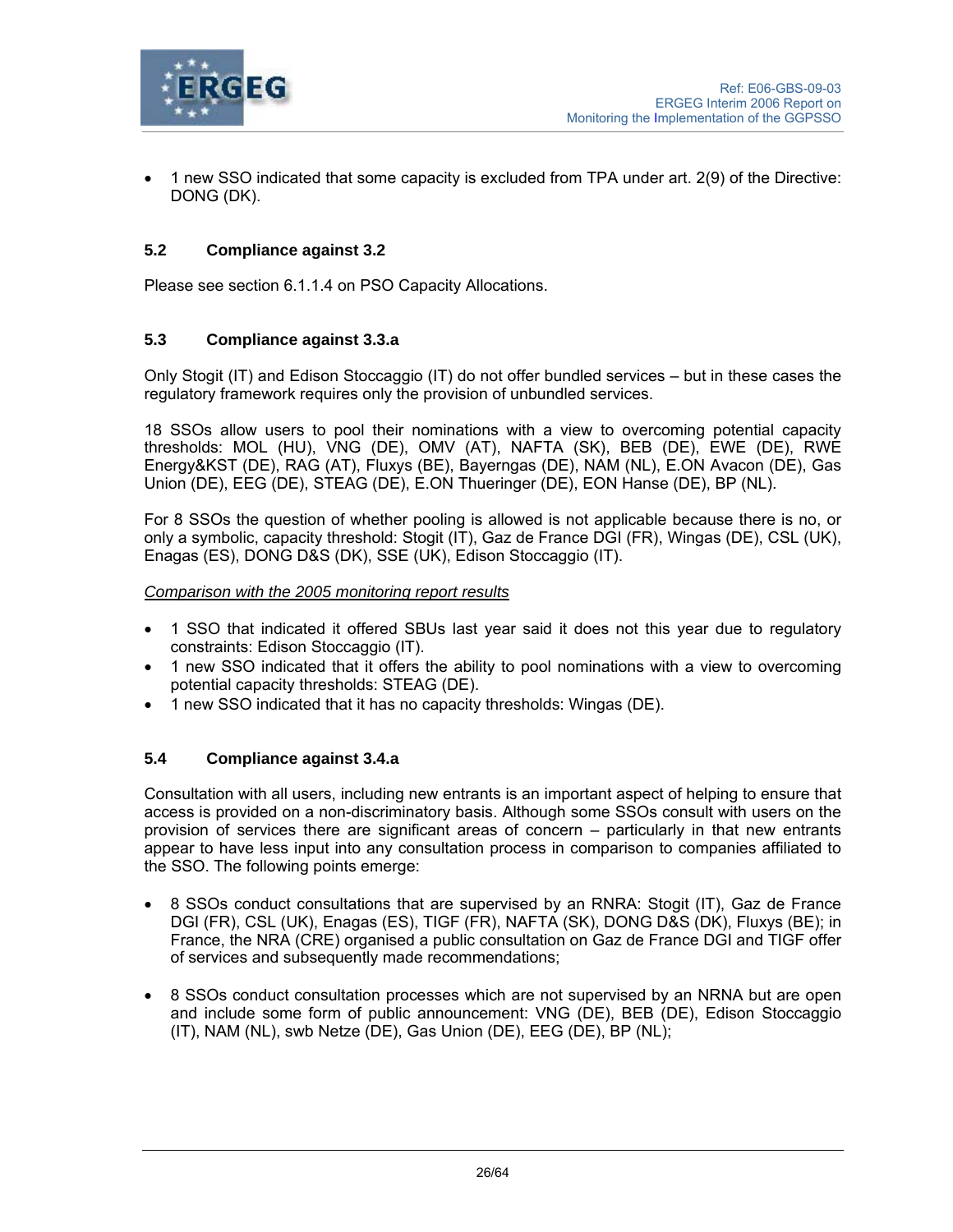

• 1 new SSO indicated that some capacity is excluded from TPA under art. 2(9) of the Directive: DONG (DK).

## **5.2 Compliance against 3.2**

Please see section 6.1.1.4 on PSO Capacity Allocations.

### **5.3 Compliance against 3.3.a**

Only Stogit (IT) and Edison Stoccaggio (IT) do not offer bundled services – but in these cases the regulatory framework requires only the provision of unbundled services.

18 SSOs allow users to pool their nominations with a view to overcoming potential capacity thresholds: MOL (HU), VNG (DE), OMV (AT), NAFTA (SK), BEB (DE), EWE (DE), RWE Energy&KST (DE), RAG (AT), Fluxys (BE), Bayerngas (DE), NAM (NL), E.ON Avacon (DE), Gas Union (DE), EEG (DE), STEAG (DE), E.ON Thueringer (DE), EON Hanse (DE), BP (NL).

For 8 SSOs the question of whether pooling is allowed is not applicable because there is no, or only a symbolic, capacity threshold: Stogit (IT), Gaz de France DGI (FR), Wingas (DE), CSL (UK), Enagas (ES), DONG D&S (DK), SSE (UK), Edison Stoccaggio (IT).

#### *Comparison with the 2005 monitoring report results*

- 1 SSO that indicated it offered SBUs last year said it does not this year due to regulatory constraints: Edison Stoccaggio (IT).
- 1 new SSO indicated that it offers the ability to pool nominations with a view to overcoming potential capacity thresholds: STEAG (DE).
- 1 new SSO indicated that it has no capacity thresholds: Wingas (DE).

## **5.4 Compliance against 3.4.a**

Consultation with all users, including new entrants is an important aspect of helping to ensure that access is provided on a non-discriminatory basis. Although some SSOs consult with users on the provision of services there are significant areas of concern – particularly in that new entrants appear to have less input into any consultation process in comparison to companies affiliated to the SSO. The following points emerge:

- 8 SSOs conduct consultations that are supervised by an RNRA: Stogit (IT), Gaz de France DGI (FR), CSL (UK), Enagas (ES), TIGF (FR), NAFTA (SK), DONG D&S (DK), Fluxys (BE); in France, the NRA (CRE) organised a public consultation on Gaz de France DGI and TIGF offer of services and subsequently made recommendations;
- 8 SSOs conduct consultation processes which are not supervised by an NRNA but are open and include some form of public announcement: VNG (DE), BEB (DE), Edison Stoccaggio (IT), NAM (NL), swb Netze (DE), Gas Union (DE), EEG (DE), BP (NL);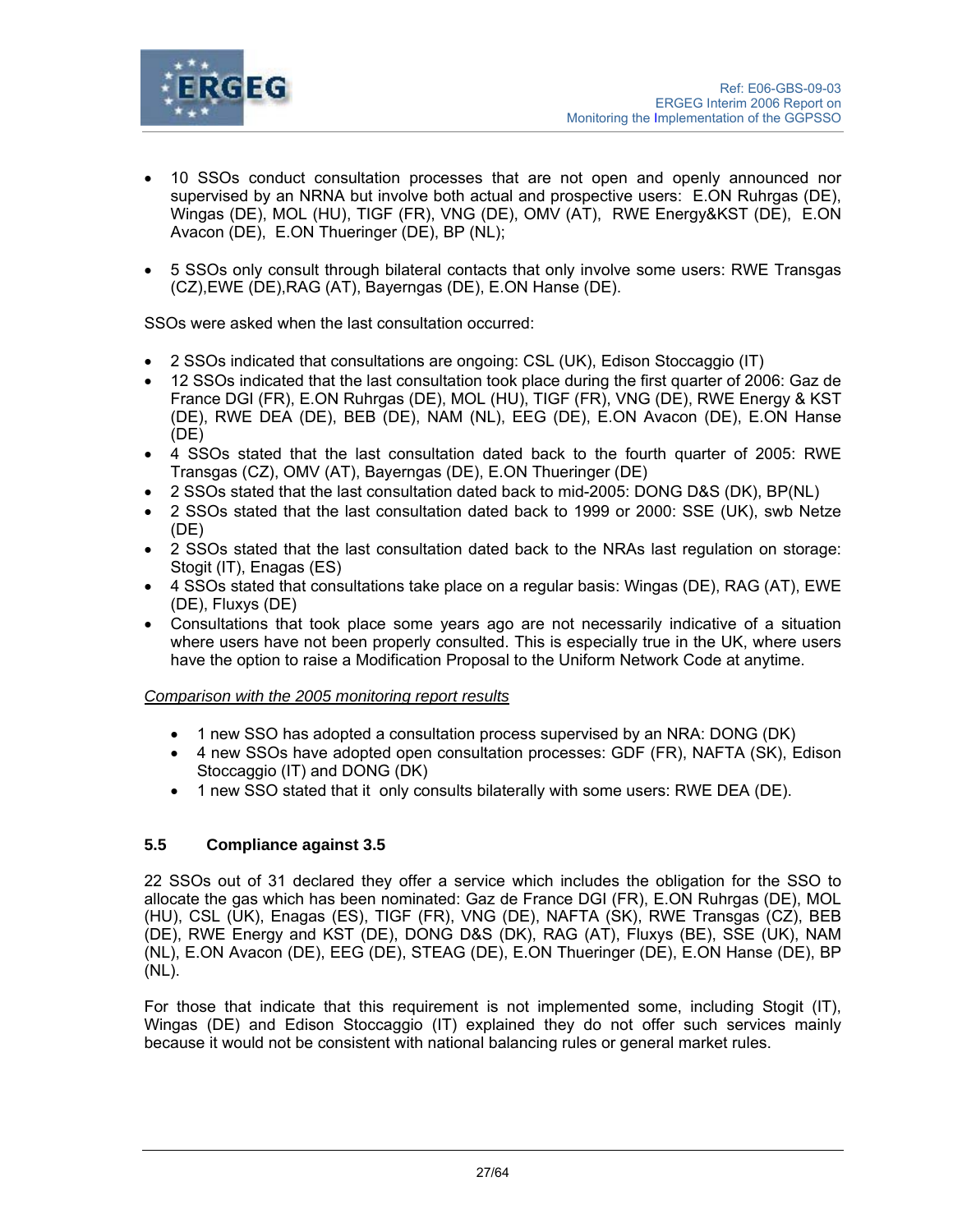

- 10 SSOs conduct consultation processes that are not open and openly announced nor supervised by an NRNA but involve both actual and prospective users: E.ON Ruhrgas (DE), Wingas (DE), MOL (HU), TIGF (FR), VNG (DE), OMV (AT), RWE Energy&KST (DE), E.ON Avacon (DE), E.ON Thueringer (DE), BP (NL);
- 5 SSOs only consult through bilateral contacts that only involve some users: RWE Transgas (CZ),EWE (DE),RAG (AT), Bayerngas (DE), E.ON Hanse (DE).

SSOs were asked when the last consultation occurred:

- 2 SSOs indicated that consultations are ongoing: CSL (UK), Edison Stoccaggio (IT)
- 12 SSOs indicated that the last consultation took place during the first quarter of 2006: Gaz de France DGI (FR), E.ON Ruhrgas (DE), MOL (HU), TIGF (FR), VNG (DE), RWE Energy & KST (DE), RWE DEA (DE), BEB (DE), NAM (NL), EEG (DE), E.ON Avacon (DE), E.ON Hanse (DE)
- 4 SSOs stated that the last consultation dated back to the fourth quarter of 2005: RWE Transgas (CZ), OMV (AT), Bayerngas (DE), E.ON Thueringer (DE)
- 2 SSOs stated that the last consultation dated back to mid-2005: DONG D&S (DK), BP(NL)
- 2 SSOs stated that the last consultation dated back to 1999 or 2000: SSE (UK), swb Netze (DE)
- 2 SSOs stated that the last consultation dated back to the NRAs last regulation on storage: Stogit (IT), Enagas (ES)
- 4 SSOs stated that consultations take place on a regular basis: Wingas (DE), RAG (AT), EWE (DE), Fluxys (DE)
- Consultations that took place some years ago are not necessarily indicative of a situation where users have not been properly consulted. This is especially true in the UK, where users have the option to raise a Modification Proposal to the Uniform Network Code at anytime.

#### *Comparison with the 2005 monitoring report results*

- 1 new SSO has adopted a consultation process supervised by an NRA: DONG (DK)
- 4 new SSOs have adopted open consultation processes: GDF (FR), NAFTA (SK), Edison Stoccaggio (IT) and DONG (DK)
- 1 new SSO stated that it only consults bilaterally with some users: RWE DEA (DE).

## **5.5 Compliance against 3.5**

22 SSOs out of 31 declared they offer a service which includes the obligation for the SSO to allocate the gas which has been nominated: Gaz de France DGI (FR), E.ON Ruhrgas (DE), MOL (HU), CSL (UK), Enagas (ES), TIGF (FR), VNG (DE), NAFTA (SK), RWE Transgas (CZ), BEB (DE), RWE Energy and KST (DE), DONG D&S (DK), RAG (AT), Fluxys (BE), SSE (UK), NAM (NL), E.ON Avacon (DE), EEG (DE), STEAG (DE), E.ON Thueringer (DE), E.ON Hanse (DE), BP (NL).

For those that indicate that this requirement is not implemented some, including Stogit (IT), Wingas (DE) and Edison Stoccaggio (IT) explained they do not offer such services mainly because it would not be consistent with national balancing rules or general market rules.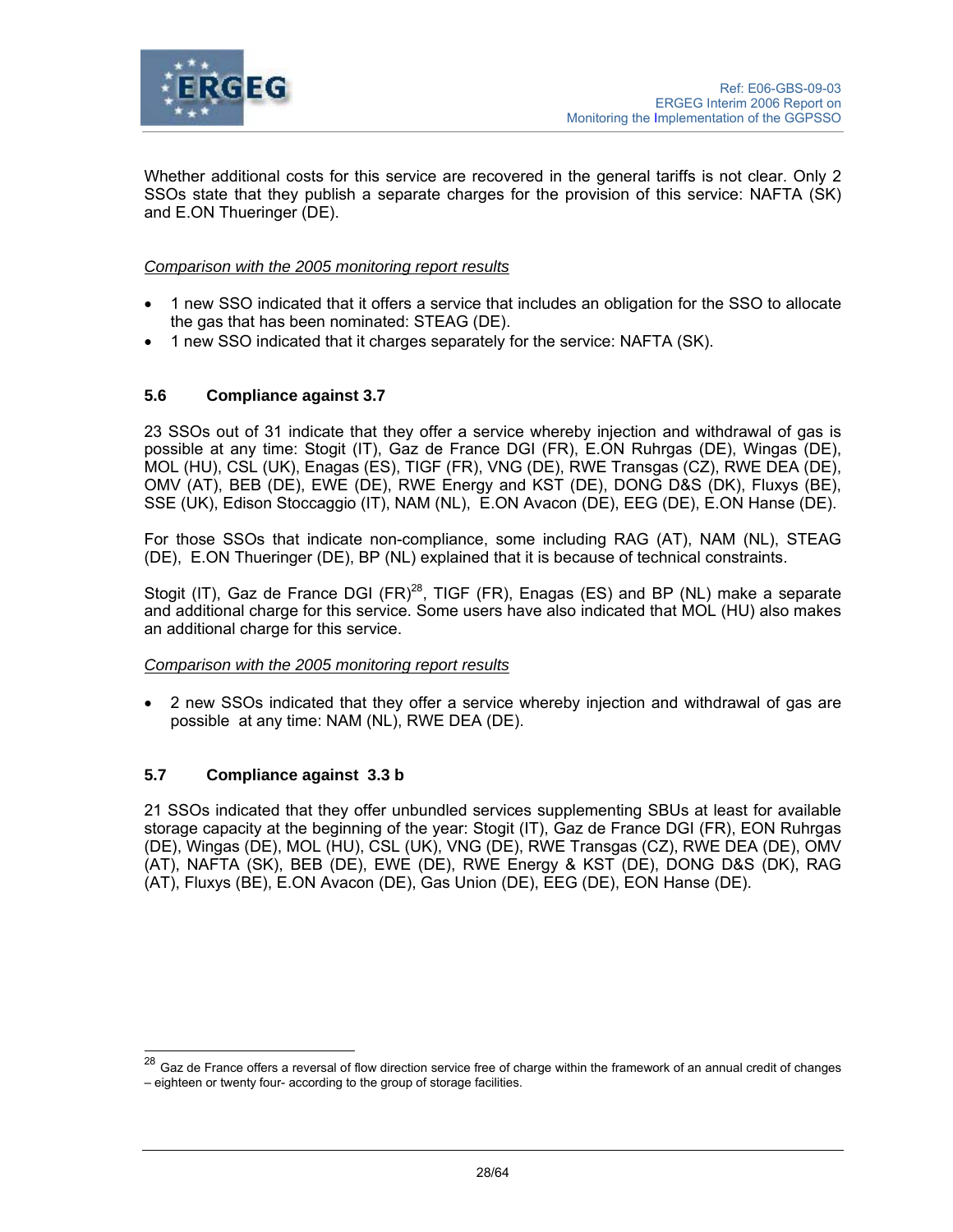

Whether additional costs for this service are recovered in the general tariffs is not clear. Only 2 SSOs state that they publish a separate charges for the provision of this service: NAFTA (SK) and E.ON Thueringer (DE).

### *Comparison with the 2005 monitoring report results*

- 1 new SSO indicated that it offers a service that includes an obligation for the SSO to allocate the gas that has been nominated: STEAG (DE).
- 1 new SSO indicated that it charges separately for the service: NAFTA (SK).

## **5.6 Compliance against 3.7**

23 SSOs out of 31 indicate that they offer a service whereby injection and withdrawal of gas is possible at any time: Stogit (IT), Gaz de France DGI (FR), E.ON Ruhrgas (DE), Wingas (DE), MOL (HU), CSL (UK), Enagas (ES), TIGF (FR), VNG (DE), RWE Transgas (CZ), RWE DEA (DE), OMV (AT), BEB (DE), EWE (DE), RWE Energy and KST (DE), DONG D&S (DK), Fluxys (BE), SSE (UK), Edison Stoccaggio (IT), NAM (NL), E.ON Avacon (DE), EEG (DE), E.ON Hanse (DE).

For those SSOs that indicate non-compliance, some including RAG (AT), NAM (NL), STEAG (DE), E.ON Thueringer (DE), BP (NL) explained that it is because of technical constraints.

Stogit (IT), Gaz de France DGI (FR)<sup>28</sup>, TIGF (FR), Enagas (ES) and BP (NL) make a separate and additional charge for this service. Some users have also indicated that MOL (HU) also makes an additional charge for this service.

#### *Comparison with the 2005 monitoring report results*

• 2 new SSOs indicated that they offer a service whereby injection and withdrawal of gas are possible at any time: NAM (NL), RWE DEA (DE).

## **5.7 Compliance against 3.3 b**

l

21 SSOs indicated that they offer unbundled services supplementing SBUs at least for available storage capacity at the beginning of the year: Stogit (IT), Gaz de France DGI (FR), EON Ruhrgas (DE), Wingas (DE), MOL (HU), CSL (UK), VNG (DE), RWE Transgas (CZ), RWE DEA (DE), OMV (AT), NAFTA (SK), BEB (DE), EWE (DE), RWE Energy & KST (DE), DONG D&S (DK), RAG (AT), Fluxys (BE), E.ON Avacon (DE), Gas Union (DE), EEG (DE), EON Hanse (DE).

<sup>&</sup>lt;sup>28</sup> Gaz de France offers a reversal of flow direction service free of charge within the framework of an annual credit of changes – eighteen or twenty four- according to the group of storage facilities.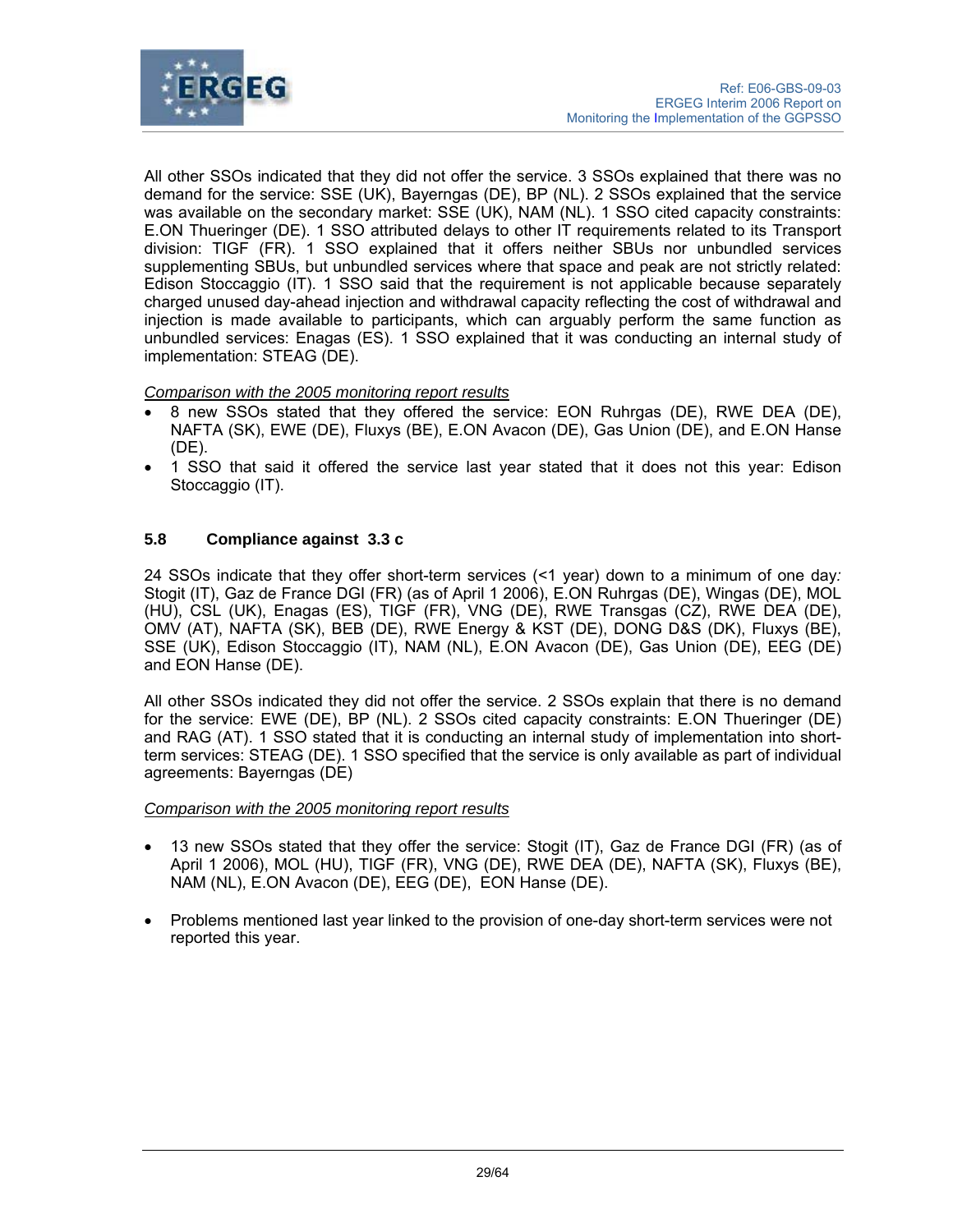

All other SSOs indicated that they did not offer the service. 3 SSOs explained that there was no demand for the service: SSE (UK), Bayerngas (DE), BP (NL). 2 SSOs explained that the service was available on the secondary market: SSE (UK), NAM (NL). 1 SSO cited capacity constraints: E.ON Thueringer (DE). 1 SSO attributed delays to other IT requirements related to its Transport division: TIGF (FR). 1 SSO explained that it offers neither SBUs nor unbundled services supplementing SBUs, but unbundled services where that space and peak are not strictly related: Edison Stoccaggio (IT). 1 SSO said that the requirement is not applicable because separately charged unused day-ahead injection and withdrawal capacity reflecting the cost of withdrawal and injection is made available to participants, which can arguably perform the same function as unbundled services: Enagas (ES). 1 SSO explained that it was conducting an internal study of implementation: STEAG (DE).

## *Comparison with the 2005 monitoring report results*

- 8 new SSOs stated that they offered the service: EON Ruhrgas (DE), RWE DEA (DE), NAFTA (SK), EWE (DE), Fluxys (BE), E.ON Avacon (DE), Gas Union (DE), and E.ON Hanse (DE).
- 1 SSO that said it offered the service last year stated that it does not this year: Edison Stoccaggio (IT).

## **5.8 Compliance against 3.3 c**

24 SSOs indicate that they offer short-term services (<1 year) down to a minimum of one day*:* Stogit (IT), Gaz de France DGI (FR) (as of April 1 2006), E.ON Ruhrgas (DE), Wingas (DE), MOL (HU), CSL (UK), Enagas (ES), TIGF (FR), VNG (DE), RWE Transgas (CZ), RWE DEA (DE), OMV (AT), NAFTA (SK), BEB (DE), RWE Energy & KST (DE), DONG D&S (DK), Fluxys (BE), SSE (UK), Edison Stoccaggio (IT), NAM (NL), E.ON Avacon (DE), Gas Union (DE), EEG (DE) and EON Hanse (DE).

All other SSOs indicated they did not offer the service. 2 SSOs explain that there is no demand for the service: EWE (DE), BP (NL). 2 SSOs cited capacity constraints: E.ON Thueringer (DE) and RAG (AT). 1 SSO stated that it is conducting an internal study of implementation into shortterm services: STEAG (DE). 1 SSO specified that the service is only available as part of individual agreements: Bayerngas (DE)

#### *Comparison with the 2005 monitoring report results*

- 13 new SSOs stated that they offer the service: Stogit (IT), Gaz de France DGI (FR) (as of April 1 2006), MOL (HU), TIGF (FR), VNG (DE), RWE DEA (DE), NAFTA (SK), Fluxys (BE), NAM (NL), E.ON Avacon (DE), EEG (DE), EON Hanse (DE).
- Problems mentioned last year linked to the provision of one-day short-term services were not reported this year.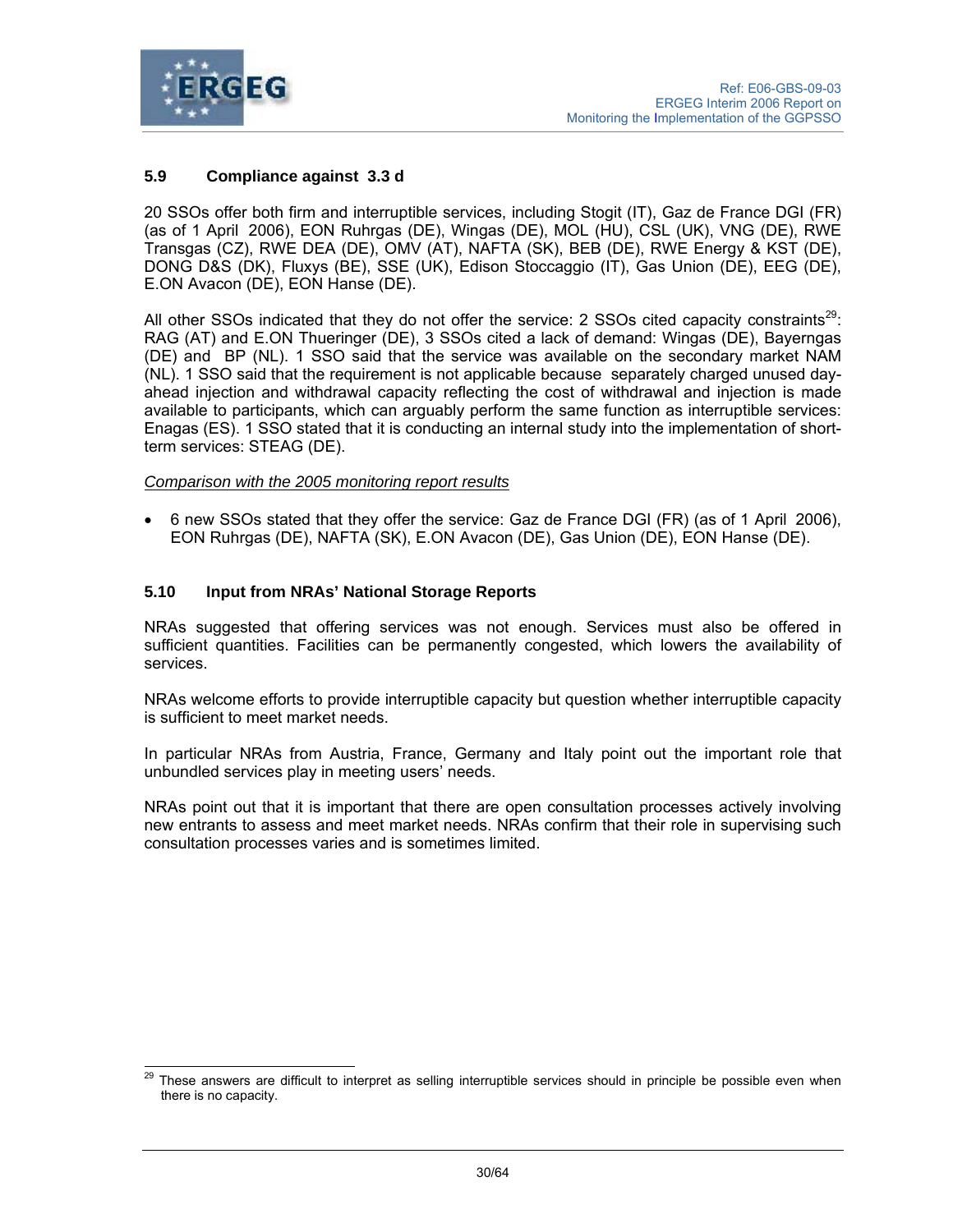

## **5.9 Compliance against 3.3 d**

20 SSOs offer both firm and interruptible services, including Stogit (IT), Gaz de France DGI (FR) (as of 1 April 2006), EON Ruhrgas (DE), Wingas (DE), MOL (HU), CSL (UK), VNG (DE), RWE Transgas (CZ), RWE DEA (DE), OMV (AT), NAFTA (SK), BEB (DE), RWE Energy & KST (DE), DONG D&S (DK), Fluxys (BE), SSE (UK), Edison Stoccaggio (IT), Gas Union (DE), EEG (DE), E.ON Avacon (DE), EON Hanse (DE).

All other SSOs indicated that they do not offer the service: 2 SSOs cited capacity constraints<sup>29</sup>: RAG (AT) and E.ON Thueringer (DE), 3 SSOs cited a lack of demand: Wingas (DE), Bayerngas (DE) and BP (NL). 1 SSO said that the service was available on the secondary market NAM (NL). 1 SSO said that the requirement is not applicable because separately charged unused dayahead injection and withdrawal capacity reflecting the cost of withdrawal and injection is made available to participants, which can arguably perform the same function as interruptible services: Enagas (ES). 1 SSO stated that it is conducting an internal study into the implementation of shortterm services: STEAG (DE).

*Comparison with the 2005 monitoring report results*

• 6 new SSOs stated that they offer the service: Gaz de France DGI (FR) (as of 1 April 2006), EON Ruhrgas (DE), NAFTA (SK), E.ON Avacon (DE), Gas Union (DE), EON Hanse (DE).

## **5.10 Input from NRAs' National Storage Reports**

NRAs suggested that offering services was not enough. Services must also be offered in sufficient quantities. Facilities can be permanently congested, which lowers the availability of services.

NRAs welcome efforts to provide interruptible capacity but question whether interruptible capacity is sufficient to meet market needs.

In particular NRAs from Austria, France, Germany and Italy point out the important role that unbundled services play in meeting users' needs.

NRAs point out that it is important that there are open consultation processes actively involving new entrants to assess and meet market needs. NRAs confirm that their role in supervising such consultation processes varies and is sometimes limited.

<sup>29</sup> These answers are difficult to interpret as selling interruptible services should in principle be possible even when there is no capacity.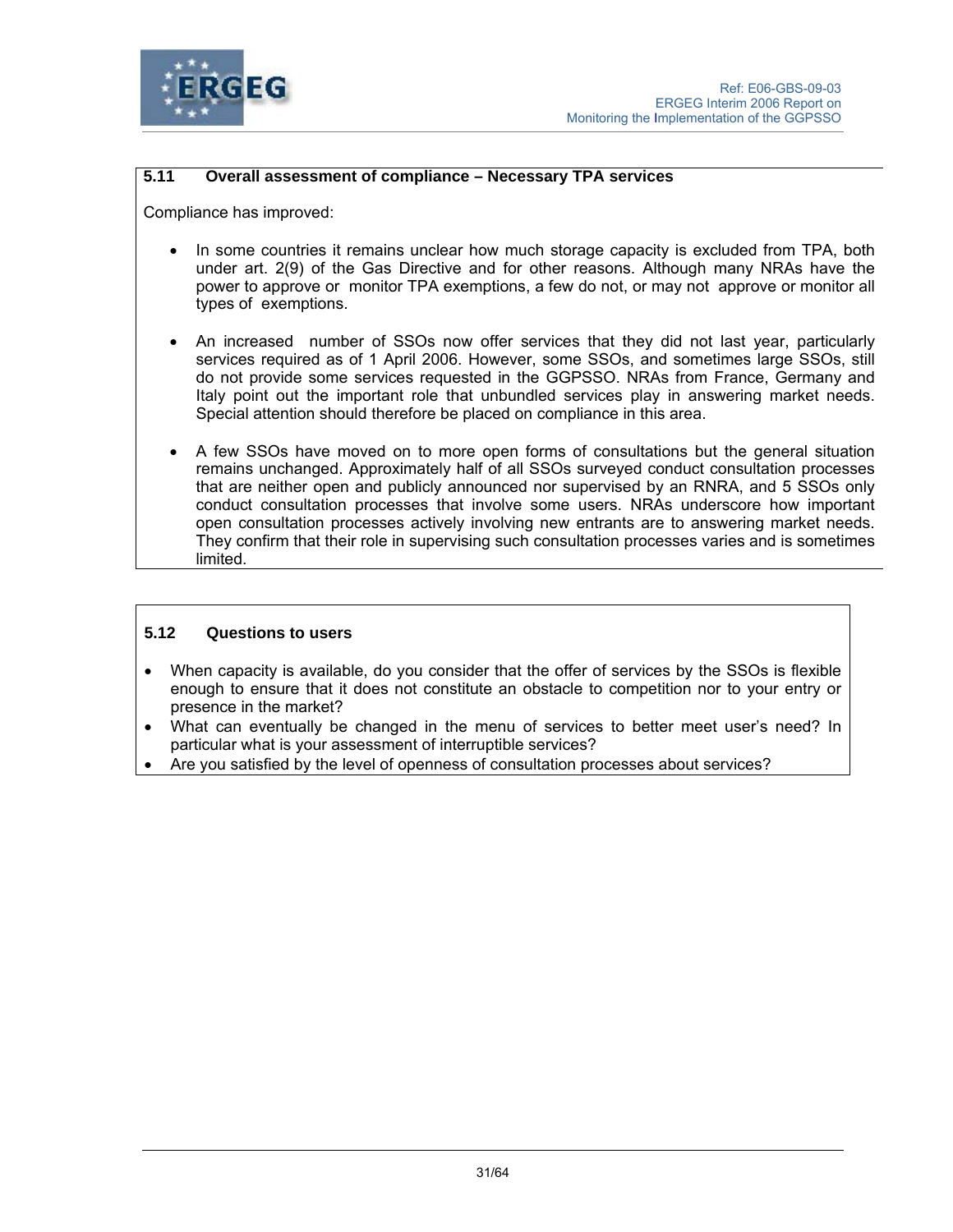

## **5.11 Overall assessment of compliance – Necessary TPA services**

Compliance has improved:

- In some countries it remains unclear how much storage capacity is excluded from TPA, both under art. 2(9) of the Gas Directive and for other reasons. Although many NRAs have the power to approve or monitor TPA exemptions, a few do not, or may not approve or monitor all types of exemptions.
- An increased number of SSOs now offer services that they did not last year, particularly services required as of 1 April 2006. However, some SSOs, and sometimes large SSOs, still do not provide some services requested in the GGPSSO. NRAs from France, Germany and Italy point out the important role that unbundled services play in answering market needs. Special attention should therefore be placed on compliance in this area.
- A few SSOs have moved on to more open forms of consultations but the general situation remains unchanged. Approximately half of all SSOs surveyed conduct consultation processes that are neither open and publicly announced nor supervised by an RNRA, and 5 SSOs only conduct consultation processes that involve some users. NRAs underscore how important open consultation processes actively involving new entrants are to answering market needs. They confirm that their role in supervising such consultation processes varies and is sometimes limited.

## **5.12 Questions to users**

- When capacity is available, do you consider that the offer of services by the SSOs is flexible enough to ensure that it does not constitute an obstacle to competition nor to your entry or presence in the market?
- What can eventually be changed in the menu of services to better meet user's need? In particular what is your assessment of interruptible services?
- Are you satisfied by the level of openness of consultation processes about services?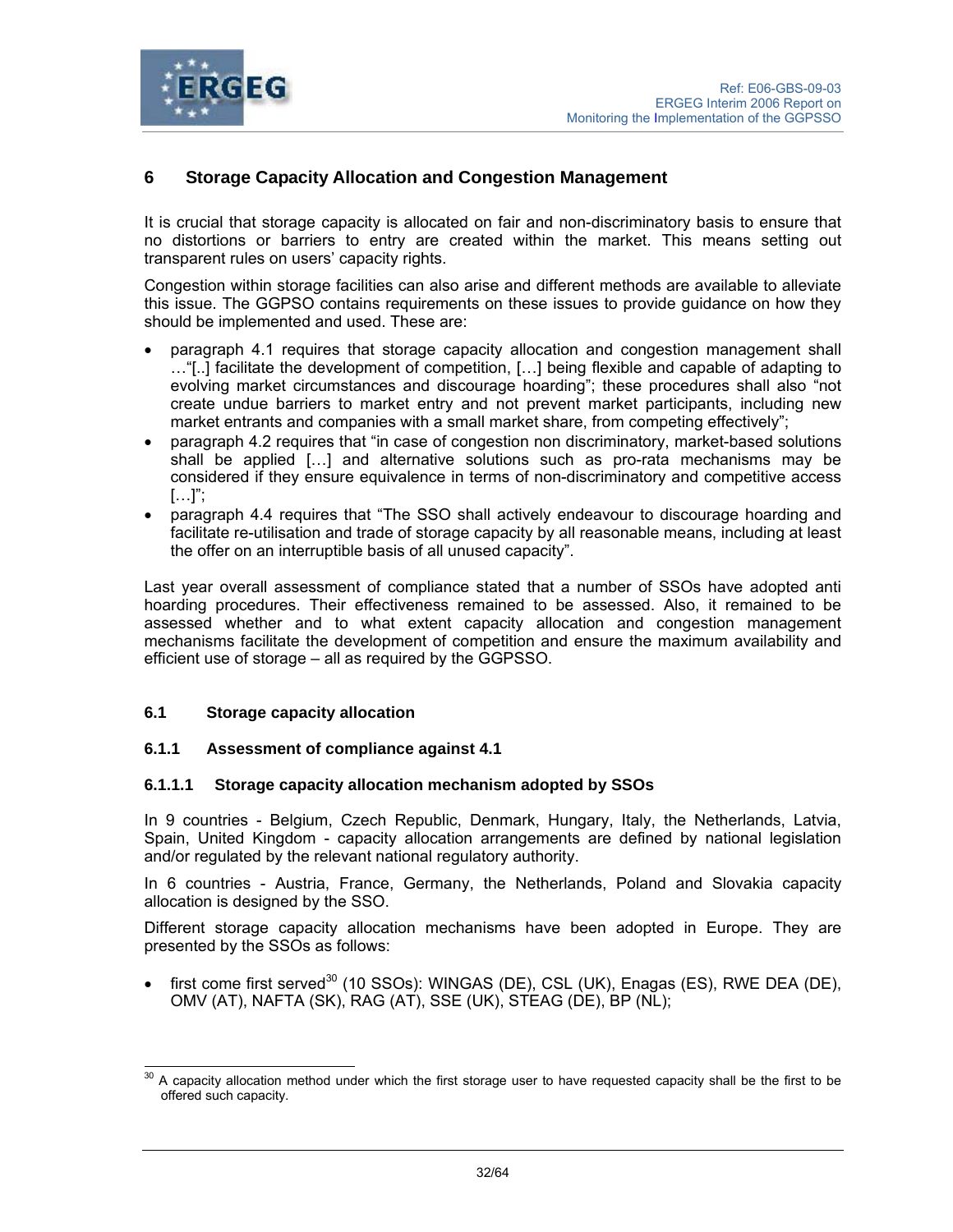

# **6 Storage Capacity Allocation and Congestion Management**

It is crucial that storage capacity is allocated on fair and non-discriminatory basis to ensure that no distortions or barriers to entry are created within the market. This means setting out transparent rules on users' capacity rights.

Congestion within storage facilities can also arise and different methods are available to alleviate this issue. The GGPSO contains requirements on these issues to provide guidance on how they should be implemented and used. These are:

- paragraph 4.1 requires that storage capacity allocation and congestion management shall …"[..] facilitate the development of competition, […] being flexible and capable of adapting to evolving market circumstances and discourage hoarding"; these procedures shall also "not create undue barriers to market entry and not prevent market participants, including new market entrants and companies with a small market share, from competing effectively";
- paragraph 4.2 requires that "in case of congestion non discriminatory, market-based solutions shall be applied […] and alternative solutions such as pro-rata mechanisms may be considered if they ensure equivalence in terms of non-discriminatory and competitive access  $[\ldots]$ ";
- paragraph 4.4 requires that "The SSO shall actively endeavour to discourage hoarding and facilitate re-utilisation and trade of storage capacity by all reasonable means, including at least the offer on an interruptible basis of all unused capacity".

Last year overall assessment of compliance stated that a number of SSOs have adopted anti hoarding procedures. Their effectiveness remained to be assessed. Also, it remained to be assessed whether and to what extent capacity allocation and congestion management mechanisms facilitate the development of competition and ensure the maximum availability and efficient use of storage – all as required by the GGPSSO.

#### **6.1 Storage capacity allocation**

## **6.1.1 Assessment of compliance against 4.1**

#### **6.1.1.1 Storage capacity allocation mechanism adopted by SSOs**

In 9 countries - Belgium, Czech Republic, Denmark, Hungary, Italy, the Netherlands, Latvia, Spain, United Kingdom - capacity allocation arrangements are defined by national legislation and/or regulated by the relevant national regulatory authority.

In 6 countries - Austria, France, Germany, the Netherlands, Poland and Slovakia capacity allocation is designed by the SSO.

Different storage capacity allocation mechanisms have been adopted in Europe. They are presented by the SSOs as follows:

• first come first served<sup>30</sup> (10 SSOs): WINGAS (DE), CSL (UK), Enagas (ES), RWE DEA (DE), OMV (AT), NAFTA (SK), RAG (AT), SSE (UK), STEAG (DE), BP (NL);

l 30 A capacity allocation method under which the first storage user to have requested capacity shall be the first to be offered such capacity.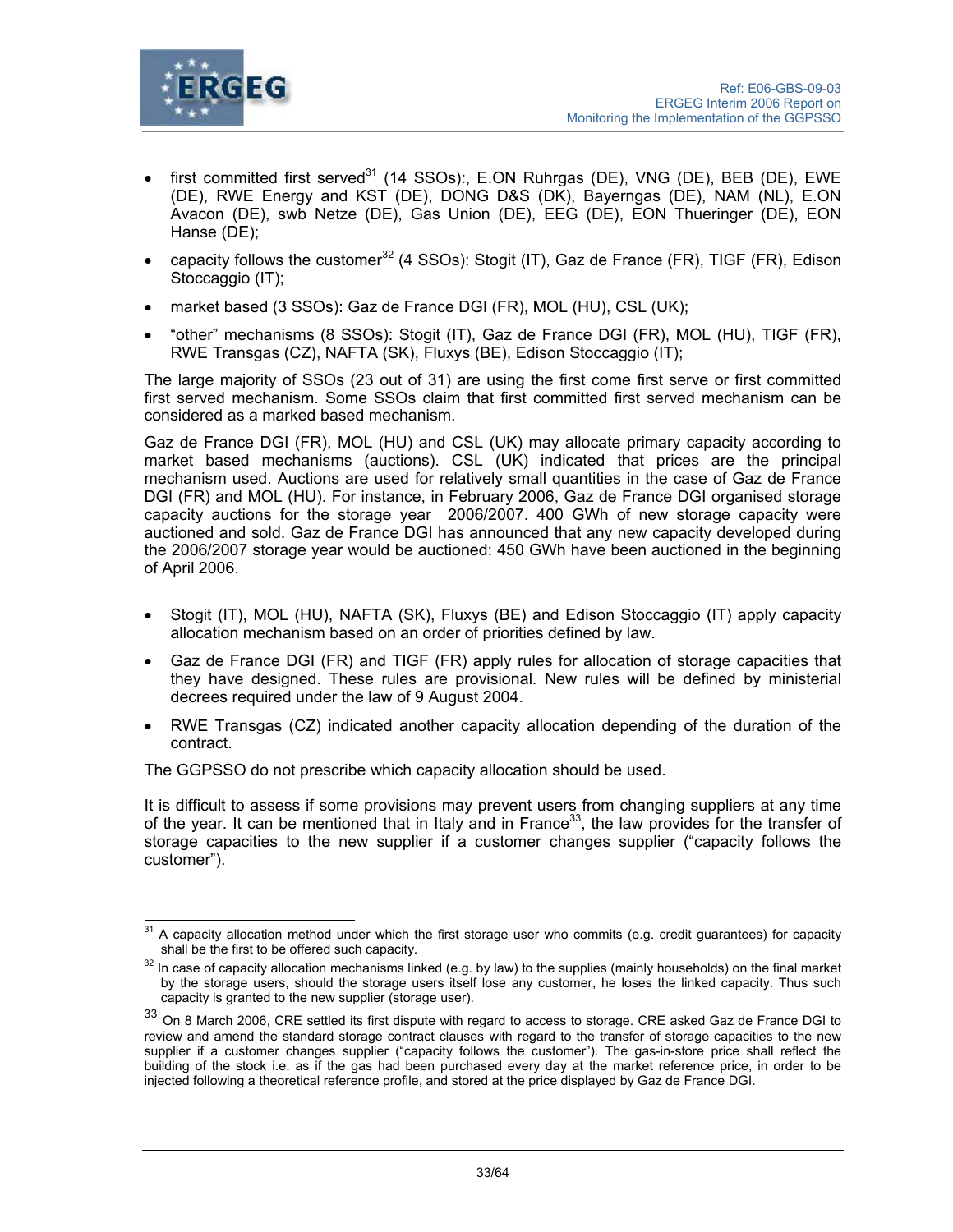

- first committed first served<sup>31</sup> (14 SSOs):, E.ON Ruhrgas (DE), VNG (DE), BEB (DE), EWE (DE), RWE Energy and KST (DE), DONG D&S (DK), Bayerngas (DE), NAM (NL), E.ON Avacon (DE), swb Netze (DE), Gas Union (DE), EEG (DE), EON Thueringer (DE), EON Hanse (DE);
- capacity follows the customer<sup>32</sup> (4 SSOs): Stogit (IT), Gaz de France (FR), TIGF (FR), Edison Stoccaggio (IT);
- market based (3 SSOs): Gaz de France DGI (FR), MOL (HU), CSL (UK);
- "other" mechanisms (8 SSOs): Stogit (IT), Gaz de France DGI (FR), MOL (HU), TIGF (FR), RWE Transgas (CZ), NAFTA (SK), Fluxys (BE), Edison Stoccaggio (IT);

The large majority of SSOs (23 out of 31) are using the first come first serve or first committed first served mechanism. Some SSOs claim that first committed first served mechanism can be considered as a marked based mechanism.

Gaz de France DGI (FR), MOL (HU) and CSL (UK) may allocate primary capacity according to market based mechanisms (auctions). CSL (UK) indicated that prices are the principal mechanism used. Auctions are used for relatively small quantities in the case of Gaz de France DGI (FR) and MOL (HU). For instance, in February 2006, Gaz de France DGI organised storage capacity auctions for the storage year 2006/2007. 400 GWh of new storage capacity were auctioned and sold. Gaz de France DGI has announced that any new capacity developed during the 2006/2007 storage year would be auctioned: 450 GWh have been auctioned in the beginning of April 2006.

- Stogit (IT), MOL (HU), NAFTA (SK), Fluxys (BE) and Edison Stoccaggio (IT) apply capacity allocation mechanism based on an order of priorities defined by law.
- Gaz de France DGI (FR) and TIGF (FR) apply rules for allocation of storage capacities that they have designed. These rules are provisional. New rules will be defined by ministerial decrees required under the law of 9 August 2004.
- RWE Transgas (CZ) indicated another capacity allocation depending of the duration of the contract.

The GGPSSO do not prescribe which capacity allocation should be used.

It is difficult to assess if some provisions may prevent users from changing suppliers at any time of the year. It can be mentioned that in Italy and in France<sup>33</sup>, the law provides for the transfer of storage capacities to the new supplier if a customer changes supplier ("capacity follows the customer").

 $\overline{a}$  $31$  A capacity allocation method under which the first storage user who commits (e.g. credit guarantees) for capacity

shall be the first to be offered such capacity.<br><sup>32</sup> In case of capacity allocation mechanisms linked (e.g. by law) to the supplies (mainly households) on the final market by the storage users, should the storage users itself lose any customer, he loses the linked capacity. Thus such capacity is granted to the new supplier (storage user).

<sup>33</sup> On 8 March 2006, CRE settled its first dispute with regard to access to storage. CRE asked Gaz de France DGI to review and amend the standard storage contract clauses with regard to the transfer of storage capacities to the new supplier if a customer changes supplier ("capacity follows the customer"). The gas-in-store price shall reflect the building of the stock i.e. as if the gas had been purchased every day at the market reference price, in order to be injected following a theoretical reference profile, and stored at the price displayed by Gaz de France DGI.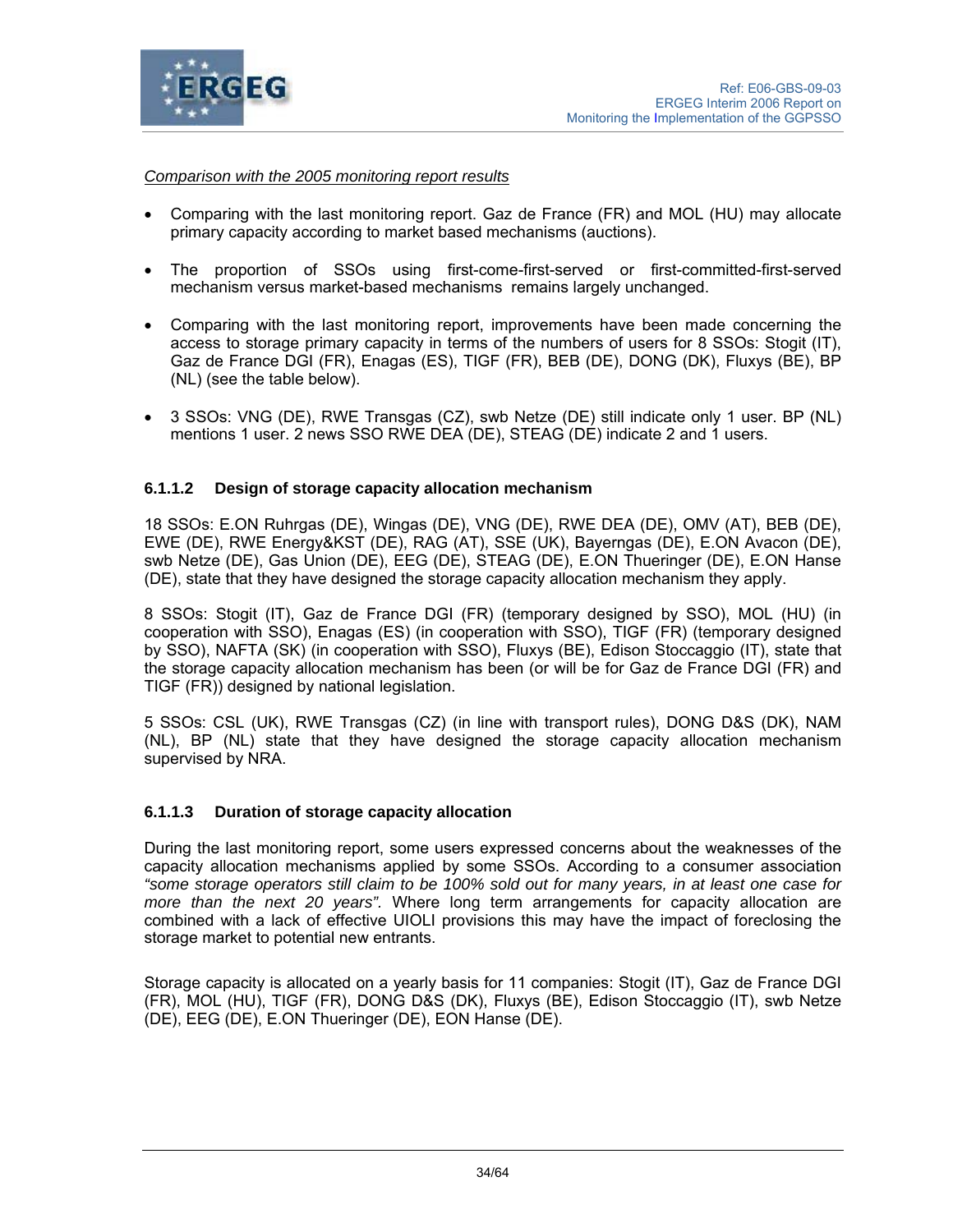

## *Comparison with the 2005 monitoring report results*

- Comparing with the last monitoring report. Gaz de France (FR) and MOL (HU) may allocate primary capacity according to market based mechanisms (auctions).
- The proportion of SSOs using first-come-first-served or first-committed-first-served mechanism versus market-based mechanisms remains largely unchanged.
- Comparing with the last monitoring report, improvements have been made concerning the access to storage primary capacity in terms of the numbers of users for 8 SSOs: Stogit (IT), Gaz de France DGI (FR), Enagas (ES), TIGF (FR), BEB (DE), DONG (DK), Fluxys (BE), BP (NL) (see the table below).
- 3 SSOs: VNG (DE), RWE Transgas (CZ), swb Netze (DE) still indicate only 1 user. BP (NL) mentions 1 user. 2 news SSO RWE DEA (DE), STEAG (DE) indicate 2 and 1 users.

### **6.1.1.2 Design of storage capacity allocation mechanism**

18 SSOs: E.ON Ruhrgas (DE), Wingas (DE), VNG (DE), RWE DEA (DE), OMV (AT), BEB (DE), EWE (DE), RWE Energy&KST (DE), RAG (AT), SSE (UK), Bayerngas (DE), E.ON Avacon (DE), swb Netze (DE), Gas Union (DE), EEG (DE), STEAG (DE), E.ON Thueringer (DE), E.ON Hanse (DE), state that they have designed the storage capacity allocation mechanism they apply.

8 SSOs: Stogit (IT), Gaz de France DGI (FR) (temporary designed by SSO), MOL (HU) (in cooperation with SSO), Enagas (ES) (in cooperation with SSO), TIGF (FR) (temporary designed by SSO), NAFTA (SK) (in cooperation with SSO), Fluxys (BE), Edison Stoccaggio (IT), state that the storage capacity allocation mechanism has been (or will be for Gaz de France DGI (FR) and TIGF (FR)) designed by national legislation.

5 SSOs: CSL (UK), RWE Transgas (CZ) (in line with transport rules), DONG D&S (DK), NAM (NL), BP (NL) state that they have designed the storage capacity allocation mechanism supervised by NRA.

#### **6.1.1.3 Duration of storage capacity allocation**

During the last monitoring report, some users expressed concerns about the weaknesses of the capacity allocation mechanisms applied by some SSOs. According to a consumer association *"some storage operators still claim to be 100% sold out for many years, in at least one case for more than the next 20 years".* Where long term arrangements for capacity allocation are combined with a lack of effective UIOLI provisions this may have the impact of foreclosing the storage market to potential new entrants.

Storage capacity is allocated on a yearly basis for 11 companies: Stogit (IT), Gaz de France DGI (FR), MOL (HU), TIGF (FR), DONG D&S (DK), Fluxys (BE), Edison Stoccaggio (IT), swb Netze (DE), EEG (DE), E.ON Thueringer (DE), EON Hanse (DE).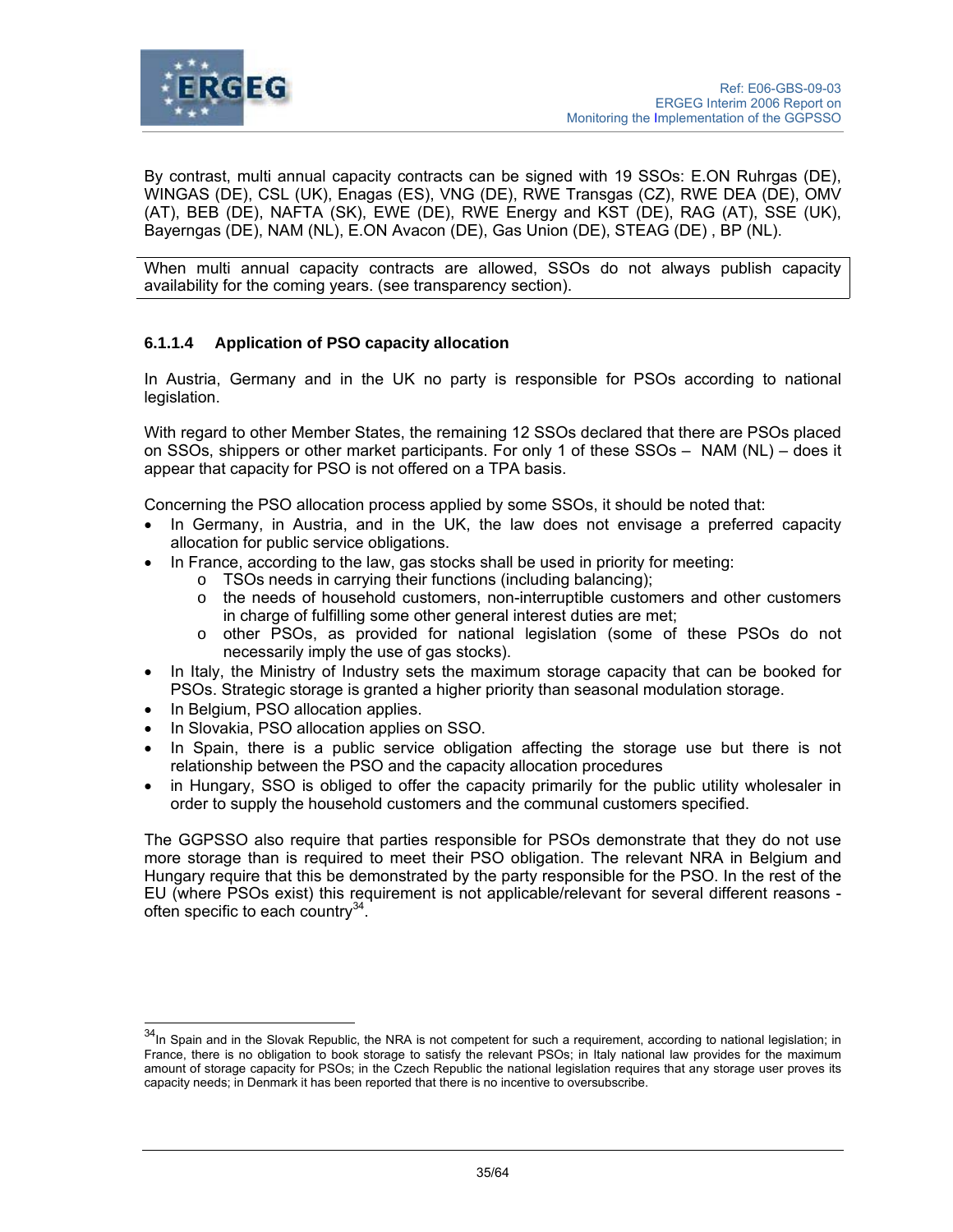

By contrast, multi annual capacity contracts can be signed with 19 SSOs: E.ON Ruhrgas (DE), WINGAS (DE), CSL (UK), Enagas (ES), VNG (DE), RWE Transgas (CZ), RWE DEA (DE), OMV (AT), BEB (DE), NAFTA (SK), EWE (DE), RWE Energy and KST (DE), RAG (AT), SSE (UK), Bayerngas (DE), NAM (NL), E.ON Avacon (DE), Gas Union (DE), STEAG (DE) , BP (NL).

When multi annual capacity contracts are allowed, SSOs do not always publish capacity availability for the coming years. (see transparency section).

# **6.1.1.4 Application of PSO capacity allocation**

In Austria, Germany and in the UK no party is responsible for PSOs according to national legislation.

With regard to other Member States, the remaining 12 SSOs declared that there are PSOs placed on SSOs, shippers or other market participants. For only 1 of these SSOs – NAM (NL) – does it appear that capacity for PSO is not offered on a TPA basis.

Concerning the PSO allocation process applied by some SSOs, it should be noted that:

- In Germany, in Austria, and in the UK, the law does not envisage a preferred capacity allocation for public service obligations.
- In France, according to the law, gas stocks shall be used in priority for meeting:
	- o TSOs needs in carrying their functions (including balancing);
		- $\circ$  the needs of household customers, non-interruptible customers and other customers in charge of fulfilling some other general interest duties are met;
		- o other PSOs, as provided for national legislation (some of these PSOs do not necessarily imply the use of gas stocks).
- In Italy, the Ministry of Industry sets the maximum storage capacity that can be booked for PSOs. Strategic storage is granted a higher priority than seasonal modulation storage.
- In Belgium, PSO allocation applies.

l

- In Slovakia, PSO allocation applies on SSO.
- In Spain, there is a public service obligation affecting the storage use but there is not relationship between the PSO and the capacity allocation procedures
- in Hungary, SSO is obliged to offer the capacity primarily for the public utility wholesaler in order to supply the household customers and the communal customers specified.

The GGPSSO also require that parties responsible for PSOs demonstrate that they do not use more storage than is required to meet their PSO obligation. The relevant NRA in Belgium and Hungary require that this be demonstrated by the party responsible for the PSO. In the rest of the EU (where PSOs exist) this requirement is not applicable/relevant for several different reasons often specific to each country<sup>34</sup>.

<sup>&</sup>lt;sup>34</sup>In Spain and in the Slovak Republic, the NRA is not competent for such a requirement, according to national legislation; in France, there is no obligation to book storage to satisfy the relevant PSOs; in Italy national law provides for the maximum amount of storage capacity for PSOs; in the Czech Republic the national legislation requires that any storage user proves its capacity needs; in Denmark it has been reported that there is no incentive to oversubscribe.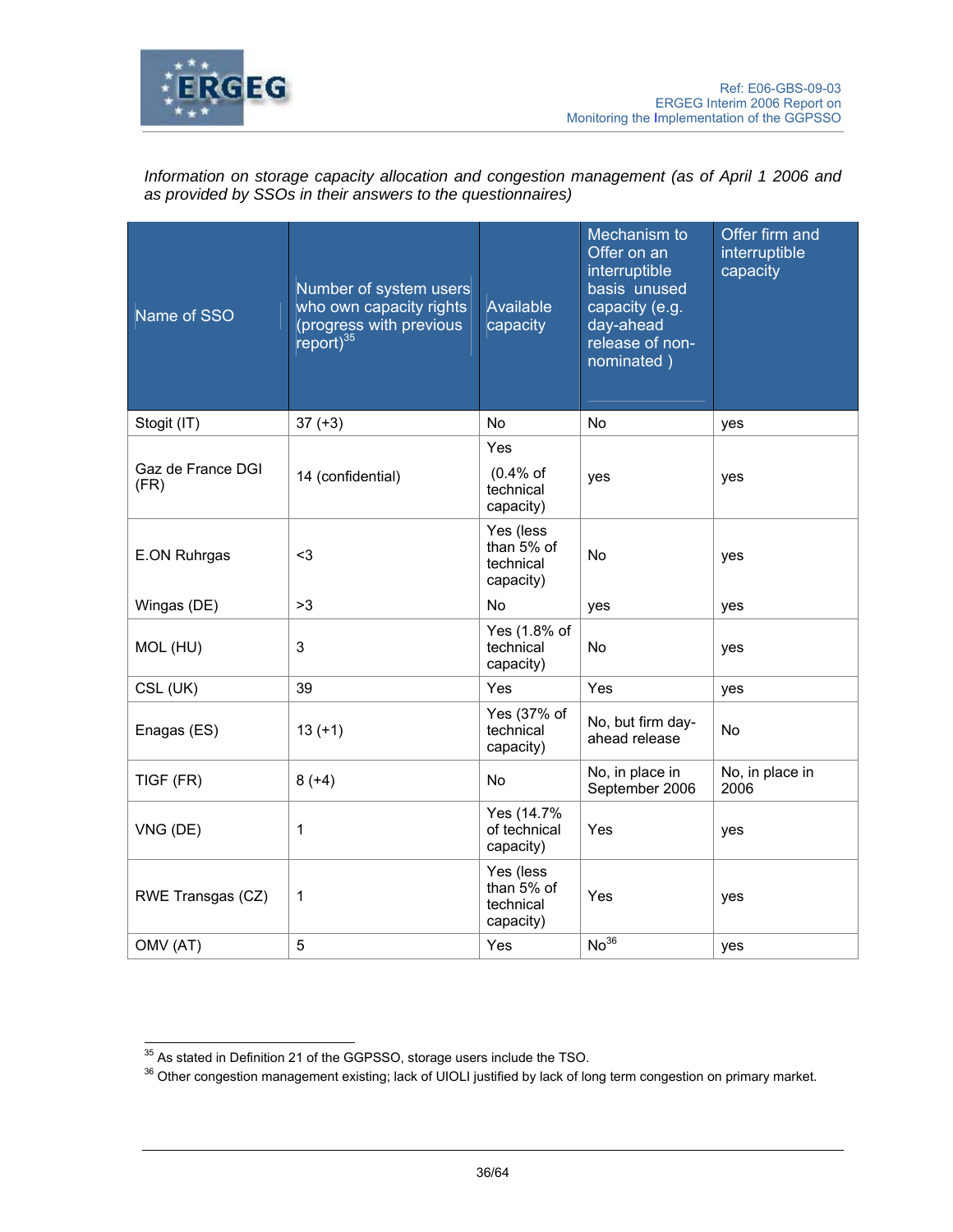

Information on storage capacity allocation and congestion management (as of April 1 2006 and *as provided by SSOs in their answers to the questionnaires)* 

| Name of SSO               | Number of system users<br>who own capacity rights<br>(progress with previous<br>$report)^{35}$ | Available<br>capacity                             | Mechanism to<br>Offer on an<br>interruptible<br>basis unused<br>capacity (e.g.<br>day-ahead<br>release of non-<br>nominated) | Offer firm and<br>interruptible<br>capacity |
|---------------------------|------------------------------------------------------------------------------------------------|---------------------------------------------------|------------------------------------------------------------------------------------------------------------------------------|---------------------------------------------|
| Stogit (IT)               | $37 (+3)$                                                                                      | <b>No</b>                                         | <b>No</b>                                                                                                                    | yes                                         |
| Gaz de France DGI<br>(FR) | 14 (confidential)                                                                              | Yes<br>$(0.4%$ of<br>technical<br>capacity)       | yes                                                                                                                          | yes                                         |
| E.ON Ruhrgas              | $3$                                                                                            | Yes (less<br>than 5% of<br>technical<br>capacity) | No                                                                                                                           | yes                                         |
| Wingas (DE)               | >3                                                                                             | No                                                | yes                                                                                                                          | yes                                         |
| MOL (HU)                  | 3                                                                                              | Yes (1.8% of<br>technical<br>capacity)            | No                                                                                                                           | yes                                         |
| CSL (UK)                  | 39                                                                                             | Yes                                               | Yes                                                                                                                          | yes                                         |
| Enagas (ES)               | $13 (+1)$                                                                                      | Yes (37% of<br>technical<br>capacity)             | No, but firm day-<br>ahead release                                                                                           | No                                          |
| TIGF (FR)                 | $8 (+4)$                                                                                       | No                                                | No, in place in<br>September 2006                                                                                            | No, in place in<br>2006                     |
| VNG (DE)                  | 1                                                                                              | Yes (14.7%<br>of technical<br>capacity)           | Yes                                                                                                                          | yes                                         |
| RWE Transgas (CZ)         | 1                                                                                              | Yes (less<br>than 5% of<br>technical<br>capacity) | Yes                                                                                                                          | yes                                         |
| OMV (AT)                  | 5                                                                                              | Yes                                               | No <sup>36</sup>                                                                                                             | yes                                         |

<sup>&</sup>lt;sup>35</sup> As stated in Definition 21 of the GGPSSO, storage users include the TSO.

<sup>&</sup>lt;sup>36</sup> Other congestion management existing; lack of UIOLI justified by lack of long term congestion on primary market.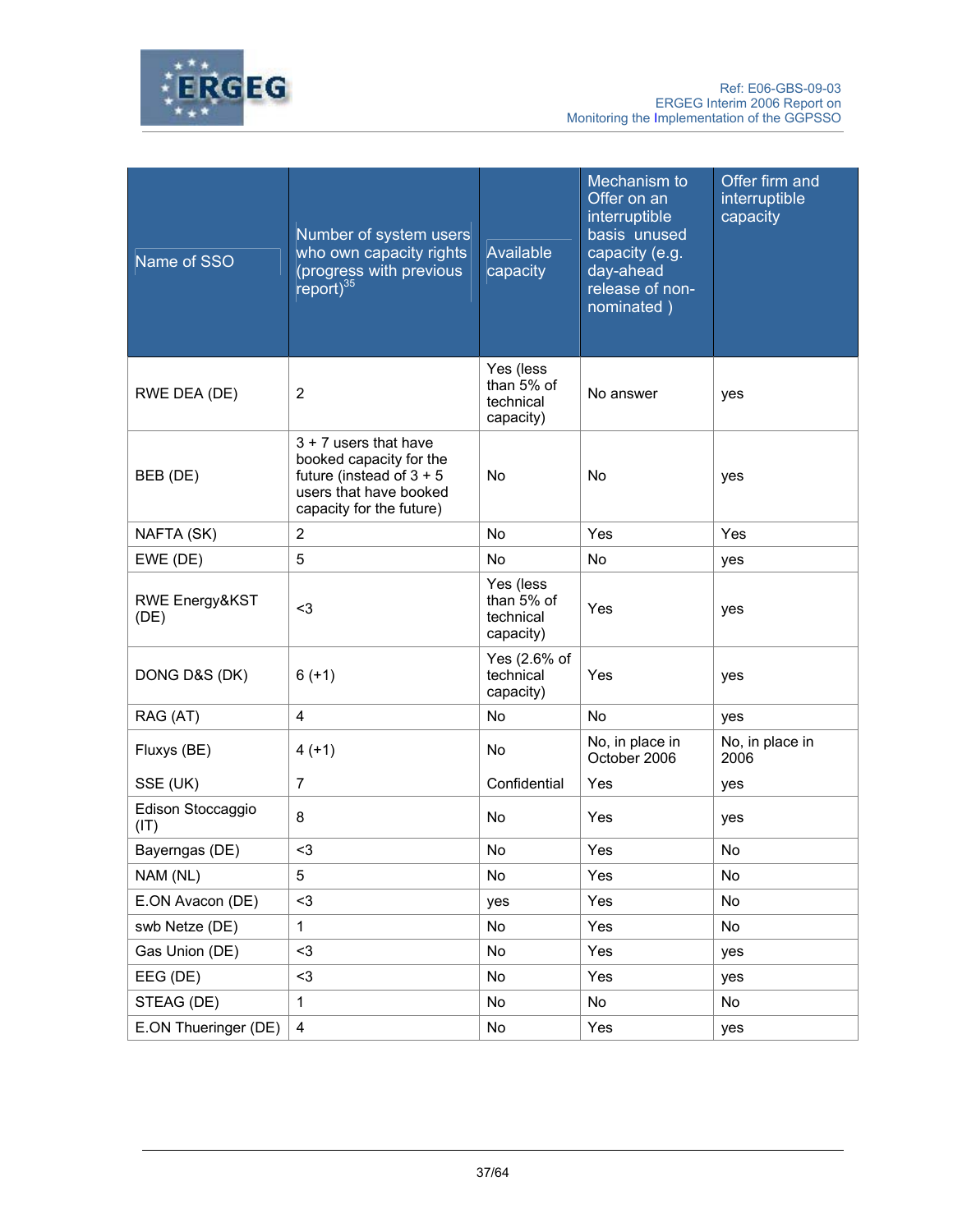

| Name of SSO                       | Number of system users<br>who own capacity rights<br>(progress with previous<br>report) $35$                                           | Available<br>capacity                               | Mechanism to<br>Offer on an<br>interruptible<br>basis unused<br>capacity (e.g.<br>day-ahead<br>release of non-<br>nominated) | Offer firm and<br>interruptible<br>capacity |
|-----------------------------------|----------------------------------------------------------------------------------------------------------------------------------------|-----------------------------------------------------|------------------------------------------------------------------------------------------------------------------------------|---------------------------------------------|
| RWE DEA (DE)                      | $\overline{2}$                                                                                                                         | Yes (less<br>than 5% of<br>technical<br>capacity)   | No answer                                                                                                                    | yes                                         |
| BEB (DE)                          | $3 + 7$ users that have<br>booked capacity for the<br>future (instead of $3 + 5$<br>users that have booked<br>capacity for the future) | No                                                  | <b>No</b>                                                                                                                    | yes                                         |
| NAFTA (SK)                        | $\overline{2}$                                                                                                                         | <b>No</b>                                           | Yes                                                                                                                          | Yes                                         |
| EWE (DE)                          | 5                                                                                                                                      | <b>No</b>                                           | <b>No</b>                                                                                                                    | yes                                         |
| <b>RWE Energy&amp;KST</b><br>(DE) | $3$                                                                                                                                    | Yes (less<br>than $5%$ of<br>technical<br>capacity) | Yes                                                                                                                          | yes                                         |
| DONG D&S (DK)                     | $6(+1)$                                                                                                                                | Yes (2.6% of<br>technical<br>capacity)              | Yes                                                                                                                          | yes                                         |
| RAG (AT)                          | 4                                                                                                                                      | <b>No</b>                                           | <b>No</b>                                                                                                                    | yes                                         |
| Fluxys (BE)                       | $4(+1)$                                                                                                                                | <b>No</b>                                           | No, in place in<br>October 2006                                                                                              | No, in place in<br>2006                     |
| SSE (UK)                          | 7                                                                                                                                      | Confidential                                        | Yes                                                                                                                          | yes                                         |
| Edison Stoccaggio<br>(IT)         | 8                                                                                                                                      | No                                                  | Yes                                                                                                                          | yes                                         |
| Bayerngas (DE)                    | $3$                                                                                                                                    | No                                                  | Yes                                                                                                                          | <b>No</b>                                   |
| NAM (NL)                          | 5                                                                                                                                      | No                                                  | Yes                                                                                                                          | No                                          |
| E.ON Avacon (DE)                  | $3$                                                                                                                                    | yes                                                 | Yes                                                                                                                          | No                                          |
| swb Netze (DE)                    | $\mathbf{1}$                                                                                                                           | No                                                  | Yes                                                                                                                          | No                                          |
| Gas Union (DE)                    | $3$                                                                                                                                    | No                                                  | Yes                                                                                                                          | yes                                         |
| EEG (DE)                          | $3$                                                                                                                                    | No                                                  | Yes                                                                                                                          | yes                                         |
| STEAG (DE)                        | $\mathbf{1}$                                                                                                                           | No                                                  | No                                                                                                                           | No                                          |
| E.ON Thueringer (DE)              | 4                                                                                                                                      | No                                                  | Yes                                                                                                                          | yes                                         |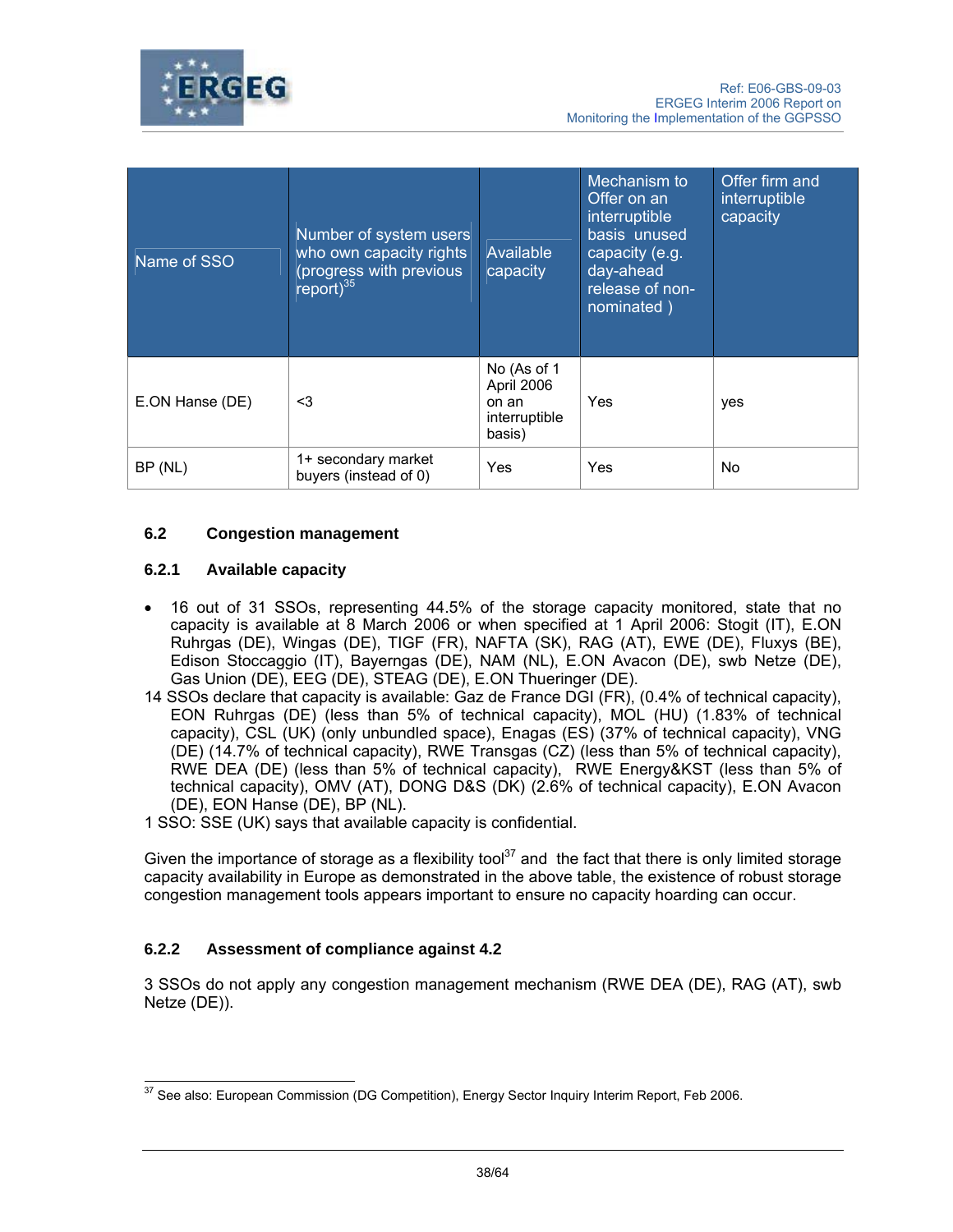

| Name of SSO     | Number of system users<br>who own capacity rights<br>(progress with previous<br>$\text{report}$ <sup>35</sup> | Available<br>capacity                                         | Mechanism to<br>Offer on an<br>interruptible<br>basis unused<br>capacity (e.g.<br>day-ahead<br>release of non-<br>nominated) | Offer firm and<br>interruptible<br>capacity |
|-----------------|---------------------------------------------------------------------------------------------------------------|---------------------------------------------------------------|------------------------------------------------------------------------------------------------------------------------------|---------------------------------------------|
| E.ON Hanse (DE) | $3$                                                                                                           | No (As of 1<br>April 2006<br>on an<br>interruptible<br>basis) | Yes                                                                                                                          | yes                                         |
| BP (NL)         | 1+ secondary market<br>buyers (instead of 0)                                                                  | Yes                                                           | Yes                                                                                                                          | No.                                         |

# **6.2 Congestion management**

## **6.2.1 Available capacity**

- 16 out of 31 SSOs, representing 44.5% of the storage capacity monitored, state that no capacity is available at 8 March 2006 or when specified at 1 April 2006: Stogit (IT), E.ON Ruhrgas (DE), Wingas (DE), TIGF (FR), NAFTA (SK), RAG (AT), EWE (DE), Fluxys (BE), Edison Stoccaggio (IT), Bayerngas (DE), NAM (NL), E.ON Avacon (DE), swb Netze (DE), Gas Union (DE), EEG (DE), STEAG (DE), E.ON Thueringer (DE).
- 14 SSOs declare that capacity is available: Gaz de France DGI (FR), (0.4% of technical capacity), EON Ruhrgas (DE) (less than 5% of technical capacity), MOL (HU) (1.83% of technical capacity), CSL (UK) (only unbundled space), Enagas (ES) (37% of technical capacity), VNG (DE) (14.7% of technical capacity), RWE Transgas (CZ) (less than 5% of technical capacity), RWE DEA (DE) (less than 5% of technical capacity), RWE Energy&KST (less than 5% of technical capacity), OMV (AT), DONG D&S (DK) (2.6% of technical capacity), E.ON Avacon (DE), EON Hanse (DE), BP (NL).
- 1 SSO: SSE (UK) says that available capacity is confidential.

Given the importance of storage as a flexibility tool<sup>37</sup> and the fact that there is only limited storage capacity availability in Europe as demonstrated in the above table, the existence of robust storage congestion management tools appears important to ensure no capacity hoarding can occur.

## **6.2.2 Assessment of compliance against 4.2**

3 SSOs do not apply any congestion management mechanism (RWE DEA (DE), RAG (AT), swb Netze (DE)).

 $\overline{a}$  $37$  See also: European Commission (DG Competition), Energy Sector Inquiry Interim Report, Feb 2006.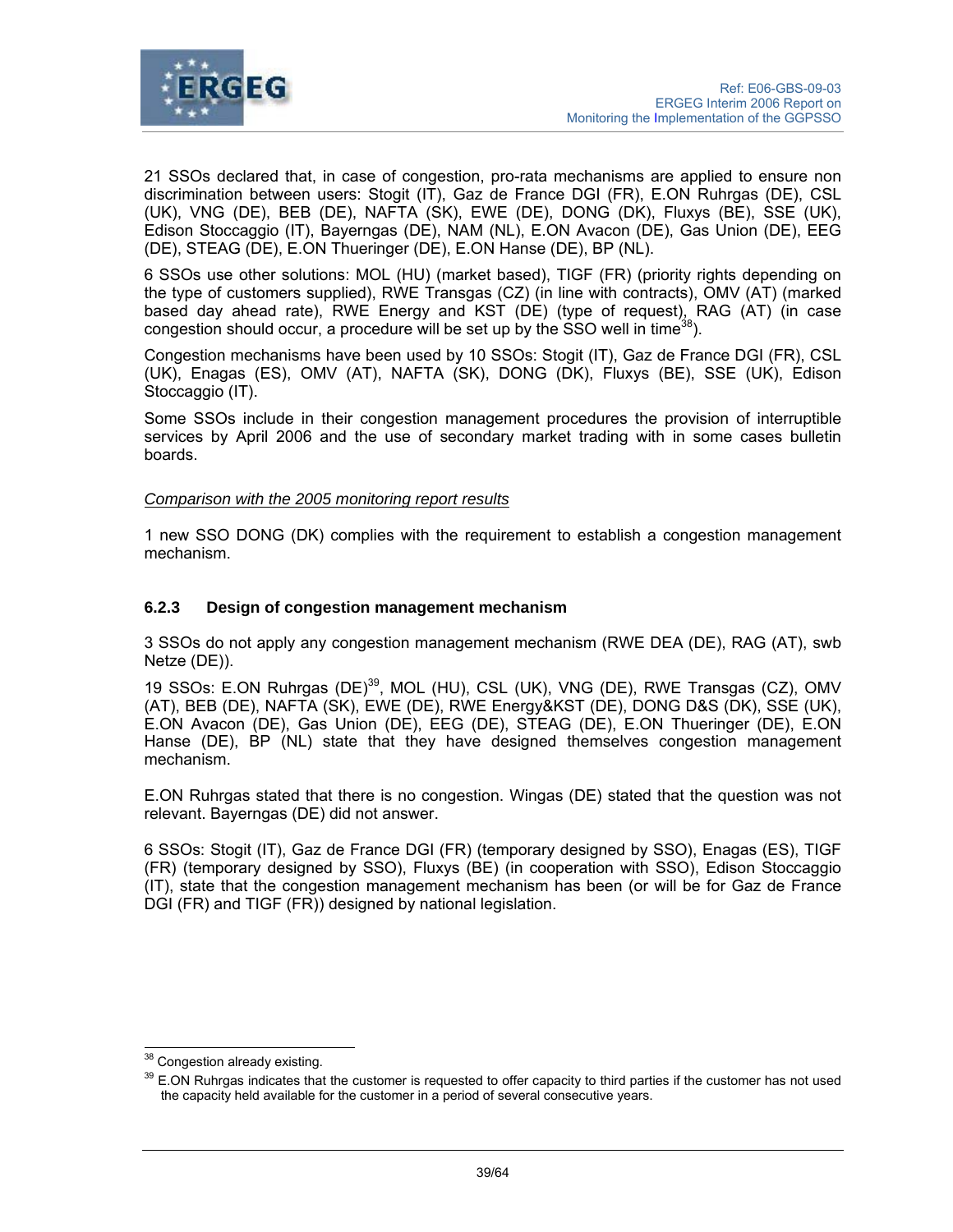

21 SSOs declared that, in case of congestion, pro-rata mechanisms are applied to ensure non discrimination between users: Stogit (IT), Gaz de France DGI (FR), E.ON Ruhrgas (DE), CSL (UK), VNG (DE), BEB (DE), NAFTA (SK), EWE (DE), DONG (DK), Fluxys (BE), SSE (UK), Edison Stoccaggio (IT), Bayerngas (DE), NAM (NL), E.ON Avacon (DE), Gas Union (DE), EEG (DE), STEAG (DE), E.ON Thueringer (DE), E.ON Hanse (DE), BP (NL).

6 SSOs use other solutions: MOL (HU) (market based), TIGF (FR) (priority rights depending on the type of customers supplied), RWE Transgas (CZ) (in line with contracts), OMV (AT) (marked based day ahead rate), RWE Energy and KST (DE) (type of request), RAG (AT) (in case congestion should occur, a procedure will be set up by the SSO well in time<sup>38</sup>).

Congestion mechanisms have been used by 10 SSOs: Stogit (IT), Gaz de France DGI (FR), CSL (UK), Enagas (ES), OMV (AT), NAFTA (SK), DONG (DK), Fluxys (BE), SSE (UK), Edison Stoccaggio (IT).

Some SSOs include in their congestion management procedures the provision of interruptible services by April 2006 and the use of secondary market trading with in some cases bulletin boards.

### *Comparison with the 2005 monitoring report results*

1 new SSO DONG (DK) complies with the requirement to establish a congestion management mechanism.

### **6.2.3 Design of congestion management mechanism**

3 SSOs do not apply any congestion management mechanism (RWE DEA (DE), RAG (AT), swb Netze (DE)).

19 SSOs: E.ON Ruhrgas (DE)<sup>39</sup>, MOL (HU), CSL (UK), VNG (DE), RWE Transgas (CZ), OMV (AT), BEB (DE), NAFTA (SK), EWE (DE), RWE Energy&KST (DE), DONG D&S (DK), SSE (UK), E.ON Avacon (DE), Gas Union (DE), EEG (DE), STEAG (DE), E.ON Thueringer (DE), E.ON Hanse (DE), BP (NL) state that they have designed themselves congestion management mechanism.

E.ON Ruhrgas stated that there is no congestion. Wingas (DE) stated that the question was not relevant. Bayerngas (DE) did not answer.

6 SSOs: Stogit (IT), Gaz de France DGI (FR) (temporary designed by SSO), Enagas (ES), TIGF (FR) (temporary designed by SSO), Fluxys (BE) (in cooperation with SSO), Edison Stoccaggio (IT), state that the congestion management mechanism has been (or will be for Gaz de France DGI (FR) and TIGF (FR)) designed by national legislation.

 $\overline{a}$ 

<sup>&</sup>lt;sup>38</sup> Congestion already existing.

<sup>&</sup>lt;sup>39</sup> E.ON Ruhraas indicates that the customer is requested to offer capacity to third parties if the customer has not used the capacity held available for the customer in a period of several consecutive years.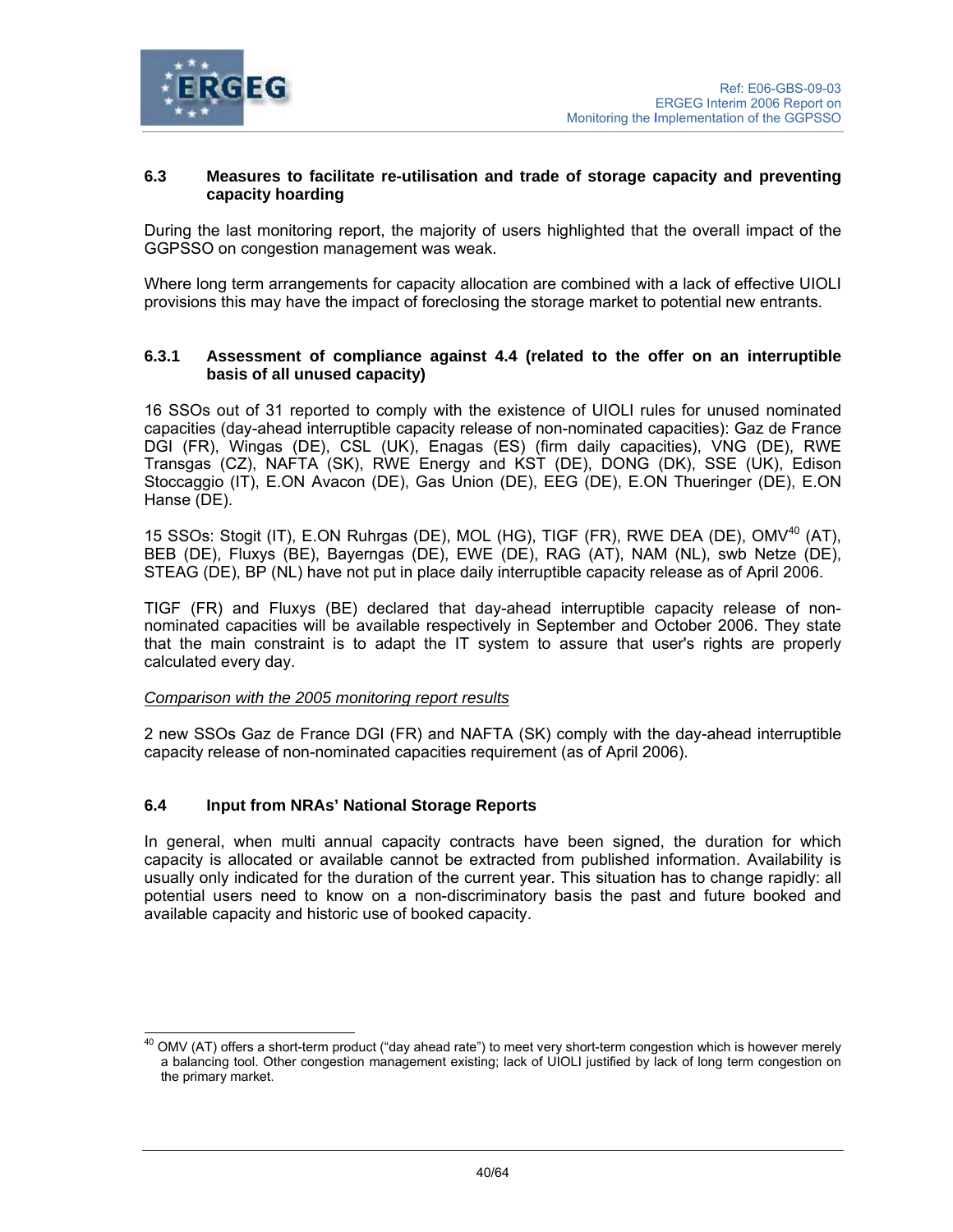

## **6.3 Measures to facilitate re-utilisation and trade of storage capacity and preventing capacity hoarding**

During the last monitoring report, the majority of users highlighted that the overall impact of the GGPSSO on congestion management was weak.

Where long term arrangements for capacity allocation are combined with a lack of effective UIOLI provisions this may have the impact of foreclosing the storage market to potential new entrants.

## **6.3.1 Assessment of compliance against 4.4 (related to the offer on an interruptible basis of all unused capacity)**

16 SSOs out of 31 reported to comply with the existence of UIOLI rules for unused nominated capacities (day-ahead interruptible capacity release of non-nominated capacities): Gaz de France DGI (FR), Wingas (DE), CSL (UK), Enagas (ES) (firm daily capacities), VNG (DE), RWE Transgas (CZ), NAFTA (SK), RWE Energy and KST (DE), DONG (DK), SSE (UK), Edison Stoccaggio (IT), E.ON Avacon (DE), Gas Union (DE), EEG (DE), E.ON Thueringer (DE), E.ON Hanse (DE).

15 SSOs: Stogit (IT), E.ON Ruhrgas (DE), MOL (HG), TIGF (FR), RWE DEA (DE), OMV<sup>40</sup> (AT), BEB (DE), Fluxys (BE), Bayerngas (DE), EWE (DE), RAG (AT), NAM (NL), swb Netze (DE), STEAG (DE), BP (NL) have not put in place daily interruptible capacity release as of April 2006.

TIGF (FR) and Fluxys (BE) declared that day-ahead interruptible capacity release of nonnominated capacities will be available respectively in September and October 2006. They state that the main constraint is to adapt the IT system to assure that user's rights are properly calculated every day.

## *Comparison with the 2005 monitoring report results*

2 new SSOs Gaz de France DGI (FR) and NAFTA (SK) comply with the day-ahead interruptible capacity release of non-nominated capacities requirement (as of April 2006).

## **6.4 Input from NRAs' National Storage Reports**

In general, when multi annual capacity contracts have been signed, the duration for which capacity is allocated or available cannot be extracted from published information. Availability is usually only indicated for the duration of the current year. This situation has to change rapidly: all potential users need to know on a non-discriminatory basis the past and future booked and available capacity and historic use of booked capacity.

 $\overline{\phantom{a}}$  $^{40}$  OMV (AT) offers a short-term product ("day ahead rate") to meet very short-term congestion which is however merely a balancing tool. Other congestion management existing; lack of UIOLI justified by lack of long term congestion on the primary market.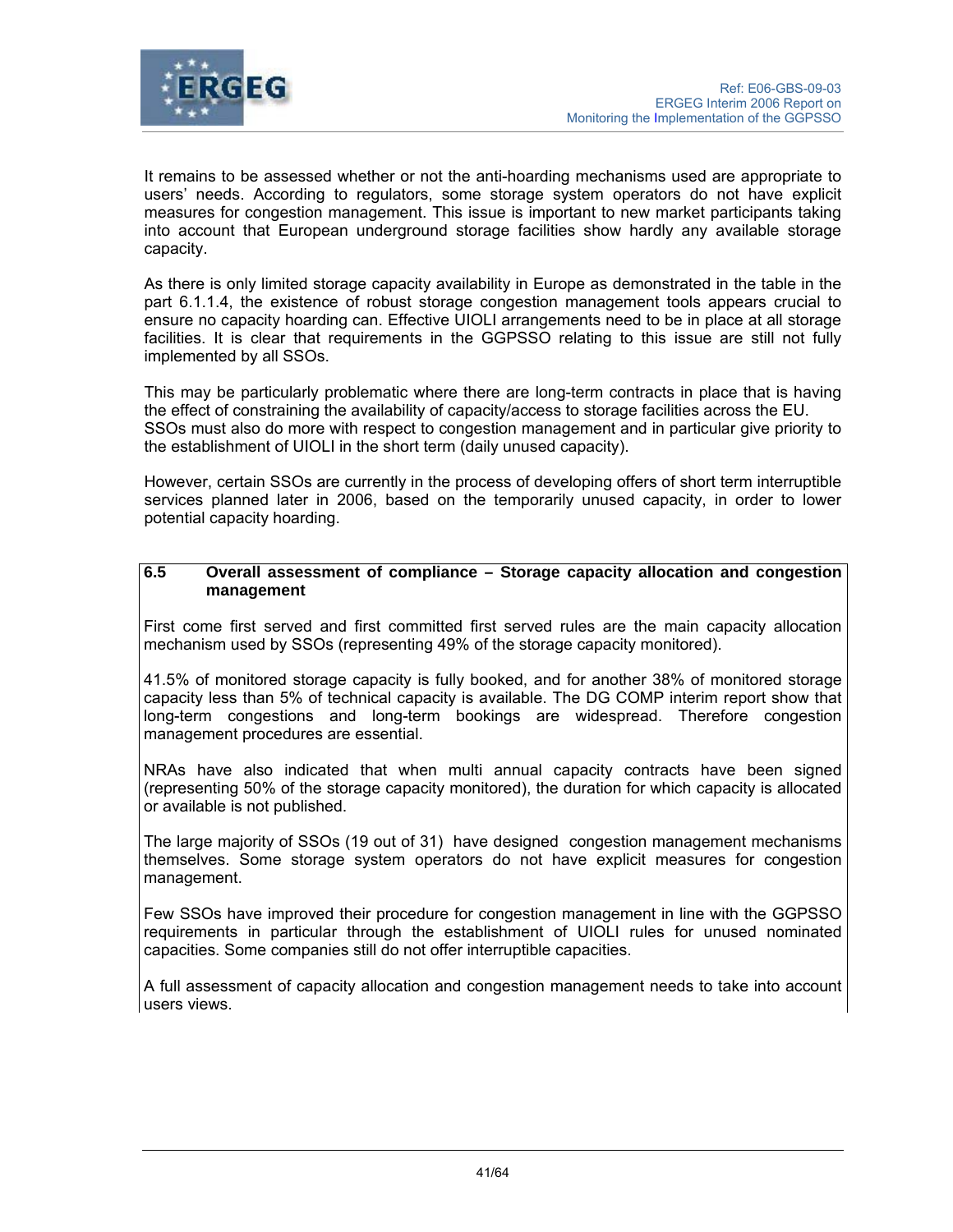

It remains to be assessed whether or not the anti-hoarding mechanisms used are appropriate to users' needs. According to regulators, some storage system operators do not have explicit measures for congestion management. This issue is important to new market participants taking into account that European underground storage facilities show hardly any available storage capacity.

As there is only limited storage capacity availability in Europe as demonstrated in the table in the part 6.1.1.4, the existence of robust storage congestion management tools appears crucial to ensure no capacity hoarding can. Effective UIOLI arrangements need to be in place at all storage facilities. It is clear that requirements in the GGPSSO relating to this issue are still not fully implemented by all SSOs.

This may be particularly problematic where there are long-term contracts in place that is having the effect of constraining the availability of capacity/access to storage facilities across the EU. SSOs must also do more with respect to congestion management and in particular give priority to the establishment of UIOLI in the short term (daily unused capacity).

However, certain SSOs are currently in the process of developing offers of short term interruptible services planned later in 2006, based on the temporarily unused capacity, in order to lower potential capacity hoarding.

## **6.5 Overall assessment of compliance – Storage capacity allocation and congestion management**

First come first served and first committed first served rules are the main capacity allocation mechanism used by SSOs (representing 49% of the storage capacity monitored).

41.5% of monitored storage capacity is fully booked, and for another 38% of monitored storage capacity less than 5% of technical capacity is available. The DG COMP interim report show that long-term congestions and long-term bookings are widespread. Therefore congestion management procedures are essential.

NRAs have also indicated that when multi annual capacity contracts have been signed (representing 50% of the storage capacity monitored), the duration for which capacity is allocated or available is not published.

The large majority of SSOs (19 out of 31) have designed congestion management mechanisms themselves. Some storage system operators do not have explicit measures for congestion management.

Few SSOs have improved their procedure for congestion management in line with the GGPSSO requirements in particular through the establishment of UIOLI rules for unused nominated capacities. Some companies still do not offer interruptible capacities.

A full assessment of capacity allocation and congestion management needs to take into account users views.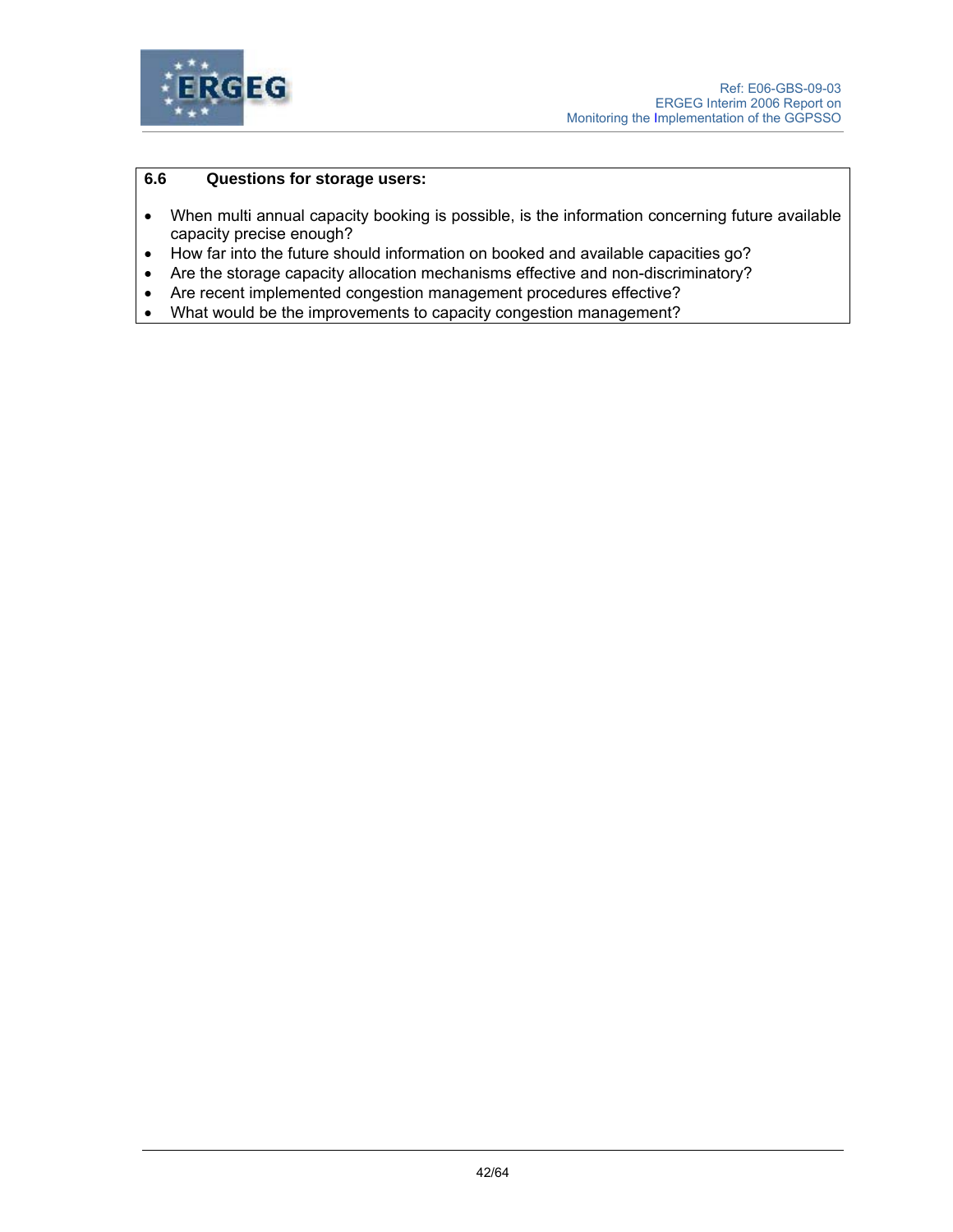

## **6.6 Questions for storage users:**

- When multi annual capacity booking is possible, is the information concerning future available capacity precise enough?
- How far into the future should information on booked and available capacities go?
- Are the storage capacity allocation mechanisms effective and non-discriminatory?
- Are recent implemented congestion management procedures effective?
- What would be the improvements to capacity congestion management?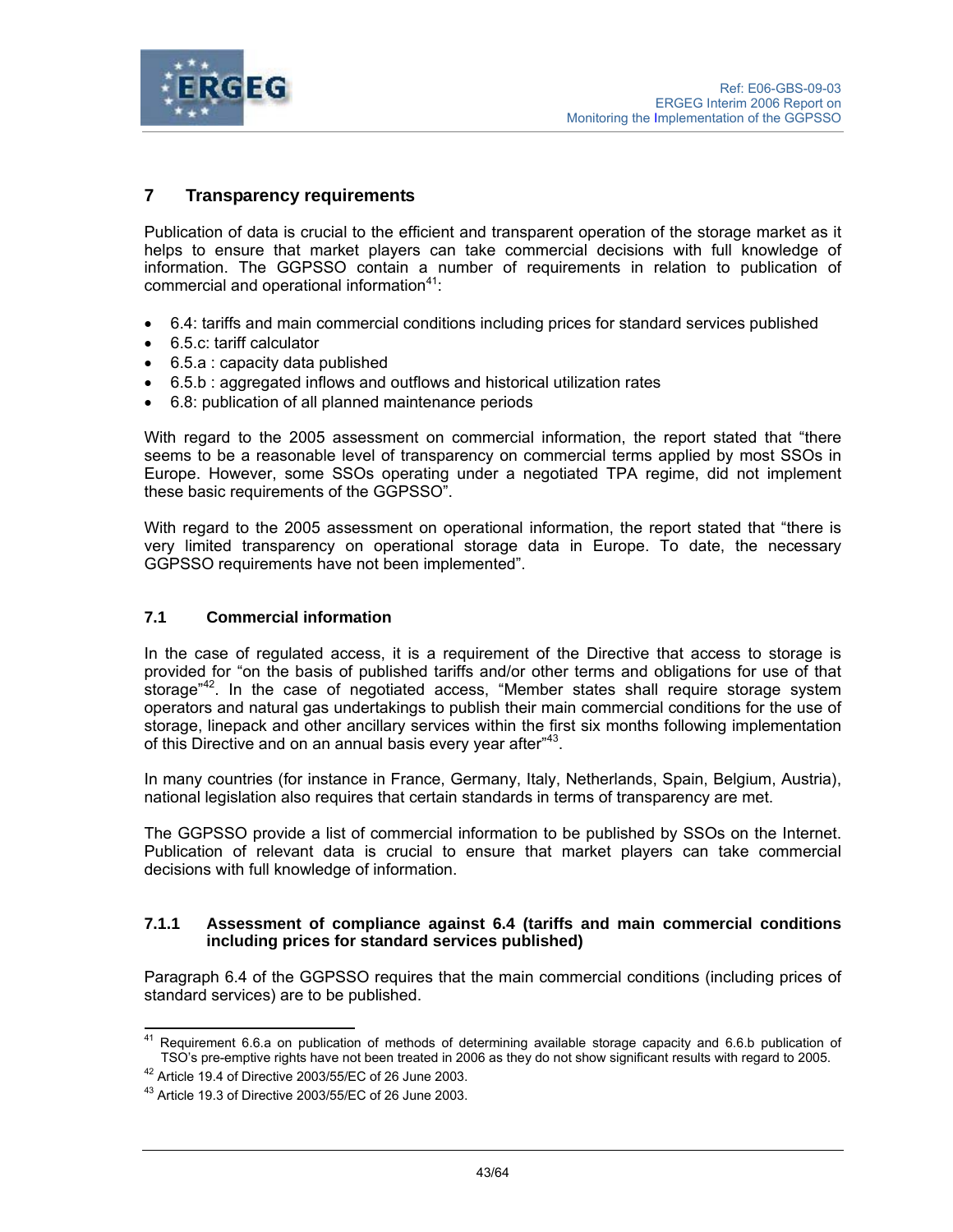

# **7 Transparency requirements**

Publication of data is crucial to the efficient and transparent operation of the storage market as it helps to ensure that market players can take commercial decisions with full knowledge of information. The GGPSSO contain a number of requirements in relation to publication of commercial and operational information<sup>41</sup>:

- 6.4: tariffs and main commercial conditions including prices for standard services published
- 6.5.c: tariff calculator
- 6.5.a : capacity data published
- 6.5.b : aggregated inflows and outflows and historical utilization rates
- 6.8: publication of all planned maintenance periods

With regard to the 2005 assessment on commercial information, the report stated that "there seems to be a reasonable level of transparency on commercial terms applied by most SSOs in Europe. However, some SSOs operating under a negotiated TPA regime, did not implement these basic requirements of the GGPSSO".

With regard to the 2005 assessment on operational information, the report stated that "there is very limited transparency on operational storage data in Europe. To date, the necessary GGPSSO requirements have not been implemented".

#### **7.1 Commercial information**

In the case of regulated access, it is a requirement of the Directive that access to storage is provided for "on the basis of published tariffs and/or other terms and obligations for use of that storage<sup>"42</sup>. In the case of negotiated access, "Member states shall require storage system operators and natural gas undertakings to publish their main commercial conditions for the use of storage, linepack and other ancillary services within the first six months following implementation of this Directive and on an annual basis every year after<sup>"43</sup>.

In many countries (for instance in France, Germany, Italy, Netherlands, Spain, Belgium, Austria), national legislation also requires that certain standards in terms of transparency are met.

The GGPSSO provide a list of commercial information to be published by SSOs on the Internet. Publication of relevant data is crucial to ensure that market players can take commercial decisions with full knowledge of information.

#### **7.1.1 Assessment of compliance against 6.4 (tariffs and main commercial conditions including prices for standard services published)**

Paragraph 6.4 of the GGPSSO requires that the main commercial conditions (including prices of standard services) are to be published.

<sup>41</sup> 41 Requirement 6.6.a on publication of methods of determining available storage capacity and 6.6.b publication of TSO's pre-emptive rights have not been treated in 2006 as they do not show significant results with regard to 2005. 42 Article 19.4 of Directive 2003/55/EC of 26 June 2003.

<sup>43</sup> Article 19.3 of Directive 2003/55/EC of 26 June 2003.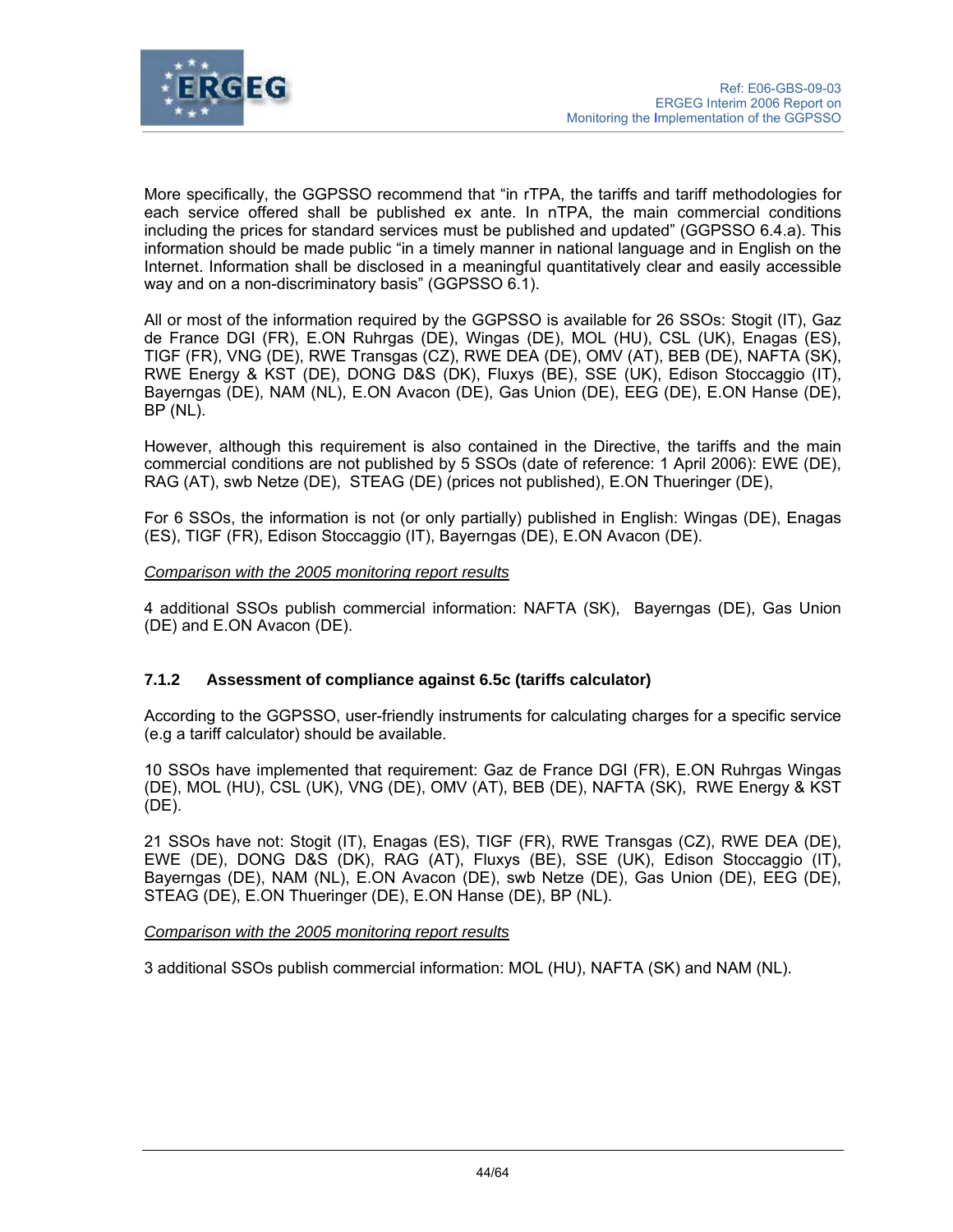

More specifically, the GGPSSO recommend that "in rTPA, the tariffs and tariff methodologies for each service offered shall be published ex ante. In nTPA, the main commercial conditions including the prices for standard services must be published and updated" (GGPSSO 6.4.a). This information should be made public "in a timely manner in national language and in English on the Internet. Information shall be disclosed in a meaningful quantitatively clear and easily accessible way and on a non-discriminatory basis" (GGPSSO 6.1).

All or most of the information required by the GGPSSO is available for 26 SSOs: Stogit (IT), Gaz de France DGI (FR), E.ON Ruhrgas (DE), Wingas (DE), MOL (HU), CSL (UK), Enagas (ES), TIGF (FR), VNG (DE), RWE Transgas (CZ), RWE DEA (DE), OMV (AT), BEB (DE), NAFTA (SK), RWE Energy & KST (DE), DONG D&S (DK), Fluxys (BE), SSE (UK), Edison Stoccaggio (IT), Bayerngas (DE), NAM (NL), E.ON Avacon (DE), Gas Union (DE), EEG (DE), E.ON Hanse (DE), BP (NL).

However, although this requirement is also contained in the Directive, the tariffs and the main commercial conditions are not published by 5 SSOs (date of reference: 1 April 2006): EWE (DE), RAG (AT), swb Netze (DE), STEAG (DE) (prices not published), E.ON Thueringer (DE),

For 6 SSOs, the information is not (or only partially) published in English: Wingas (DE), Enagas (ES), TIGF (FR), Edison Stoccaggio (IT), Bayerngas (DE), E.ON Avacon (DE).

### *Comparison with the 2005 monitoring report results*

4 additional SSOs publish commercial information: NAFTA (SK), Bayerngas (DE), Gas Union (DE) and E.ON Avacon (DE).

## **7.1.2 Assessment of compliance against 6.5c (tariffs calculator)**

According to the GGPSSO, user-friendly instruments for calculating charges for a specific service (e.g a tariff calculator) should be available.

10 SSOs have implemented that requirement: Gaz de France DGI (FR), E.ON Ruhrgas Wingas (DE), MOL (HU), CSL (UK), VNG (DE), OMV (AT), BEB (DE), NAFTA (SK), RWE Energy & KST (DE).

21 SSOs have not: Stogit (IT), Enagas (ES), TIGF (FR), RWE Transgas (CZ), RWE DEA (DE), EWE (DE), DONG D&S (DK), RAG (AT), Fluxys (BE), SSE (UK), Edison Stoccaggio (IT), Bayerngas (DE), NAM (NL), E.ON Avacon (DE), swb Netze (DE), Gas Union (DE), EEG (DE), STEAG (DE), E.ON Thueringer (DE), E.ON Hanse (DE), BP (NL).

#### *Comparison with the 2005 monitoring report results*

3 additional SSOs publish commercial information: MOL (HU), NAFTA (SK) and NAM (NL).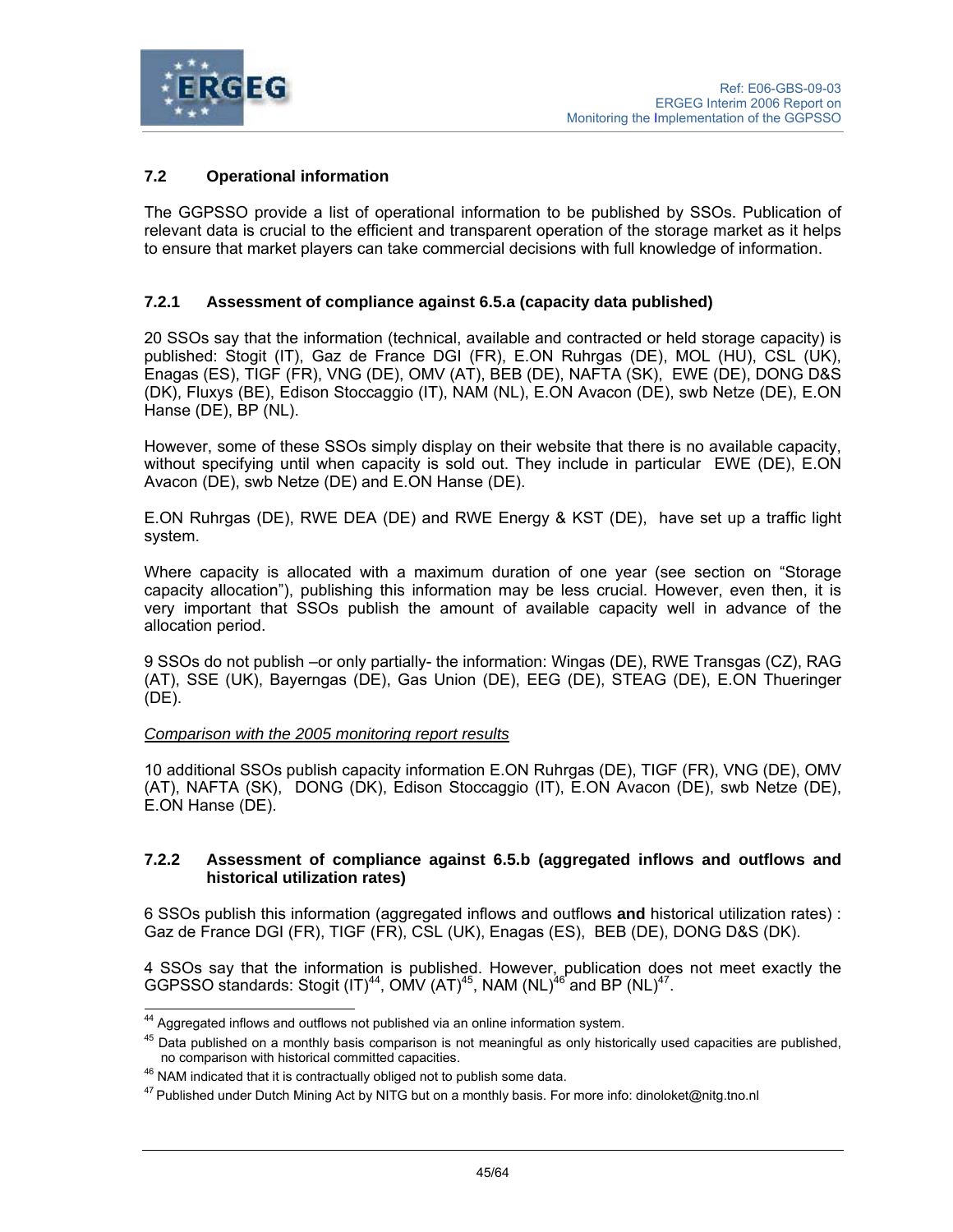

# **7.2 Operational information**

The GGPSSO provide a list of operational information to be published by SSOs. Publication of relevant data is crucial to the efficient and transparent operation of the storage market as it helps to ensure that market players can take commercial decisions with full knowledge of information.

## **7.2.1 Assessment of compliance against 6.5.a (capacity data published)**

20 SSOs say that the information (technical, available and contracted or held storage capacity) is published: Stogit (IT), Gaz de France DGI (FR), E.ON Ruhrgas (DE), MOL (HU), CSL (UK), Enagas (ES), TIGF (FR), VNG (DE), OMV (AT), BEB (DE), NAFTA (SK), EWE (DE), DONG D&S (DK), Fluxys (BE), Edison Stoccaggio (IT), NAM (NL), E.ON Avacon (DE), swb Netze (DE), E.ON Hanse (DE), BP (NL).

However, some of these SSOs simply display on their website that there is no available capacity, without specifying until when capacity is sold out. They include in particular EWE (DE), E.ON Avacon (DE), swb Netze (DE) and E.ON Hanse (DE).

E.ON Ruhrgas (DE), RWE DEA (DE) and RWE Energy & KST (DE), have set up a traffic light system.

Where capacity is allocated with a maximum duration of one year (see section on "Storage capacity allocation"), publishing this information may be less crucial. However, even then, it is very important that SSOs publish the amount of available capacity well in advance of the allocation period.

9 SSOs do not publish –or only partially- the information: Wingas (DE), RWE Transgas (CZ), RAG (AT), SSE (UK), Bayerngas (DE), Gas Union (DE), EEG (DE), STEAG (DE), E.ON Thueringer (DE).

#### *Comparison with the 2005 monitoring report results*

10 additional SSOs publish capacity information E.ON Ruhrgas (DE), TIGF (FR), VNG (DE), OMV (AT), NAFTA (SK), DONG (DK), Edison Stoccaggio (IT), E.ON Avacon (DE), swb Netze (DE), E.ON Hanse (DE).

### **7.2.2 Assessment of compliance against 6.5.b (aggregated inflows and outflows and historical utilization rates)**

6 SSOs publish this information (aggregated inflows and outflows **and** historical utilization rates) : Gaz de France DGI (FR), TIGF (FR), CSL (UK), Enagas (ES), BEB (DE), DONG D&S (DK).

4 SSOs say that the information is published. However, publication does not meet exactly the GGPSSO standards: Stogit  $(IT)^{44}$ , OMV  $(AT)^{45}$ , NAM  $(NL)^{46}$  and BP  $(NL)^{47}$ .

 $\overline{\phantom{a}}$ 

 $44$  Aggregated inflows and outflows not published via an online information system.

 $45$  Data published on a monthly basis comparison is not meaningful as only historically used capacities are published, no comparison with historical committed capacities.

 $46$  NAM indicated that it is contractually obliged not to publish some data.

<sup>47</sup> Published under Dutch Mining Act by NITG but on a monthly basis. For more info: dinoloket@nitg.tno.nl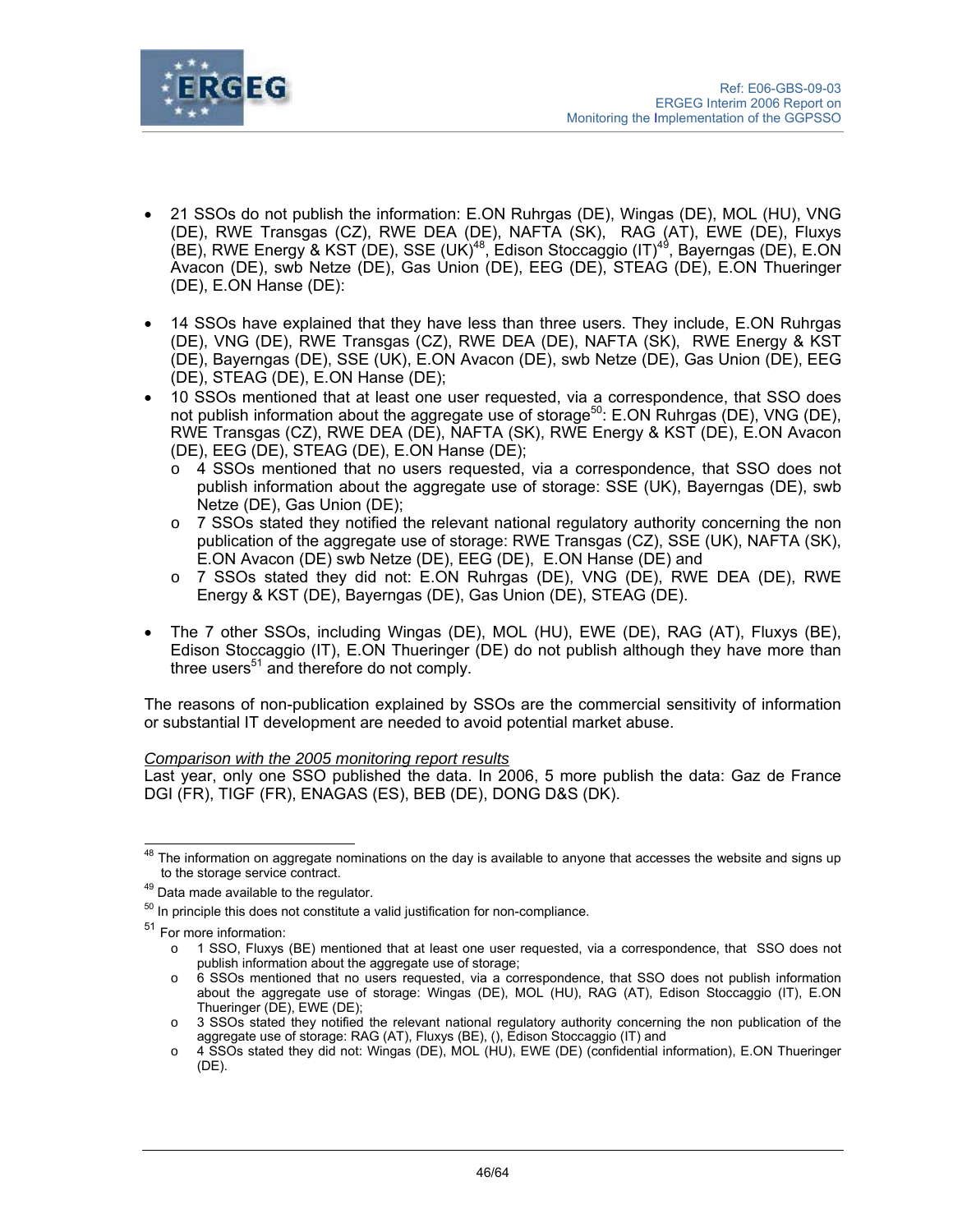

- 21 SSOs do not publish the information: E.ON Ruhrgas (DE), Wingas (DE), MOL (HU), VNG (DE), RWE Transgas (CZ), RWE DEA (DE), NAFTA (SK), RAG (AT), EWE (DE), Fluxys (BE), RWE Energy & KST (DE), SSE (UK)<sup>48</sup>, Edison Stoccaggio (IT)<sup>49</sup>, Bayerngas (DE), E.ON Avacon (DE), swb Netze (DE), Gas Union (DE), EEG (DE), STEAG (DE), E.ON Thueringer (DE), E.ON Hanse (DE):
- 14 SSOs have explained that they have less than three users. They include, E.ON Ruhrgas (DE), VNG (DE), RWE Transgas (CZ), RWE DEA (DE), NAFTA (SK), RWE Energy & KST (DE), Bayerngas (DE), SSE (UK), E.ON Avacon (DE), swb Netze (DE), Gas Union (DE), EEG (DE), STEAG (DE), E.ON Hanse (DE);
- 10 SSOs mentioned that at least one user requested, via a correspondence, that SSO does not publish information about the aggregate use of storage<sup>50</sup>: E.ON Ruhrgas (DE), VNG (DE), RWE Transgas (CZ), RWE DEA (DE), NAFTA (SK), RWE Energy & KST (DE), E.ON Avacon (DE), EEG (DE), STEAG (DE), E.ON Hanse (DE);
	- o 4 SSOs mentioned that no users requested, via a correspondence, that SSO does not publish information about the aggregate use of storage: SSE (UK), Bayerngas (DE), swb Netze (DE), Gas Union (DE);
	- $\circ$  7 SSOs stated they notified the relevant national regulatory authority concerning the non publication of the aggregate use of storage: RWE Transgas (CZ), SSE (UK), NAFTA (SK), E.ON Avacon (DE) swb Netze (DE), EEG (DE), E.ON Hanse (DE) and
	- o 7 SSOs stated they did not: E.ON Ruhrgas (DE), VNG (DE), RWE DEA (DE), RWE Energy & KST (DE), Bayerngas (DE), Gas Union (DE), STEAG (DE).
- The 7 other SSOs, including Wingas (DE), MOL (HU), EWE (DE), RAG (AT), Fluxys (BE), Edison Stoccaggio (IT), E.ON Thueringer (DE) do not publish although they have more than three users $51$  and therefore do not comply.

The reasons of non-publication explained by SSOs are the commercial sensitivity of information or substantial IT development are needed to avoid potential market abuse.

## *Comparison with the 2005 monitoring report results*

Last year, only one SSO published the data. In 2006, 5 more publish the data: Gaz de France DGI (FR), TIGF (FR), ENAGAS (ES), BEB (DE), DONG D&S (DK).

 $\overline{\phantom{a}}$  $^{48}$  The information on aggregate nominations on the day is available to anyone that accesses the website and signs up

to the storage service contract.<br><sup>49</sup> Data made available to the regulator.

 $50$  In principle this does not constitute a valid justification for non-compliance.

<sup>51</sup> For more information:

o 1 SSO, Fluxys (BE) mentioned that at least one user requested, via a correspondence, that SSO does not publish information about the aggregate use of storage;

o 6 SSOs mentioned that no users requested, via a correspondence, that SSO does not publish information about the aggregate use of storage: Wingas (DE), MOL (HU), RAG (AT), Edison Stoccaggio (IT), E.ON Thueringer (DE), EWE (DE);

o 3 SSOs stated they notified the relevant national regulatory authority concerning the non publication of the aggregate use of storage: RAG (AT), Fluxys (BE), (), Edison Stoccaggio (IT) and

o 4 SSOs stated they did not: Wingas (DE), MOL (HU), EWE (DE) (confidential information), E.ON Thueringer (DE).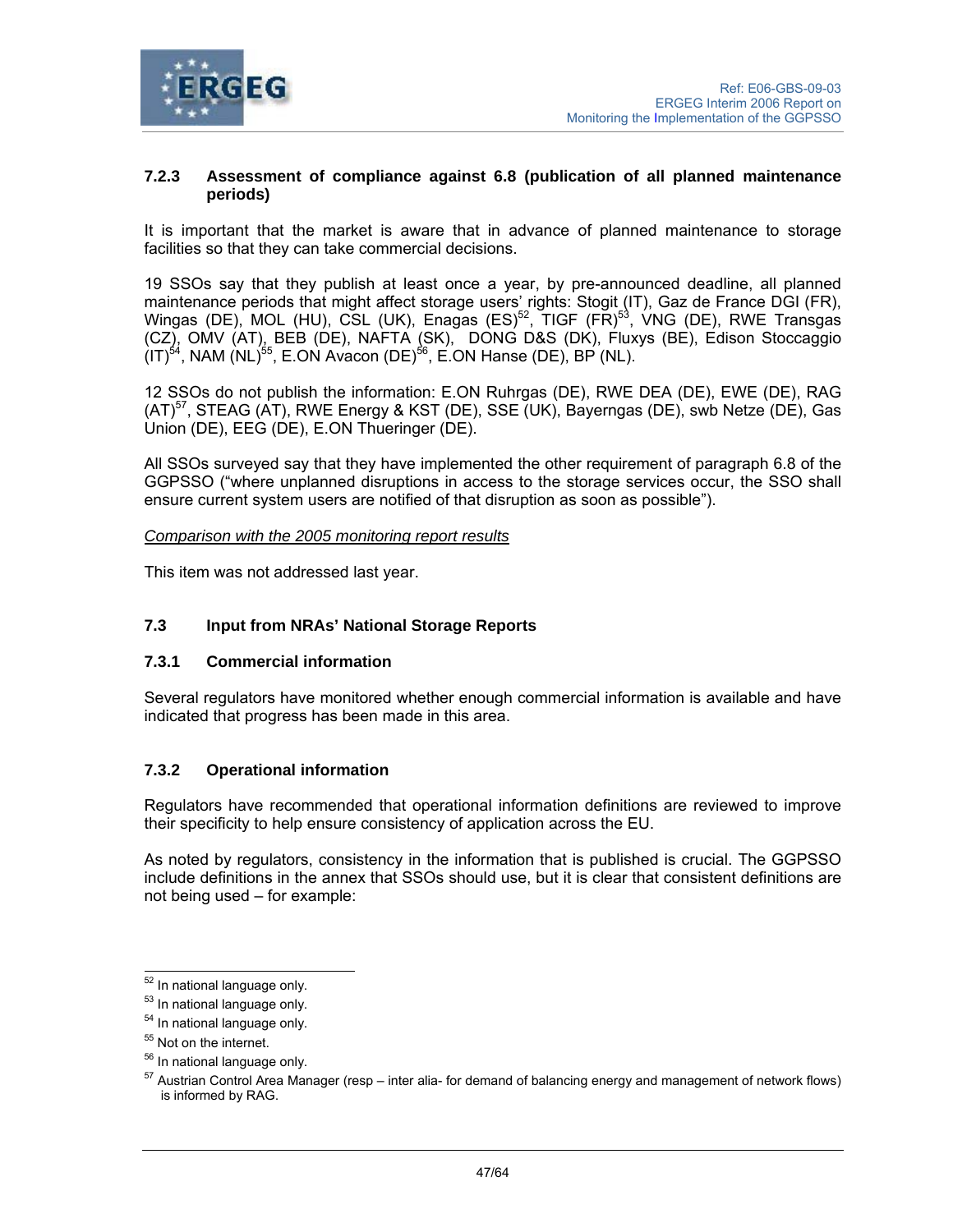

### **7.2.3 Assessment of compliance against 6.8 (publication of all planned maintenance periods)**

It is important that the market is aware that in advance of planned maintenance to storage facilities so that they can take commercial decisions.

19 SSOs say that they publish at least once a year, by pre-announced deadline, all planned maintenance periods that might affect storage users' rights: Stogit (IT), Gaz de France DGI (FR), Wingas (DE), MOL (HU), CSL (UK), Enagas (ES)<sup>52</sup>, TIGF (FR)<sup>53</sup>, VNG (DE), RWE Transgas (CZ), OMV (AT), BEB (DE), NAFTA (SK), DONG D&S (DK), Fluxys (BE), Edison Stoccaggio  $(IT)^{54}$ , NAM  $(NL)^{55}$ , E.ON Avacon (DE)<sup>56</sup>, E.ON Hanse (DE), BP (NL).

12 SSOs do not publish the information: E.ON Ruhrgas (DE), RWE DEA (DE), EWE (DE), RAG (AT)57, STEAG (AT), RWE Energy & KST (DE), SSE (UK), Bayerngas (DE), swb Netze (DE), Gas Union (DE), EEG (DE), E.ON Thueringer (DE).

All SSOs surveyed say that they have implemented the other requirement of paragraph 6.8 of the GGPSSO ("where unplanned disruptions in access to the storage services occur, the SSO shall ensure current system users are notified of that disruption as soon as possible").

*Comparison with the 2005 monitoring report results*

This item was not addressed last year.

# **7.3 Input from NRAs' National Storage Reports**

#### **7.3.1 Commercial information**

Several regulators have monitored whether enough commercial information is available and have indicated that progress has been made in this area.

## **7.3.2 Operational information**

Regulators have recommended that operational information definitions are reviewed to improve their specificity to help ensure consistency of application across the EU.

As noted by regulators, consistency in the information that is published is crucial. The GGPSSO include definitions in the annex that SSOs should use, but it is clear that consistent definitions are not being used – for example:

 $\overline{a}$ 

<sup>&</sup>lt;sup>52</sup> In national language only.

<sup>53</sup> In national language only.

<sup>&</sup>lt;sup>54</sup> In national language only.

<sup>&</sup>lt;sup>55</sup> Not on the internet.

<sup>56</sup> In national language only.

 $57$  Austrian Control Area Manager (resp – inter alia- for demand of balancing energy and management of network flows) is informed by RAG.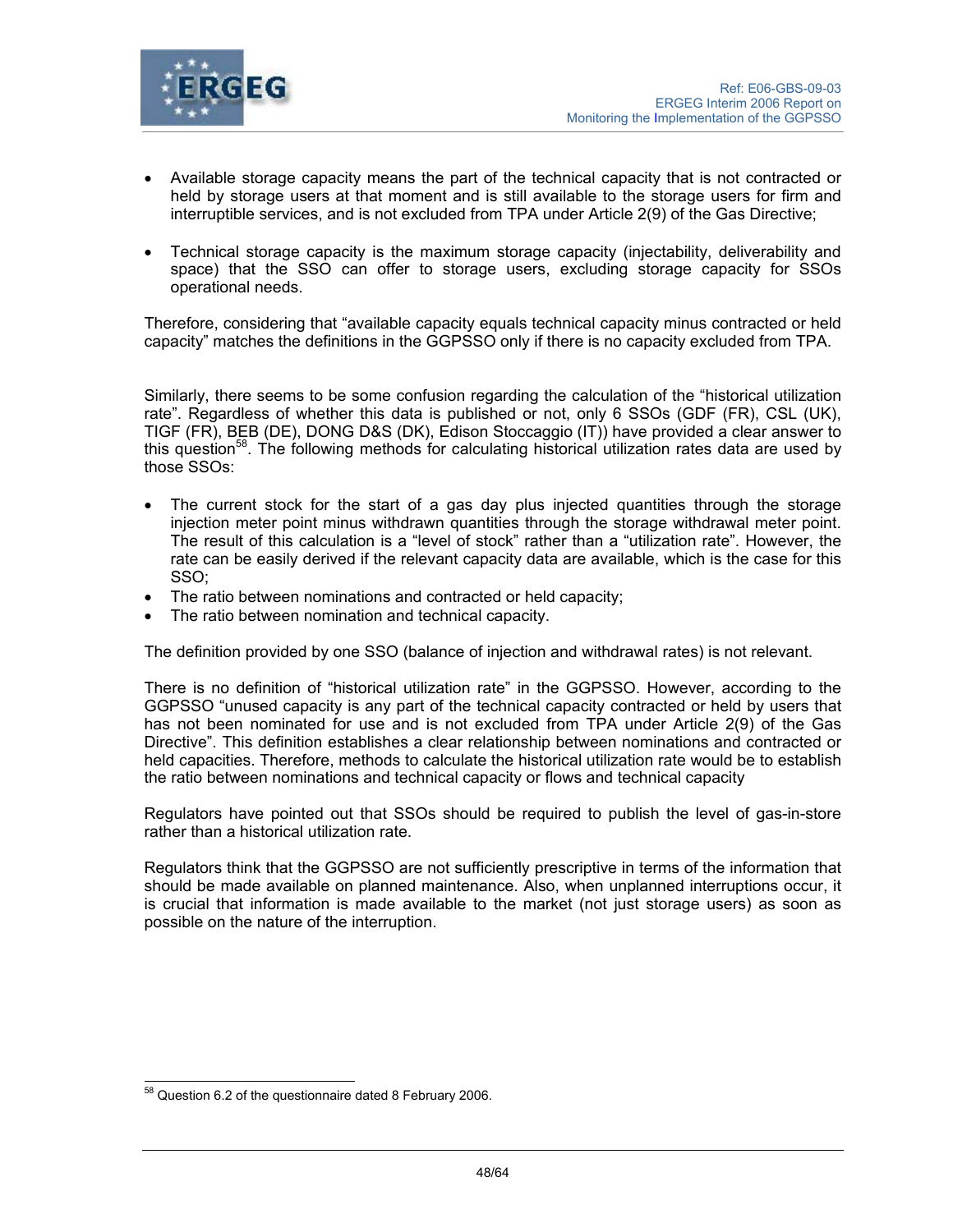

- Available storage capacity means the part of the technical capacity that is not contracted or held by storage users at that moment and is still available to the storage users for firm and interruptible services, and is not excluded from TPA under Article 2(9) of the Gas Directive;
- Technical storage capacity is the maximum storage capacity (injectability, deliverability and space) that the SSO can offer to storage users, excluding storage capacity for SSOs operational needs.

Therefore, considering that "available capacity equals technical capacity minus contracted or held capacity" matches the definitions in the GGPSSO only if there is no capacity excluded from TPA.

Similarly, there seems to be some confusion regarding the calculation of the "historical utilization rate". Regardless of whether this data is published or not, only 6 SSOs (GDF (FR), CSL (UK), TIGF (FR), BEB (DE), DONG D&S (DK), Edison Stoccaggio (IT)) have provided a clear answer to this question<sup>58</sup>. The following methods for calculating historical utilization rates data are used by those SSOs:

- The current stock for the start of a gas day plus injected quantities through the storage injection meter point minus withdrawn quantities through the storage withdrawal meter point. The result of this calculation is a "level of stock" rather than a "utilization rate". However, the rate can be easily derived if the relevant capacity data are available, which is the case for this SSO;
- The ratio between nominations and contracted or held capacity;
- The ratio between nomination and technical capacity.

The definition provided by one SSO (balance of injection and withdrawal rates) is not relevant.

There is no definition of "historical utilization rate" in the GGPSSO. However, according to the GGPSSO "unused capacity is any part of the technical capacity contracted or held by users that has not been nominated for use and is not excluded from TPA under Article 2(9) of the Gas Directive". This definition establishes a clear relationship between nominations and contracted or held capacities. Therefore, methods to calculate the historical utilization rate would be to establish the ratio between nominations and technical capacity or flows and technical capacity

Regulators have pointed out that SSOs should be required to publish the level of gas-in-store rather than a historical utilization rate.

Regulators think that the GGPSSO are not sufficiently prescriptive in terms of the information that should be made available on planned maintenance. Also, when unplanned interruptions occur, it is crucial that information is made available to the market (not just storage users) as soon as possible on the nature of the interruption.

 $\overline{a}$ 

 $58$  Question 6.2 of the questionnaire dated 8 February 2006.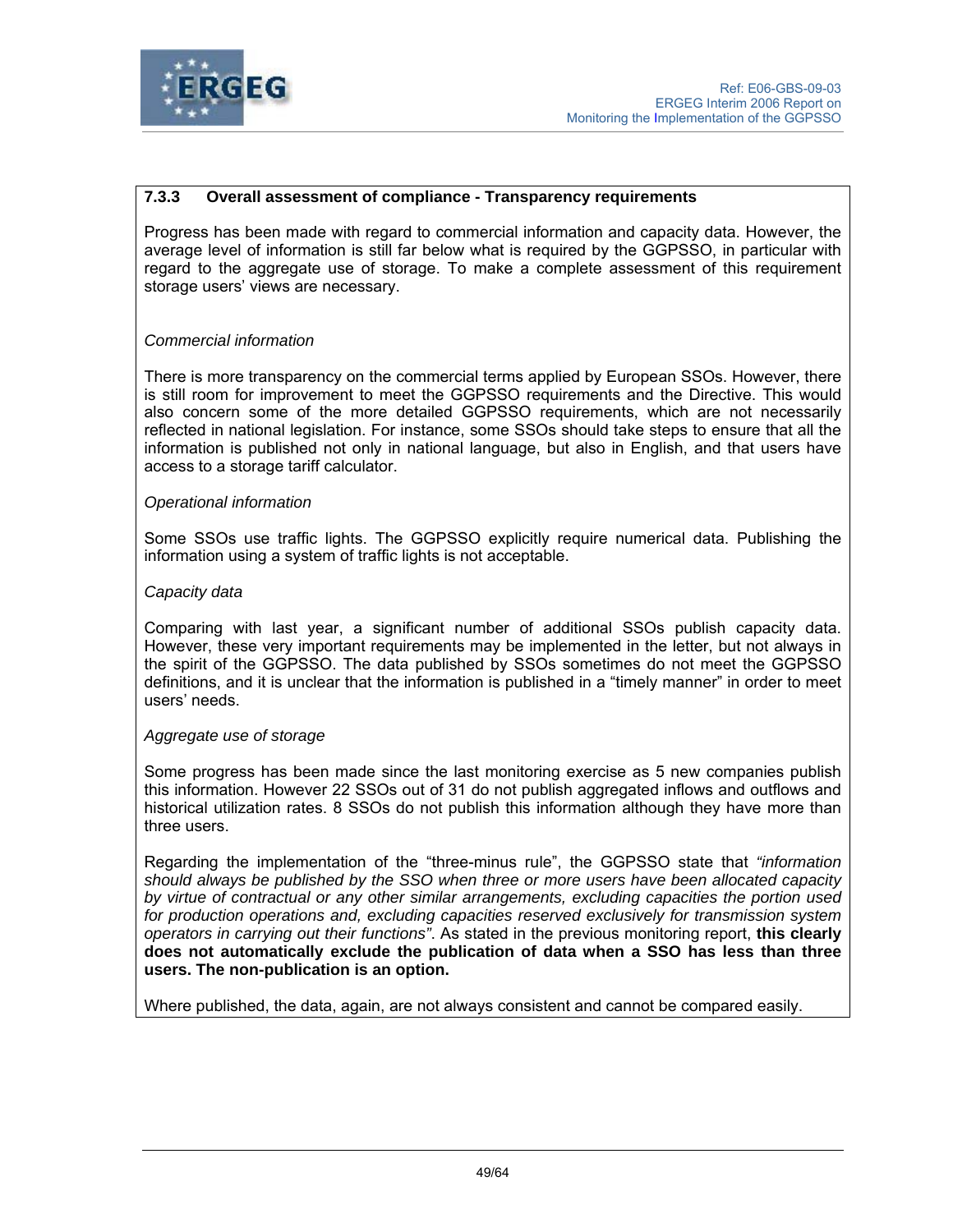

# **7.3.3 Overall assessment of compliance - Transparency requirements**

Progress has been made with regard to commercial information and capacity data. However, the average level of information is still far below what is required by the GGPSSO, in particular with regard to the aggregate use of storage. To make a complete assessment of this requirement storage users' views are necessary.

### *Commercial information*

There is more transparency on the commercial terms applied by European SSOs. However, there is still room for improvement to meet the GGPSSO requirements and the Directive. This would also concern some of the more detailed GGPSSO requirements, which are not necessarily reflected in national legislation. For instance, some SSOs should take steps to ensure that all the information is published not only in national language, but also in English, and that users have access to a storage tariff calculator.

### *Operational information*

Some SSOs use traffic lights. The GGPSSO explicitly require numerical data. Publishing the information using a system of traffic lights is not acceptable.

### *Capacity data*

Comparing with last year, a significant number of additional SSOs publish capacity data. However, these very important requirements may be implemented in the letter, but not always in the spirit of the GGPSSO. The data published by SSOs sometimes do not meet the GGPSSO definitions, and it is unclear that the information is published in a "timely manner" in order to meet users' needs.

#### *Aggregate use of storage*

Some progress has been made since the last monitoring exercise as 5 new companies publish this information. However 22 SSOs out of 31 do not publish aggregated inflows and outflows and historical utilization rates. 8 SSOs do not publish this information although they have more than three users.

Regarding the implementation of the "three-minus rule", the GGPSSO state that *"information should always be published by the SSO when three or more users have been allocated capacity by virtue of contractual or any other similar arrangements, excluding capacities the portion used for production operations and, excluding capacities reserved exclusively for transmission system operators in carrying out their functions"*. As stated in the previous monitoring report, **this clearly does not automatically exclude the publication of data when a SSO has less than three users. The non-publication is an option.** 

Where published, the data, again, are not always consistent and cannot be compared easily.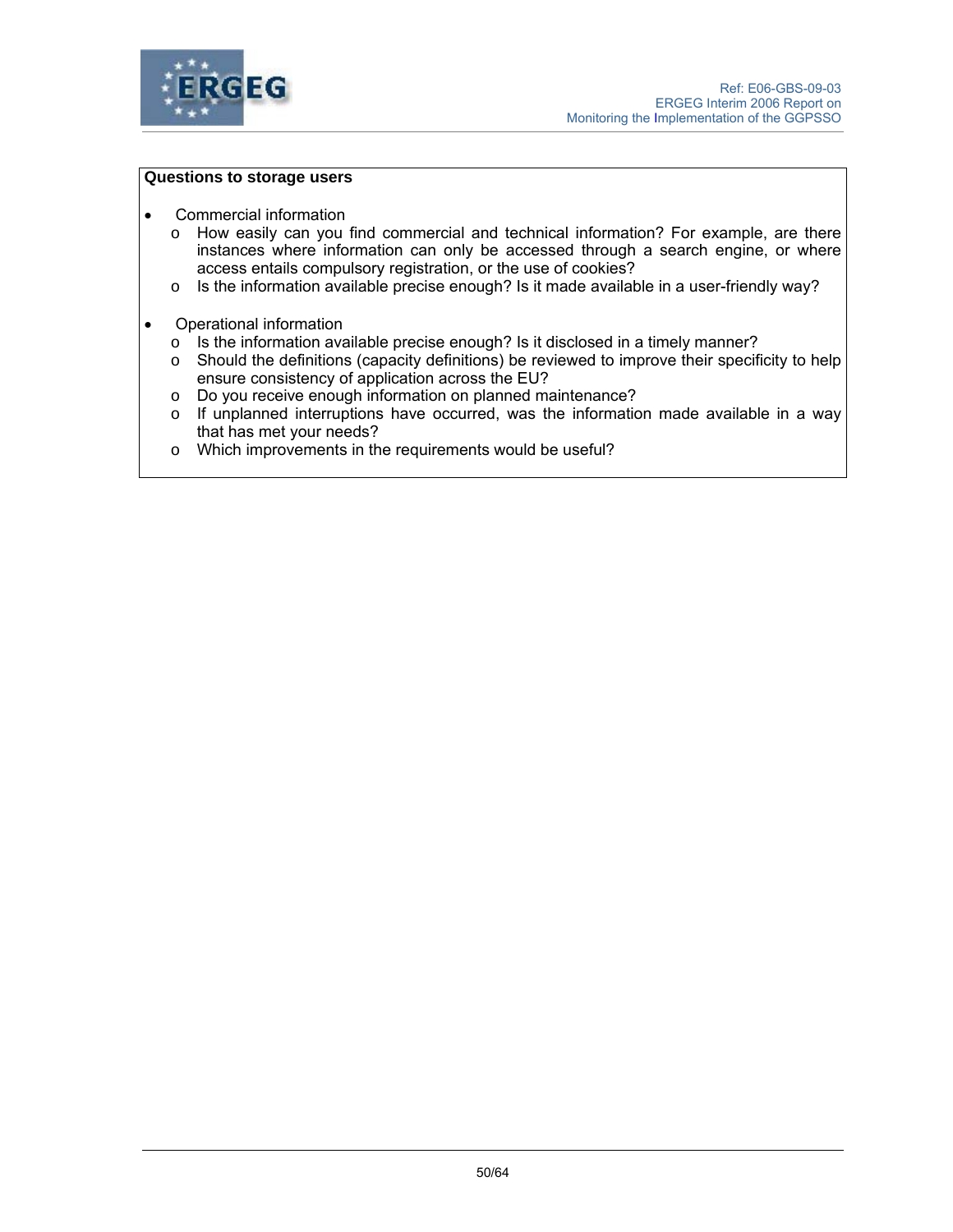

### **Questions to storage users**

- Commercial information
	- o How easily can you find commercial and technical information? For example, are there instances where information can only be accessed through a search engine, or where access entails compulsory registration, or the use of cookies?
	- $\circ$  Is the information available precise enough? Is it made available in a user-friendly way?
- Operational information
	- o Is the information available precise enough? Is it disclosed in a timely manner?
	- $\circ$  Should the definitions (capacity definitions) be reviewed to improve their specificity to help ensure consistency of application across the EU?
	- o Do you receive enough information on planned maintenance?
	- $\circ$  If unplanned interruptions have occurred, was the information made available in a way that has met your needs?
	- o Which improvements in the requirements would be useful?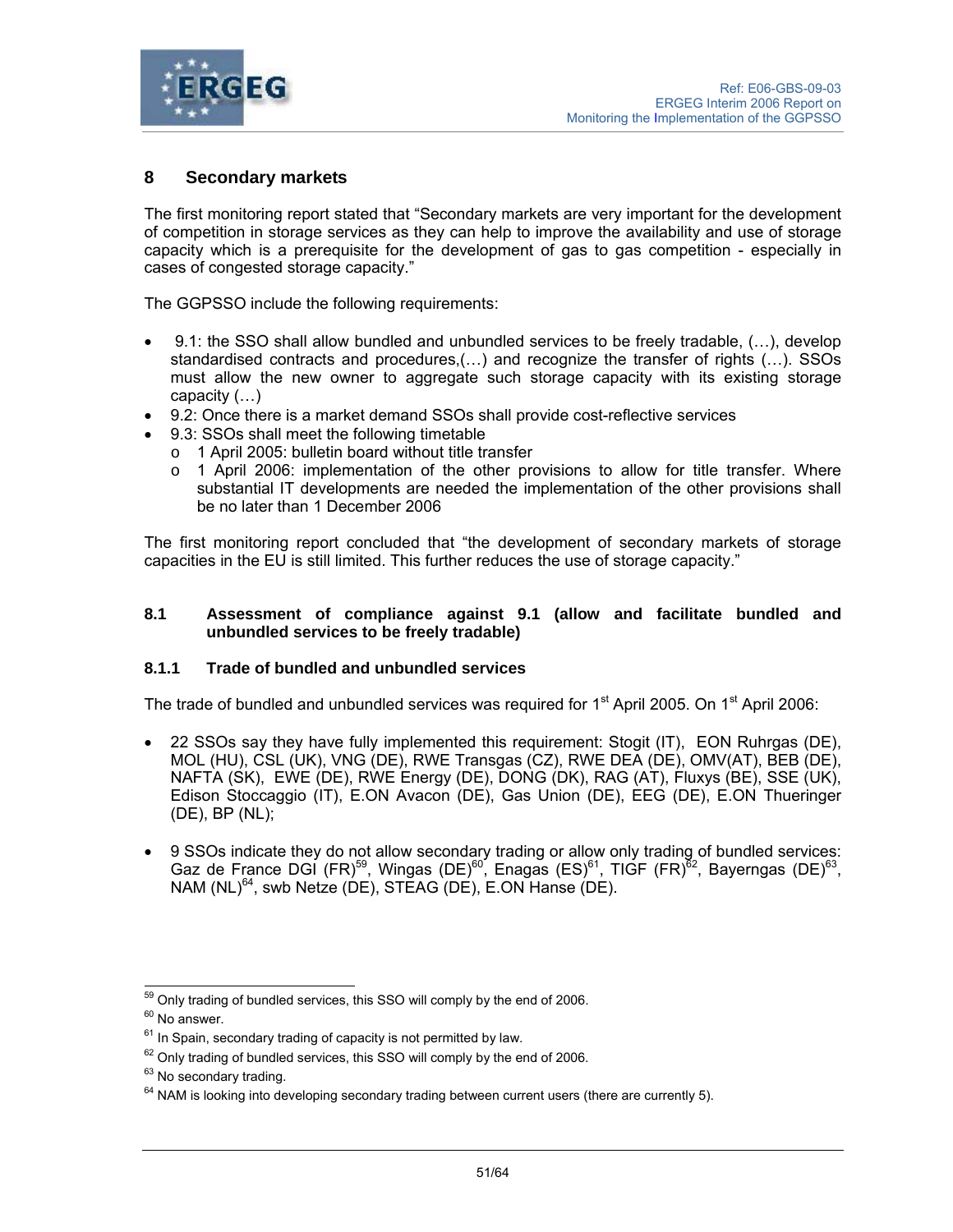

# **8 Secondary markets**

The first monitoring report stated that "Secondary markets are very important for the development of competition in storage services as they can help to improve the availability and use of storage capacity which is a prerequisite for the development of gas to gas competition - especially in cases of congested storage capacity."

The GGPSSO include the following requirements:

- 9.1: the SSO shall allow bundled and unbundled services to be freely tradable, (…), develop standardised contracts and procedures,(…) and recognize the transfer of rights (…). SSOs must allow the new owner to aggregate such storage capacity with its existing storage capacity (…)
- 9.2: Once there is a market demand SSOs shall provide cost-reflective services
- 9.3: SSOs shall meet the following timetable
	- o 1 April 2005: bulletin board without title transfer
	- o 1 April 2006: implementation of the other provisions to allow for title transfer. Where substantial IT developments are needed the implementation of the other provisions shall be no later than 1 December 2006

The first monitoring report concluded that "the development of secondary markets of storage capacities in the EU is still limited. This further reduces the use of storage capacity."

#### **8.1 Assessment of compliance against 9.1 (allow and facilitate bundled and unbundled services to be freely tradable)**

## **8.1.1 Trade of bundled and unbundled services**

The trade of bundled and unbundled services was required for 1<sup>st</sup> April 2005. On 1<sup>st</sup> April 2006:

- 22 SSOs say they have fully implemented this requirement: Stogit (IT), EON Ruhrgas (DE), MOL (HU), CSL (UK), VNG (DE), RWE Transgas (CZ), RWE DEA (DE), OMV(AT), BEB (DE), NAFTA (SK), EWE (DE), RWE Energy (DE), DONG (DK), RAG (AT), Fluxys (BE), SSE (UK), Edison Stoccaggio (IT), E.ON Avacon (DE), Gas Union (DE), EEG (DE), E.ON Thueringer (DE), BP (NL);
- 9 SSOs indicate they do not allow secondary trading or allow only trading of bundled services: Gaz de France DGI (FR)<sup>59</sup>, Wingas (DE)<sup>60</sup>, Enagas (ES)<sup>61</sup>, TIGF (FR)<sup>82</sup>, Bayerngas (DE)<sup>63</sup>, NAM (NL)<sup>64</sup>, swb Netze (DE), STEAG (DE), E.ON Hanse (DE).

 $\overline{a}$  $59$  Only trading of bundled services, this SSO will comply by the end of 2006.

 $60$  No answer.

 $61$  In Spain, secondary trading of capacity is not permitted by law.

 $62$  Only trading of bundled services, this SSO will comply by the end of 2006.

<sup>&</sup>lt;sup>63</sup> No secondary trading.

 $64$  NAM is looking into developing secondary trading between current users (there are currently 5).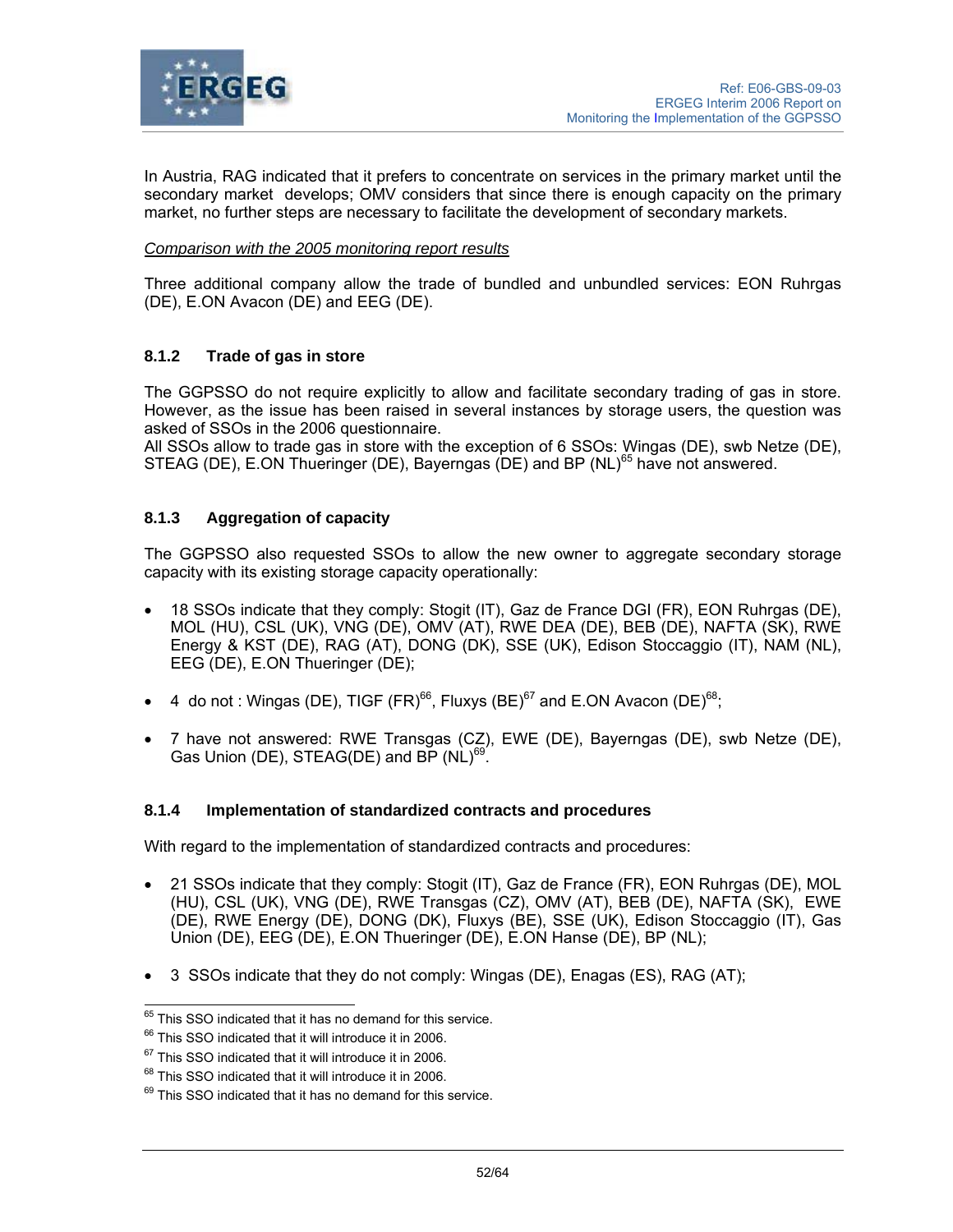

In Austria, RAG indicated that it prefers to concentrate on services in the primary market until the secondary market develops; OMV considers that since there is enough capacity on the primary market, no further steps are necessary to facilitate the development of secondary markets.

### *Comparison with the 2005 monitoring report results*

Three additional company allow the trade of bundled and unbundled services: EON Ruhrgas (DE), E.ON Avacon (DE) and EEG (DE).

## **8.1.2 Trade of gas in store**

The GGPSSO do not require explicitly to allow and facilitate secondary trading of gas in store. However, as the issue has been raised in several instances by storage users, the question was asked of SSOs in the 2006 questionnaire.

All SSOs allow to trade gas in store with the exception of 6 SSOs: Wingas (DE), swb Netze (DE), STEAG (DE), E.ON Thueringer (DE), Bayerngas (DE) and BP (NL)<sup>65</sup> have not answered.

# **8.1.3 Aggregation of capacity**

The GGPSSO also requested SSOs to allow the new owner to aggregate secondary storage capacity with its existing storage capacity operationally:

- 18 SSOs indicate that they comply: Stogit (IT), Gaz de France DGI (FR), EON Ruhrgas (DE), MOL (HU), CSL (UK), VNG (DE), OMV (AT), RWE DEA (DE), BEB (DE), NAFTA (SK), RWE Energy & KST (DE), RAG (AT), DONG (DK), SSE (UK), Edison Stoccaggio (IT), NAM (NL), EEG (DE), E.ON Thueringer (DE);
- 4 do not : Wingas (DE), TIGF (FR)<sup>66</sup>, Fluxys (BE)<sup>67</sup> and E.ON Avacon (DE)<sup>68</sup>;
- 7 have not answered: RWE Transgas (CZ), EWE (DE), Bayerngas (DE), swb Netze (DE), Gas Union (DE), STEAG(DE) and BP (NL)<sup>69</sup>.

#### **8.1.4 Implementation of standardized contracts and procedures**

With regard to the implementation of standardized contracts and procedures:

- 21 SSOs indicate that they comply: Stogit (IT), Gaz de France (FR), EON Ruhrgas (DE), MOL (HU), CSL (UK), VNG (DE), RWE Transgas (CZ), OMV (AT), BEB (DE), NAFTA (SK), EWE (DE), RWE Energy (DE), DONG (DK), Fluxys (BE), SSE (UK), Edison Stoccaggio (IT), Gas Union (DE), EEG (DE), E.ON Thueringer (DE), E.ON Hanse (DE), BP (NL);
- 3 SSOs indicate that they do not comply: Wingas (DE), Enagas (ES), RAG (AT);

 $\overline{\phantom{a}}$ 

 $^{65}$  This SSO indicated that it has no demand for this service.<br> $^{66}$  This SSO indicated that it will introduce it in 2006.

 $67$  This SSO indicated that it will introduce it in 2006.

<sup>&</sup>lt;sup>68</sup> This SSO indicated that it will introduce it in 2006.

<sup>&</sup>lt;sup>69</sup> This SSO indicated that it has no demand for this service.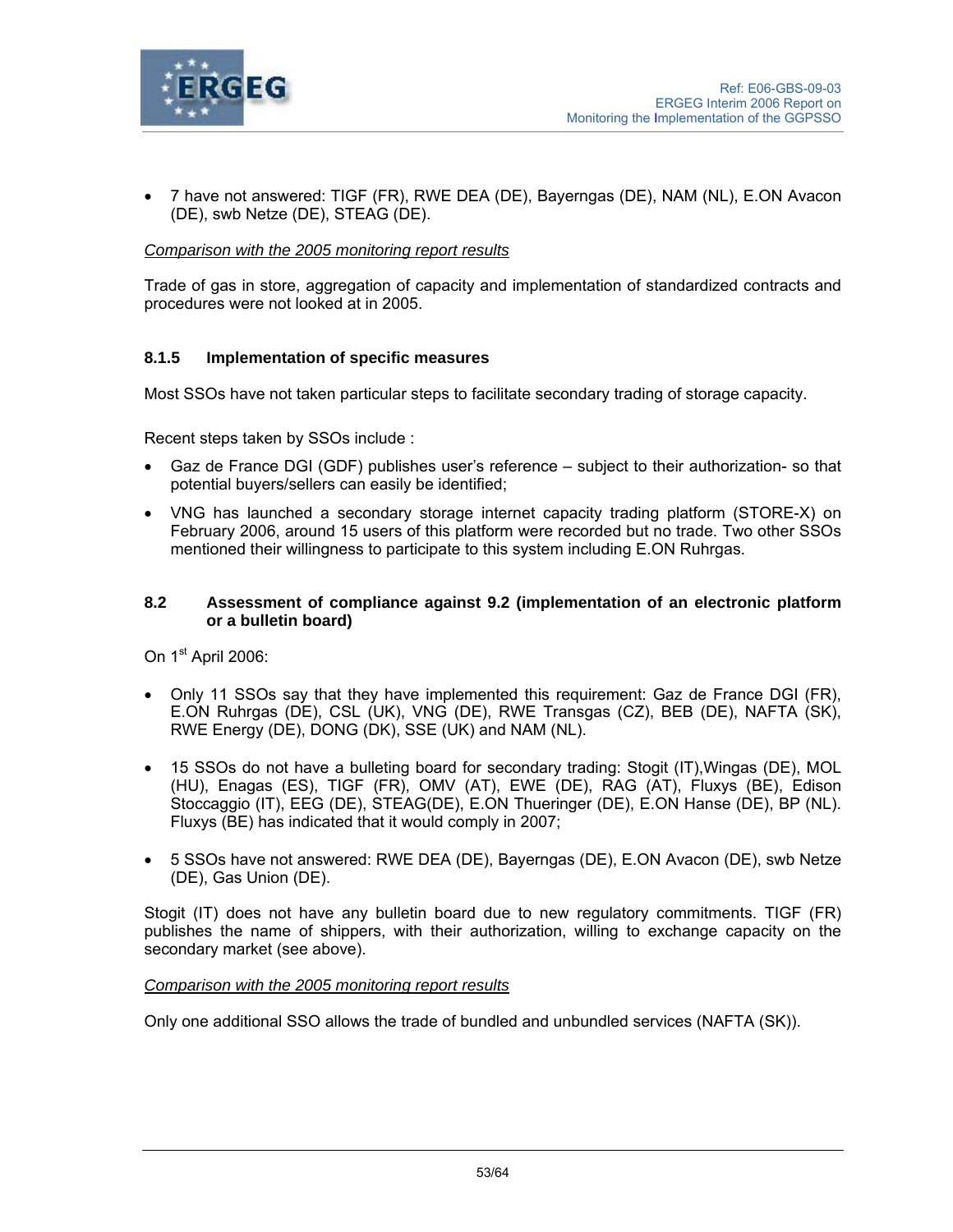

• 7 have not answered: TIGF (FR), RWE DEA (DE), Bayerngas (DE), NAM (NL), E.ON Avacon (DE), swb Netze (DE), STEAG (DE).

## *Comparison with the 2005 monitoring report results*

Trade of gas in store, aggregation of capacity and implementation of standardized contracts and procedures were not looked at in 2005.

### **8.1.5 Implementation of specific measures**

Most SSOs have not taken particular steps to facilitate secondary trading of storage capacity.

Recent steps taken by SSOs include :

- Gaz de France DGI (GDF) publishes user's reference subject to their authorization- so that potential buyers/sellers can easily be identified;
- VNG has launched a secondary storage internet capacity trading platform (STORE-X) on February 2006, around 15 users of this platform were recorded but no trade. Two other SSOs mentioned their willingness to participate to this system including E.ON Ruhrgas.

#### **8.2 Assessment of compliance against 9.2 (implementation of an electronic platform or a bulletin board)**

On 1<sup>st</sup> April 2006:

- Only 11 SSOs say that they have implemented this requirement: Gaz de France DGI (FR), E.ON Ruhrgas (DE), CSL (UK), VNG (DE), RWE Transgas (CZ), BEB (DE), NAFTA (SK), RWE Energy (DE), DONG (DK), SSE (UK) and NAM (NL).
- 15 SSOs do not have a bulleting board for secondary trading: Stogit (IT),Wingas (DE), MOL (HU), Enagas (ES), TIGF (FR), OMV (AT), EWE (DE), RAG (AT), Fluxys (BE), Edison Stoccaggio (IT), EEG (DE), STEAG(DE), E.ON Thueringer (DE), E.ON Hanse (DE), BP (NL). Fluxys (BE) has indicated that it would comply in 2007;
- 5 SSOs have not answered: RWE DEA (DE), Bayerngas (DE), E.ON Avacon (DE), swb Netze (DE), Gas Union (DE).

Stogit (IT) does not have any bulletin board due to new regulatory commitments. TIGF (FR) publishes the name of shippers, with their authorization, willing to exchange capacity on the secondary market (see above).

#### *Comparison with the 2005 monitoring report results*

Only one additional SSO allows the trade of bundled and unbundled services (NAFTA (SK)).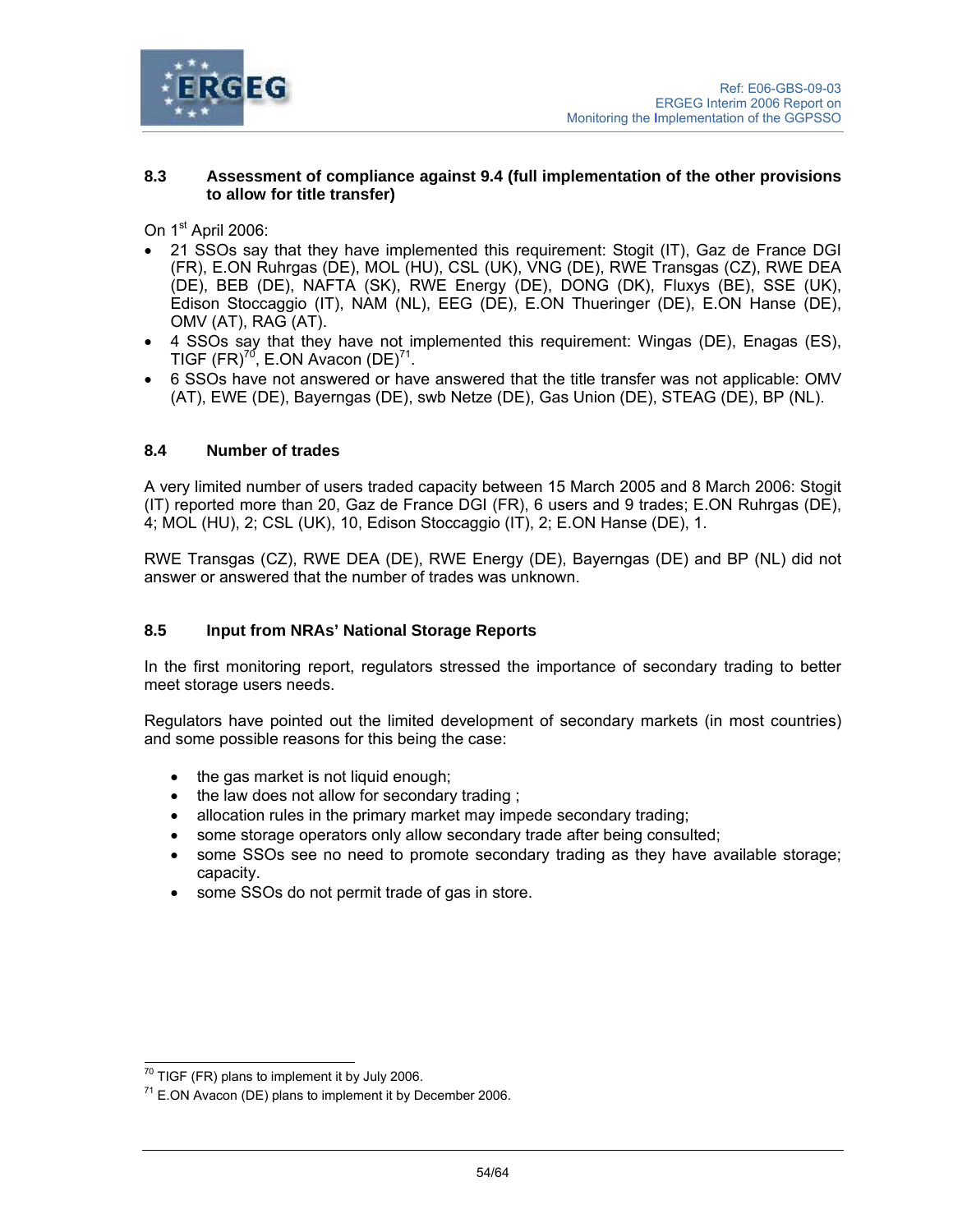

### **8.3 Assessment of compliance against 9.4 (full implementation of the other provisions to allow for title transfer)**

On 1<sup>st</sup> April 2006:

- 21 SSOs say that they have implemented this requirement: Stogit (IT), Gaz de France DGI (FR), E.ON Ruhrgas (DE), MOL (HU), CSL (UK), VNG (DE), RWE Transgas (CZ), RWE DEA (DE), BEB (DE), NAFTA (SK), RWE Energy (DE), DONG (DK), Fluxys (BE), SSE (UK), Edison Stoccaggio (IT), NAM (NL), EEG (DE), E.ON Thueringer (DE), E.ON Hanse (DE), OMV (AT), RAG (AT).
- 4 SSOs say that they have not implemented this requirement: Wingas (DE), Enagas (ES), TIGF  $(FR)^{70}$ , E.ON Avacon  $(DE)^{71}$ .
- 6 SSOs have not answered or have answered that the title transfer was not applicable: OMV (AT), EWE (DE), Bayerngas (DE), swb Netze (DE), Gas Union (DE), STEAG (DE), BP (NL).

# **8.4 Number of trades**

A very limited number of users traded capacity between 15 March 2005 and 8 March 2006: Stogit (IT) reported more than 20, Gaz de France DGI (FR), 6 users and 9 trades; E.ON Ruhrgas (DE), 4; MOL (HU), 2; CSL (UK), 10, Edison Stoccaggio (IT), 2; E.ON Hanse (DE), 1.

RWE Transgas (CZ), RWE DEA (DE), RWE Energy (DE), Bayerngas (DE) and BP (NL) did not answer or answered that the number of trades was unknown.

# **8.5 Input from NRAs' National Storage Reports**

In the first monitoring report, regulators stressed the importance of secondary trading to better meet storage users needs.

Regulators have pointed out the limited development of secondary markets (in most countries) and some possible reasons for this being the case:

- the gas market is not liquid enough;
- the law does not allow for secondary trading ;
- allocation rules in the primary market may impede secondary trading;
- some storage operators only allow secondary trade after being consulted;
- some SSOs see no need to promote secondary trading as they have available storage; capacity.
- some SSOs do not permit trade of gas in store.

 $\overline{a}$  $70$  TIGF (FR) plans to implement it by July 2006.

 $71$  E.ON Avacon (DE) plans to implement it by December 2006.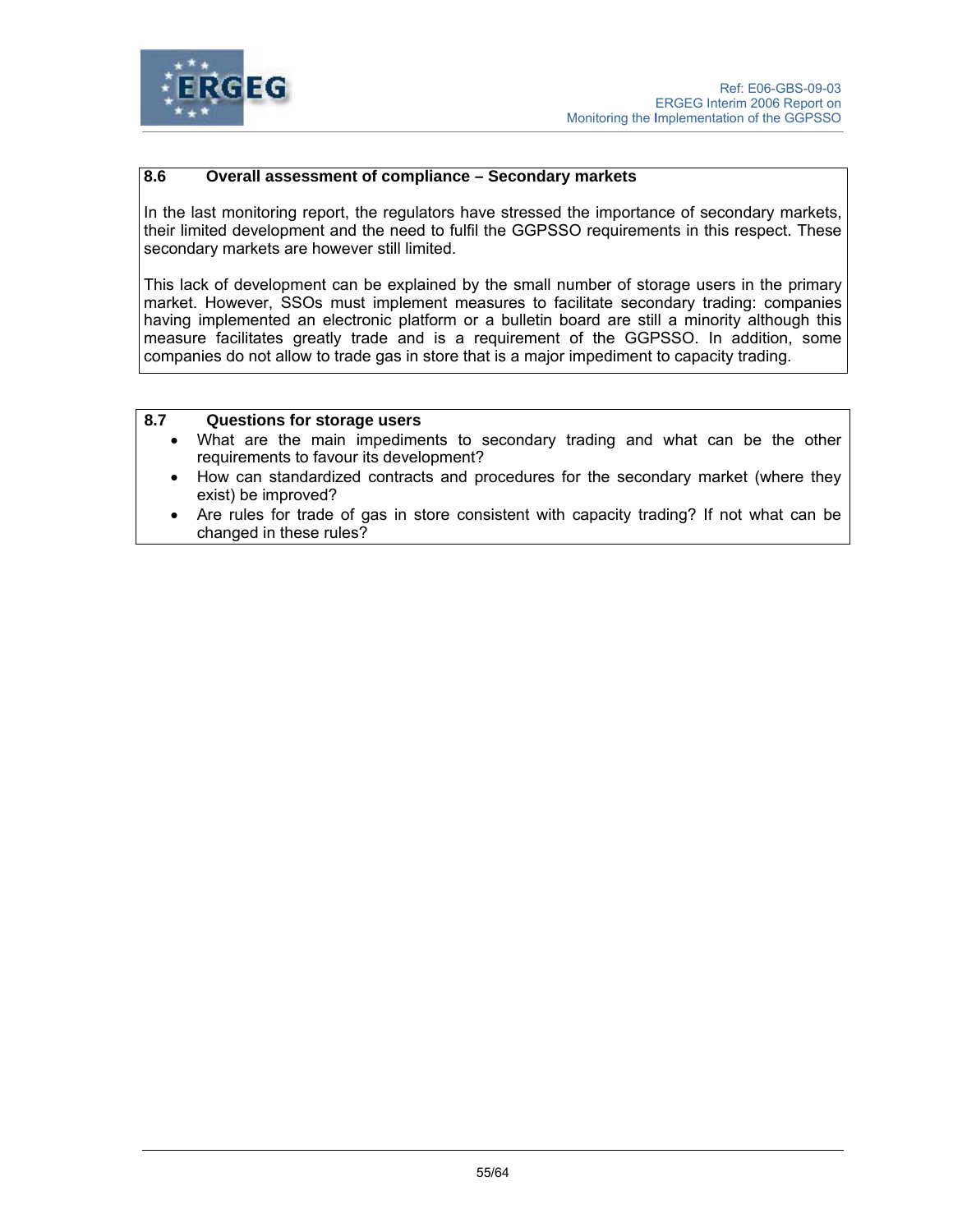

## **8.6 Overall assessment of compliance – Secondary markets**

In the last monitoring report, the regulators have stressed the importance of secondary markets, their limited development and the need to fulfil the GGPSSO requirements in this respect. These secondary markets are however still limited.

This lack of development can be explained by the small number of storage users in the primary market. However, SSOs must implement measures to facilitate secondary trading: companies having implemented an electronic platform or a bulletin board are still a minority although this measure facilitates greatly trade and is a requirement of the GGPSSO. In addition, some companies do not allow to trade gas in store that is a major impediment to capacity trading.

## **8.7 Questions for storage users**

- What are the main impediments to secondary trading and what can be the other requirements to favour its development?
- How can standardized contracts and procedures for the secondary market (where they exist) be improved?
- Are rules for trade of gas in store consistent with capacity trading? If not what can be changed in these rules?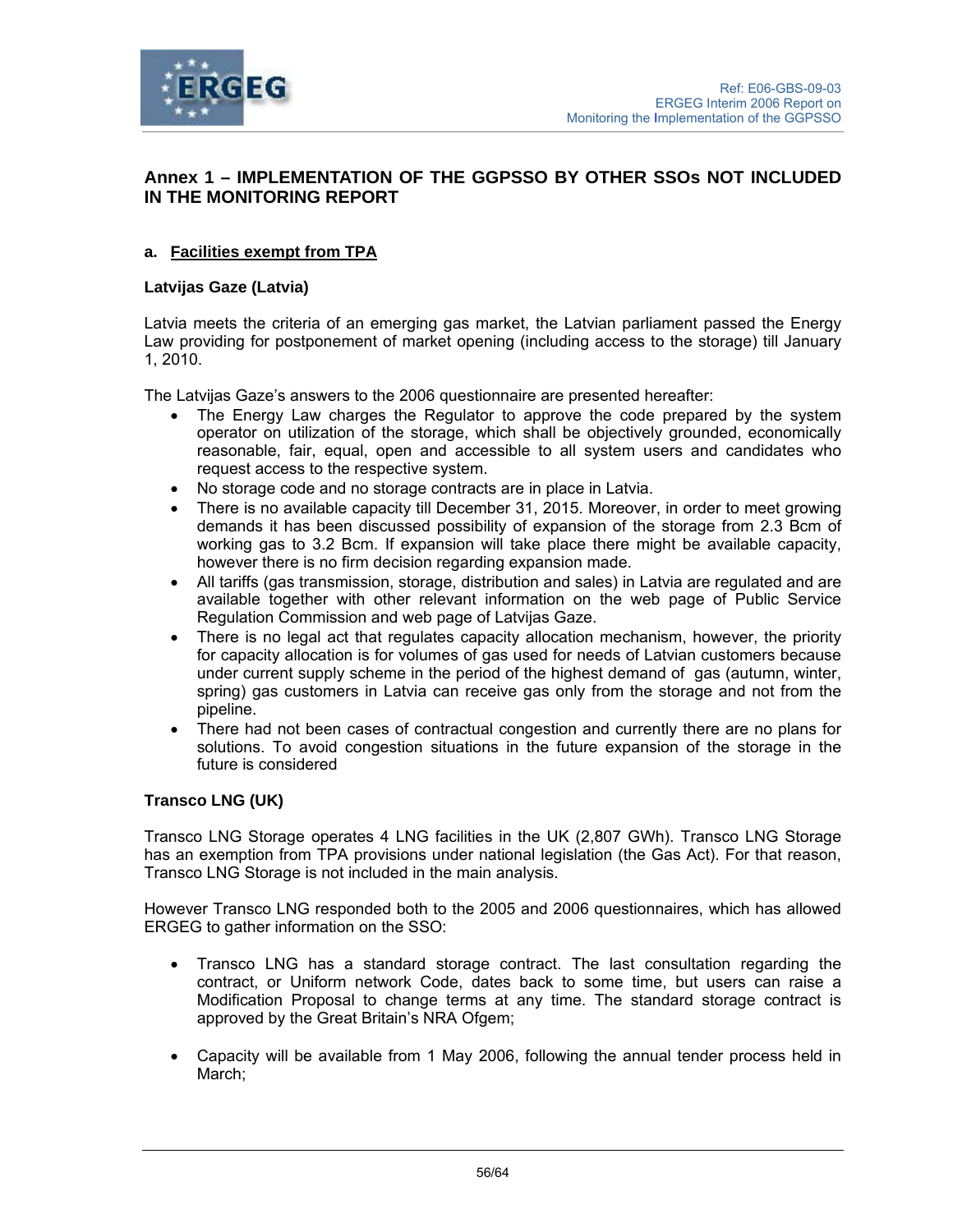

# **Annex 1 – IMPLEMENTATION OF THE GGPSSO BY OTHER SSOs NOT INCLUDED IN THE MONITORING REPORT**

# **a. Facilities exempt from TPA**

## **Latvijas Gaze (Latvia)**

Latvia meets the criteria of an emerging gas market, the Latvian parliament passed the Energy Law providing for postponement of market opening (including access to the storage) till January 1, 2010.

The Latvijas Gaze's answers to the 2006 questionnaire are presented hereafter:

- The Energy Law charges the Regulator to approve the code prepared by the system operator on utilization of the storage, which shall be objectively grounded, economically reasonable, fair, equal, open and accessible to all system users and candidates who request access to the respective system.
- No storage code and no storage contracts are in place in Latvia.
- There is no available capacity till December 31, 2015. Moreover, in order to meet growing demands it has been discussed possibility of expansion of the storage from 2.3 Bcm of working gas to 3.2 Bcm. If expansion will take place there might be available capacity, however there is no firm decision regarding expansion made.
- All tariffs (gas transmission, storage, distribution and sales) in Latvia are regulated and are available together with other relevant information on the web page of Public Service Regulation Commission and web page of Latvijas Gaze.
- There is no legal act that regulates capacity allocation mechanism, however, the priority for capacity allocation is for volumes of gas used for needs of Latvian customers because under current supply scheme in the period of the highest demand of gas (autumn, winter, spring) gas customers in Latvia can receive gas only from the storage and not from the pipeline.
- There had not been cases of contractual congestion and currently there are no plans for solutions. To avoid congestion situations in the future expansion of the storage in the future is considered

## **Transco LNG (UK)**

Transco LNG Storage operates 4 LNG facilities in the UK (2,807 GWh). Transco LNG Storage has an exemption from TPA provisions under national legislation (the Gas Act). For that reason, Transco LNG Storage is not included in the main analysis.

However Transco LNG responded both to the 2005 and 2006 questionnaires, which has allowed ERGEG to gather information on the SSO:

- Transco LNG has a standard storage contract. The last consultation regarding the contract, or Uniform network Code, dates back to some time, but users can raise a Modification Proposal to change terms at any time. The standard storage contract is approved by the Great Britain's NRA Ofgem;
- Capacity will be available from 1 May 2006, following the annual tender process held in March: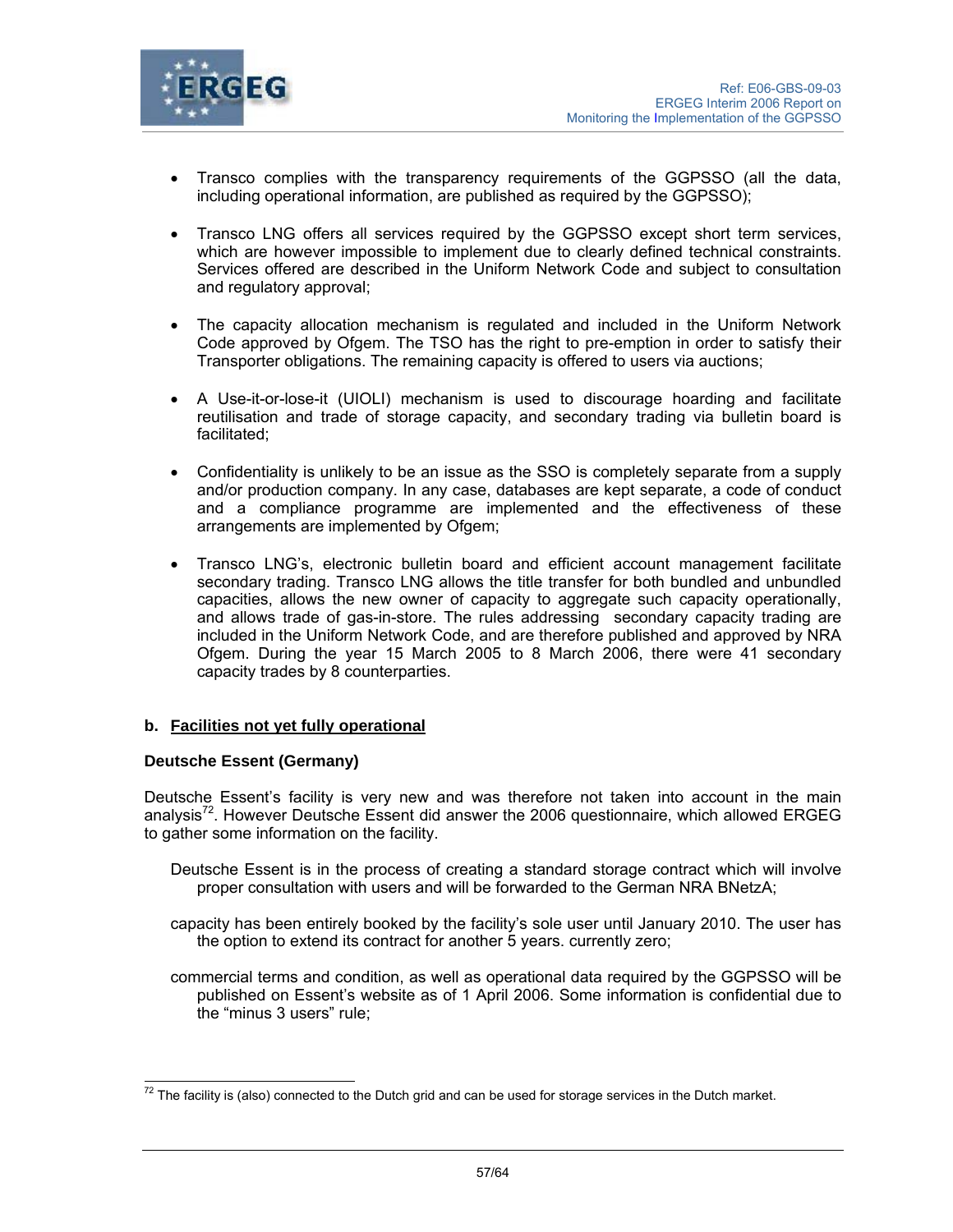

- Transco complies with the transparency requirements of the GGPSSO (all the data, including operational information, are published as required by the GGPSSO);
- Transco LNG offers all services required by the GGPSSO except short term services, which are however impossible to implement due to clearly defined technical constraints. Services offered are described in the Uniform Network Code and subject to consultation and regulatory approval;
- The capacity allocation mechanism is regulated and included in the Uniform Network Code approved by Ofgem. The TSO has the right to pre-emption in order to satisfy their Transporter obligations. The remaining capacity is offered to users via auctions;
- A Use-it-or-lose-it (UIOLI) mechanism is used to discourage hoarding and facilitate reutilisation and trade of storage capacity, and secondary trading via bulletin board is facilitated;
- Confidentiality is unlikely to be an issue as the SSO is completely separate from a supply and/or production company. In any case, databases are kept separate, a code of conduct and a compliance programme are implemented and the effectiveness of these arrangements are implemented by Ofgem:
- Transco LNG's, electronic bulletin board and efficient account management facilitate secondary trading. Transco LNG allows the title transfer for both bundled and unbundled capacities, allows the new owner of capacity to aggregate such capacity operationally, and allows trade of gas-in-store. The rules addressing secondary capacity trading are included in the Uniform Network Code, and are therefore published and approved by NRA Ofgem. During the year 15 March 2005 to 8 March 2006, there were 41 secondary capacity trades by 8 counterparties.

## **b. Facilities not yet fully operational**

## **Deutsche Essent (Germany)**

Deutsche Essent's facility is very new and was therefore not taken into account in the main analysis $72$ . However Deutsche Essent did answer the 2006 questionnaire, which allowed ERGEG to gather some information on the facility.

- Deutsche Essent is in the process of creating a standard storage contract which will involve proper consultation with users and will be forwarded to the German NRA BNetzA;
- capacity has been entirely booked by the facility's sole user until January 2010. The user has the option to extend its contract for another 5 years. currently zero;
- commercial terms and condition, as well as operational data required by the GGPSSO will be published on Essent's website as of 1 April 2006. Some information is confidential due to the "minus 3 users" rule;

 $\overline{a}$  $^{72}$  The facility is (also) connected to the Dutch grid and can be used for storage services in the Dutch market.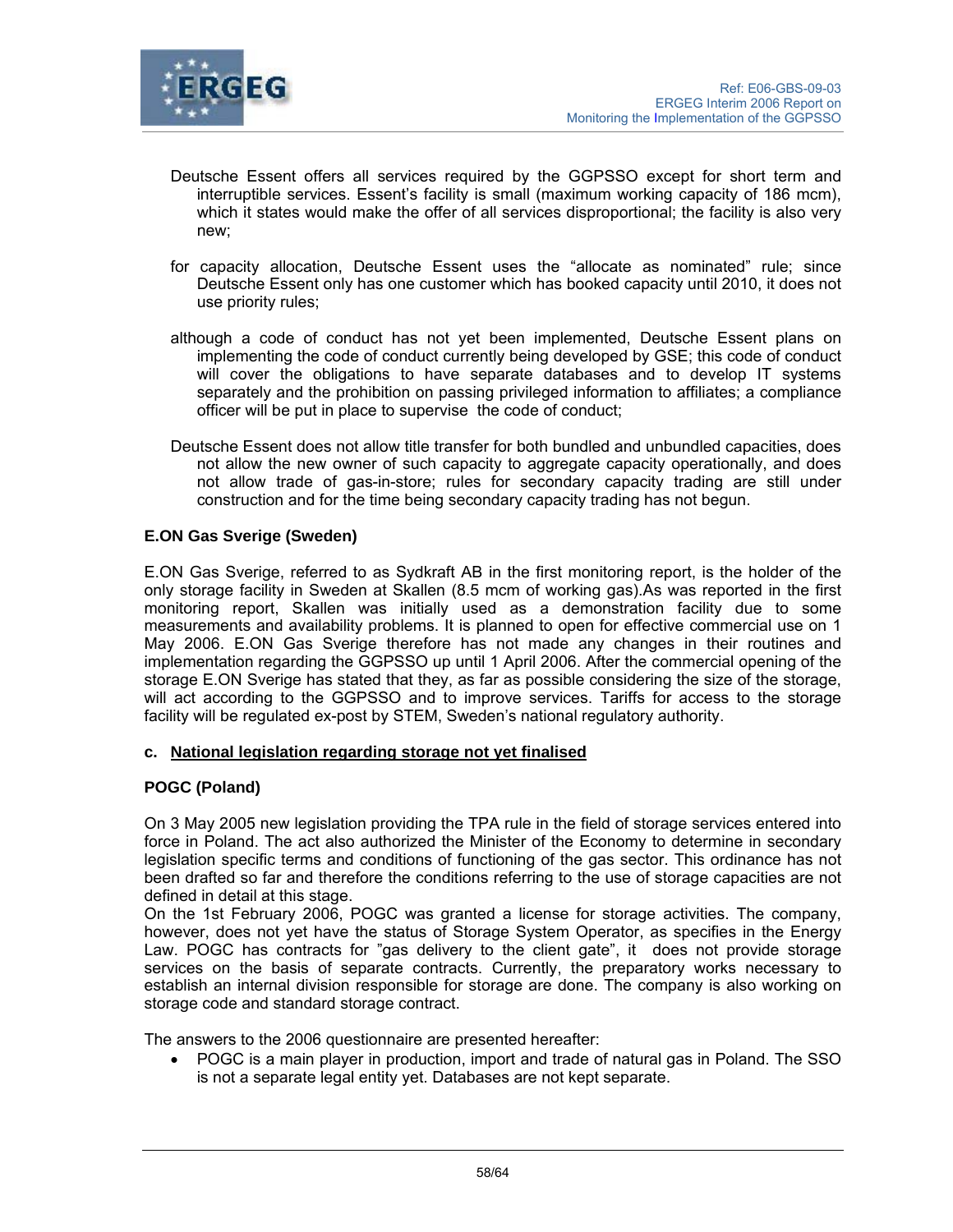

- Deutsche Essent offers all services required by the GGPSSO except for short term and interruptible services. Essent's facility is small (maximum working capacity of 186 mcm), which it states would make the offer of all services disproportional; the facility is also very new;
- for capacity allocation, Deutsche Essent uses the "allocate as nominated" rule; since Deutsche Essent only has one customer which has booked capacity until 2010, it does not use priority rules;
- although a code of conduct has not yet been implemented, Deutsche Essent plans on implementing the code of conduct currently being developed by GSE; this code of conduct will cover the obligations to have separate databases and to develop IT systems separately and the prohibition on passing privileged information to affiliates; a compliance officer will be put in place to supervise the code of conduct;
- Deutsche Essent does not allow title transfer for both bundled and unbundled capacities, does not allow the new owner of such capacity to aggregate capacity operationally, and does not allow trade of gas-in-store; rules for secondary capacity trading are still under construction and for the time being secondary capacity trading has not begun.

## **E.ON Gas Sverige (Sweden)**

E.ON Gas Sverige, referred to as Sydkraft AB in the first monitoring report, is the holder of the only storage facility in Sweden at Skallen (8.5 mcm of working gas).As was reported in the first monitoring report, Skallen was initially used as a demonstration facility due to some measurements and availability problems. It is planned to open for effective commercial use on 1 May 2006. E.ON Gas Sverige therefore has not made any changes in their routines and implementation regarding the GGPSSO up until 1 April 2006. After the commercial opening of the storage E.ON Sverige has stated that they, as far as possible considering the size of the storage, will act according to the GGPSSO and to improve services. Tariffs for access to the storage facility will be regulated ex-post by STEM, Sweden's national regulatory authority.

## **c. National legislation regarding storage not yet finalised**

## **POGC (Poland)**

On 3 May 2005 new legislation providing the TPA rule in the field of storage services entered into force in Poland. The act also authorized the Minister of the Economy to determine in secondary legislation specific terms and conditions of functioning of the gas sector. This ordinance has not been drafted so far and therefore the conditions referring to the use of storage capacities are not defined in detail at this stage.

On the 1st February 2006, POGC was granted a license for storage activities. The company, however, does not yet have the status of Storage System Operator, as specifies in the Energy Law. POGC has contracts for "gas delivery to the client gate", it does not provide storage services on the basis of separate contracts. Currently, the preparatory works necessary to establish an internal division responsible for storage are done. The company is also working on storage code and standard storage contract.

The answers to the 2006 questionnaire are presented hereafter:

• POGC is a main player in production, import and trade of natural gas in Poland. The SSO is not a separate legal entity yet. Databases are not kept separate.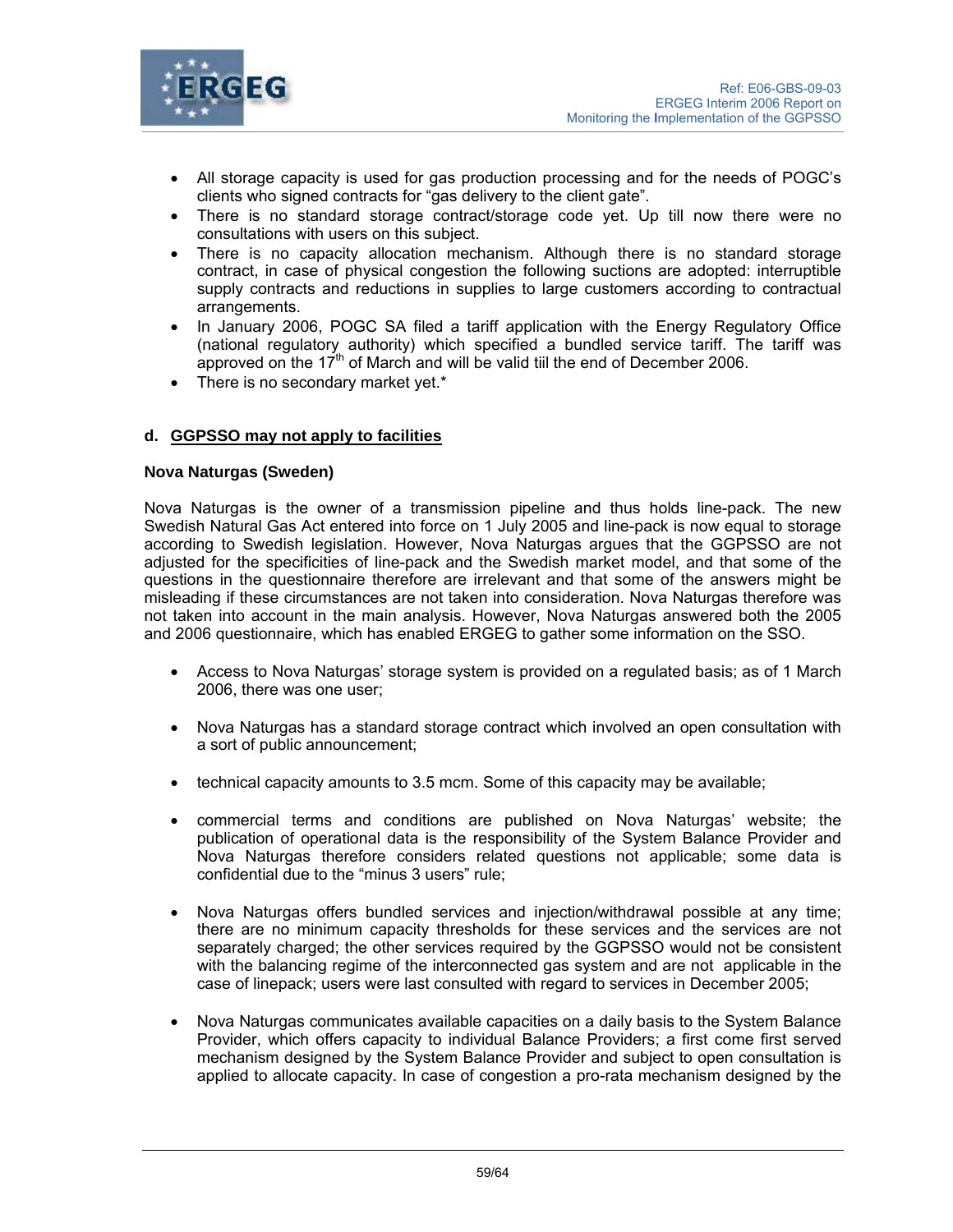

- All storage capacity is used for gas production processing and for the needs of POGC's clients who signed contracts for "gas delivery to the client gate".
- There is no standard storage contract/storage code yet. Up till now there were no consultations with users on this subject.
- There is no capacity allocation mechanism. Although there is no standard storage contract, in case of physical congestion the following suctions are adopted: interruptible supply contracts and reductions in supplies to large customers according to contractual arrangements.
- In January 2006, POGC SA filed a tariff application with the Energy Regulatory Office (national regulatory authority) which specified a bundled service tariff. The tariff was approved on the  $17<sup>th</sup>$  of March and will be valid tiil the end of December 2006.
- There is no secondary market yet.\*

### **d. GGPSSO may not apply to facilities**

#### **Nova Naturgas (Sweden)**

Nova Naturgas is the owner of a transmission pipeline and thus holds line-pack. The new Swedish Natural Gas Act entered into force on 1 July 2005 and line-pack is now equal to storage according to Swedish legislation. However, Nova Naturgas argues that the GGPSSO are not adjusted for the specificities of line-pack and the Swedish market model, and that some of the questions in the questionnaire therefore are irrelevant and that some of the answers might be misleading if these circumstances are not taken into consideration. Nova Naturgas therefore was not taken into account in the main analysis. However, Nova Naturgas answered both the 2005 and 2006 questionnaire, which has enabled ERGEG to gather some information on the SSO.

- Access to Nova Naturgas' storage system is provided on a regulated basis; as of 1 March 2006, there was one user;
- Nova Naturgas has a standard storage contract which involved an open consultation with a sort of public announcement;
- technical capacity amounts to 3.5 mcm. Some of this capacity may be available;
- commercial terms and conditions are published on Nova Naturgas' website; the publication of operational data is the responsibility of the System Balance Provider and Nova Naturgas therefore considers related questions not applicable; some data is confidential due to the "minus 3 users" rule;
- Nova Naturgas offers bundled services and injection/withdrawal possible at any time; there are no minimum capacity thresholds for these services and the services are not separately charged; the other services required by the GGPSSO would not be consistent with the balancing regime of the interconnected gas system and are not applicable in the case of linepack; users were last consulted with regard to services in December 2005;
- Nova Naturgas communicates available capacities on a daily basis to the System Balance Provider, which offers capacity to individual Balance Providers; a first come first served mechanism designed by the System Balance Provider and subject to open consultation is applied to allocate capacity. In case of congestion a pro-rata mechanism designed by the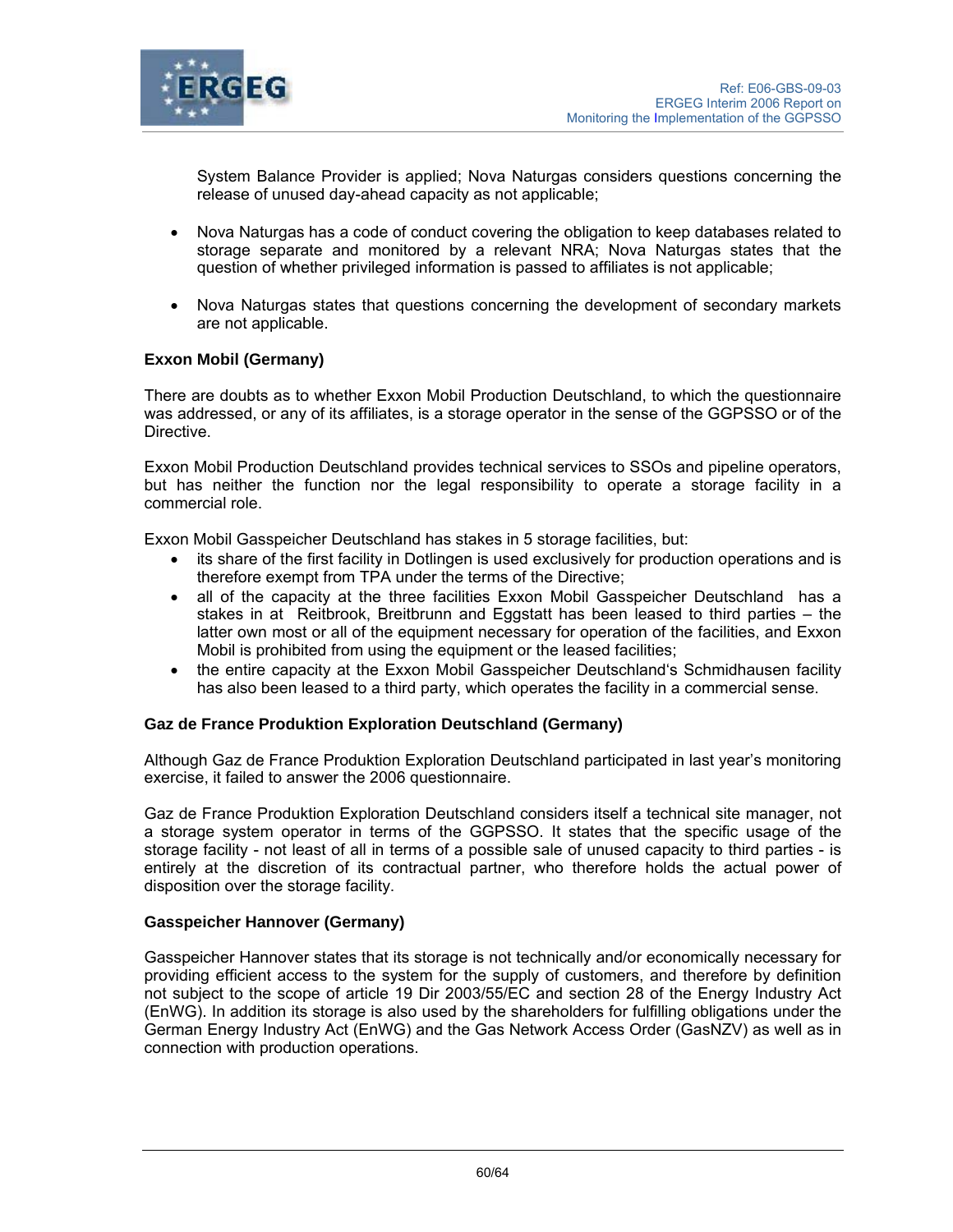

System Balance Provider is applied; Nova Naturgas considers questions concerning the release of unused day-ahead capacity as not applicable;

- Nova Naturgas has a code of conduct covering the obligation to keep databases related to storage separate and monitored by a relevant NRA; Nova Naturgas states that the question of whether privileged information is passed to affiliates is not applicable;
- Nova Naturgas states that questions concerning the development of secondary markets are not applicable.

## **Exxon Mobil (Germany)**

There are doubts as to whether Exxon Mobil Production Deutschland, to which the questionnaire was addressed, or any of its affiliates, is a storage operator in the sense of the GGPSSO or of the Directive.

Exxon Mobil Production Deutschland provides technical services to SSOs and pipeline operators, but has neither the function nor the legal responsibility to operate a storage facility in a commercial role.

Exxon Mobil Gasspeicher Deutschland has stakes in 5 storage facilities, but:

- its share of the first facility in Dotlingen is used exclusively for production operations and is therefore exempt from TPA under the terms of the Directive;
- all of the capacity at the three facilities Exxon Mobil Gasspeicher Deutschland has a stakes in at Reitbrook, Breitbrunn and Eggstatt has been leased to third parties – the latter own most or all of the equipment necessary for operation of the facilities, and Exxon Mobil is prohibited from using the equipment or the leased facilities;
- the entire capacity at the Exxon Mobil Gasspeicher Deutschland's Schmidhausen facility has also been leased to a third party, which operates the facility in a commercial sense.

#### **Gaz de France Produktion Exploration Deutschland (Germany)**

Although Gaz de France Produktion Exploration Deutschland participated in last year's monitoring exercise, it failed to answer the 2006 questionnaire.

Gaz de France Produktion Exploration Deutschland considers itself a technical site manager, not a storage system operator in terms of the GGPSSO. It states that the specific usage of the storage facility - not least of all in terms of a possible sale of unused capacity to third parties - is entirely at the discretion of its contractual partner, who therefore holds the actual power of disposition over the storage facility.

#### **Gasspeicher Hannover (Germany)**

Gasspeicher Hannover states that its storage is not technically and/or economically necessary for providing efficient access to the system for the supply of customers, and therefore by definition not subject to the scope of article 19 Dir 2003/55/EC and section 28 of the Energy Industry Act (EnWG). In addition its storage is also used by the shareholders for fulfilling obligations under the German Energy Industry Act (EnWG) and the Gas Network Access Order (GasNZV) as well as in connection with production operations.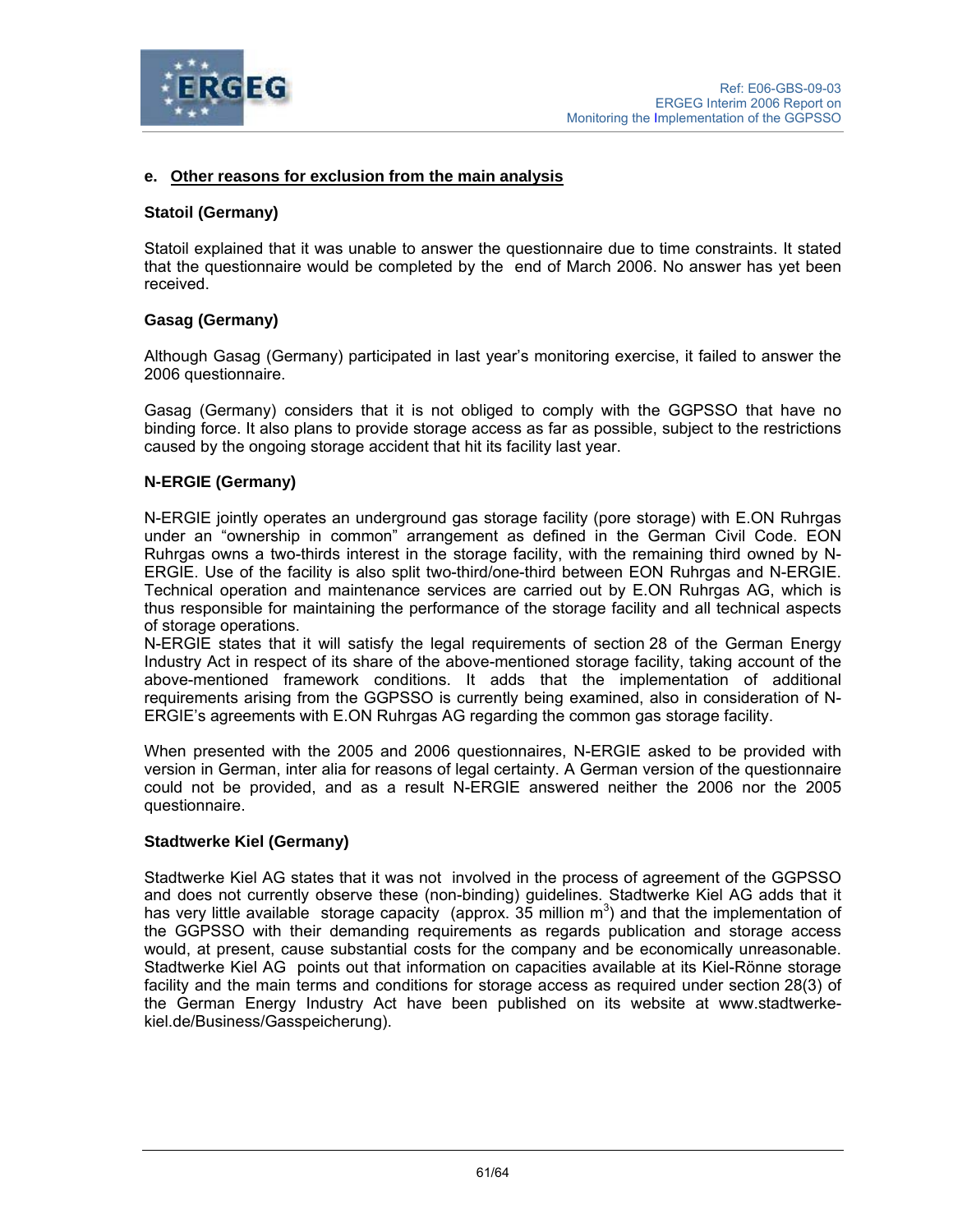

## **e. Other reasons for exclusion from the main analysis**

#### **Statoil (Germany)**

Statoil explained that it was unable to answer the questionnaire due to time constraints. It stated that the questionnaire would be completed by the end of March 2006. No answer has yet been received.

### **Gasag (Germany)**

Although Gasag (Germany) participated in last year's monitoring exercise, it failed to answer the 2006 questionnaire.

Gasag (Germany) considers that it is not obliged to comply with the GGPSSO that have no binding force. It also plans to provide storage access as far as possible, subject to the restrictions caused by the ongoing storage accident that hit its facility last year.

### **N-ERGIE (Germany)**

N-ERGIE jointly operates an underground gas storage facility (pore storage) with E.ON Ruhrgas under an "ownership in common" arrangement as defined in the German Civil Code. EON Ruhrgas owns a two-thirds interest in the storage facility, with the remaining third owned by N-ERGIE. Use of the facility is also split two-third/one-third between EON Ruhrgas and N-ERGIE. Technical operation and maintenance services are carried out by E.ON Ruhrgas AG, which is thus responsible for maintaining the performance of the storage facility and all technical aspects of storage operations.

N-ERGIE states that it will satisfy the legal requirements of section 28 of the German Energy Industry Act in respect of its share of the above-mentioned storage facility, taking account of the above-mentioned framework conditions. It adds that the implementation of additional requirements arising from the GGPSSO is currently being examined, also in consideration of N-ERGIE's agreements with E.ON Ruhrgas AG regarding the common gas storage facility.

When presented with the 2005 and 2006 questionnaires, N-ERGIE asked to be provided with version in German, inter alia for reasons of legal certainty. A German version of the questionnaire could not be provided, and as a result N-ERGIE answered neither the 2006 nor the 2005 questionnaire.

#### **Stadtwerke Kiel (Germany)**

Stadtwerke Kiel AG states that it was not involved in the process of agreement of the GGPSSO and does not currently observe these (non-binding) guidelines. Stadtwerke Kiel AG adds that it has very little available storage capacity (approx.  $35$  million m<sup>3</sup>) and that the implementation of the GGPSSO with their demanding requirements as regards publication and storage access would, at present, cause substantial costs for the company and be economically unreasonable. Stadtwerke Kiel AG points out that information on capacities available at its Kiel-Rönne storage facility and the main terms and conditions for storage access as required under section 28(3) of the German Energy Industry Act have been published on its website at www.stadtwerkekiel.de/Business/Gasspeicherung).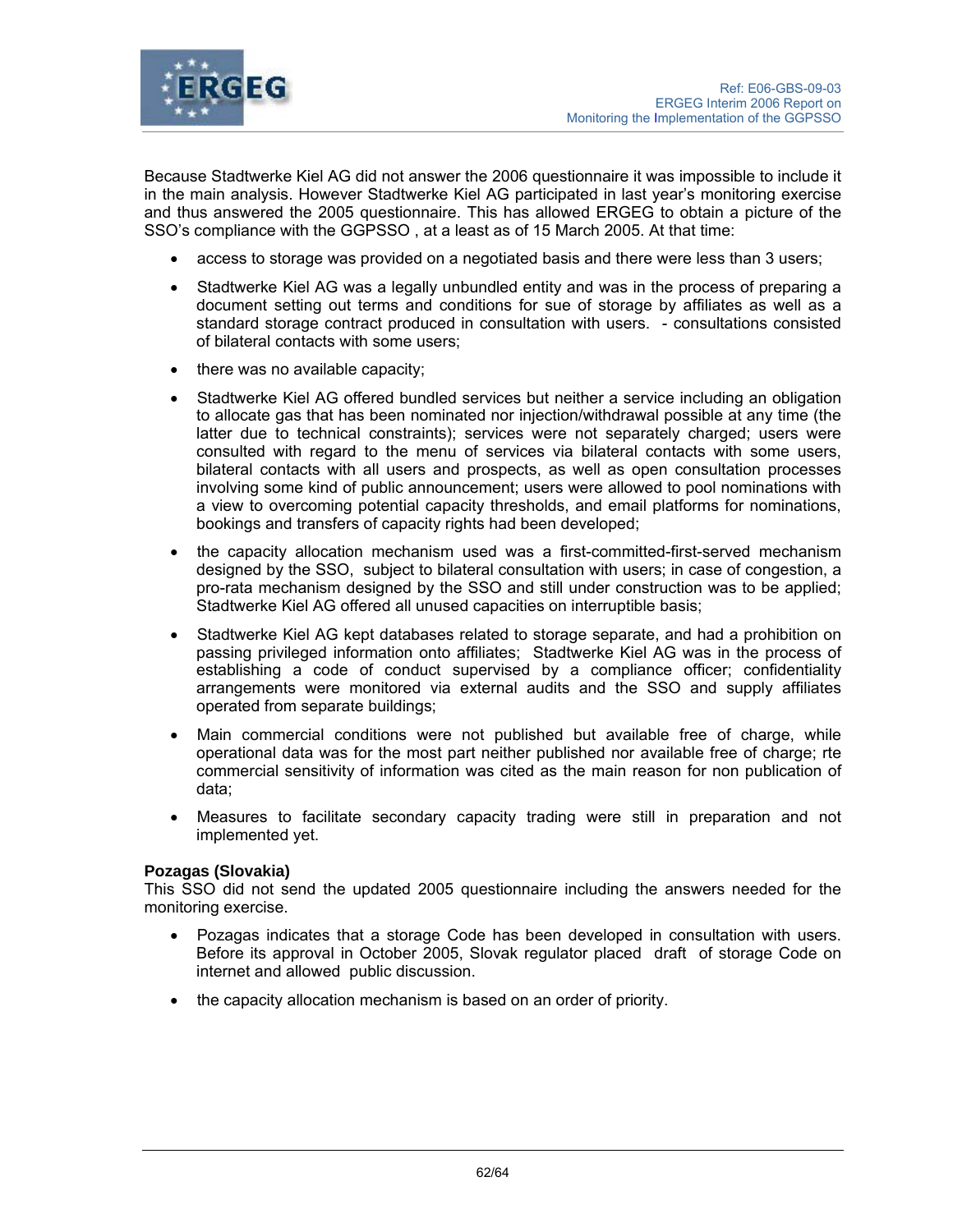

Because Stadtwerke Kiel AG did not answer the 2006 questionnaire it was impossible to include it in the main analysis. However Stadtwerke Kiel AG participated in last year's monitoring exercise and thus answered the 2005 questionnaire. This has allowed ERGEG to obtain a picture of the SSO's compliance with the GGPSSO , at a least as of 15 March 2005. At that time:

- access to storage was provided on a negotiated basis and there were less than 3 users;
- Stadtwerke Kiel AG was a legally unbundled entity and was in the process of preparing a document setting out terms and conditions for sue of storage by affiliates as well as a standard storage contract produced in consultation with users. - consultations consisted of bilateral contacts with some users;
- there was no available capacity;
- Stadtwerke Kiel AG offered bundled services but neither a service including an obligation to allocate gas that has been nominated nor injection/withdrawal possible at any time (the latter due to technical constraints); services were not separately charged; users were consulted with regard to the menu of services via bilateral contacts with some users, bilateral contacts with all users and prospects, as well as open consultation processes involving some kind of public announcement; users were allowed to pool nominations with a view to overcoming potential capacity thresholds, and email platforms for nominations, bookings and transfers of capacity rights had been developed;
- the capacity allocation mechanism used was a first-committed-first-served mechanism designed by the SSO, subject to bilateral consultation with users; in case of congestion, a pro-rata mechanism designed by the SSO and still under construction was to be applied; Stadtwerke Kiel AG offered all unused capacities on interruptible basis;
- Stadtwerke Kiel AG kept databases related to storage separate, and had a prohibition on passing privileged information onto affiliates; Stadtwerke Kiel AG was in the process of establishing a code of conduct supervised by a compliance officer; confidentiality arrangements were monitored via external audits and the SSO and supply affiliates operated from separate buildings;
- Main commercial conditions were not published but available free of charge, while operational data was for the most part neither published nor available free of charge; rte commercial sensitivity of information was cited as the main reason for non publication of data;
- Measures to facilitate secondary capacity trading were still in preparation and not implemented yet.

#### **Pozagas (Slovakia)**

This SSO did not send the updated 2005 questionnaire including the answers needed for the monitoring exercise.

- Pozagas indicates that a storage Code has been developed in consultation with users. Before its approval in October 2005, Slovak regulator placed draft of storage Code on internet and allowed public discussion.
- the capacity allocation mechanism is based on an order of priority.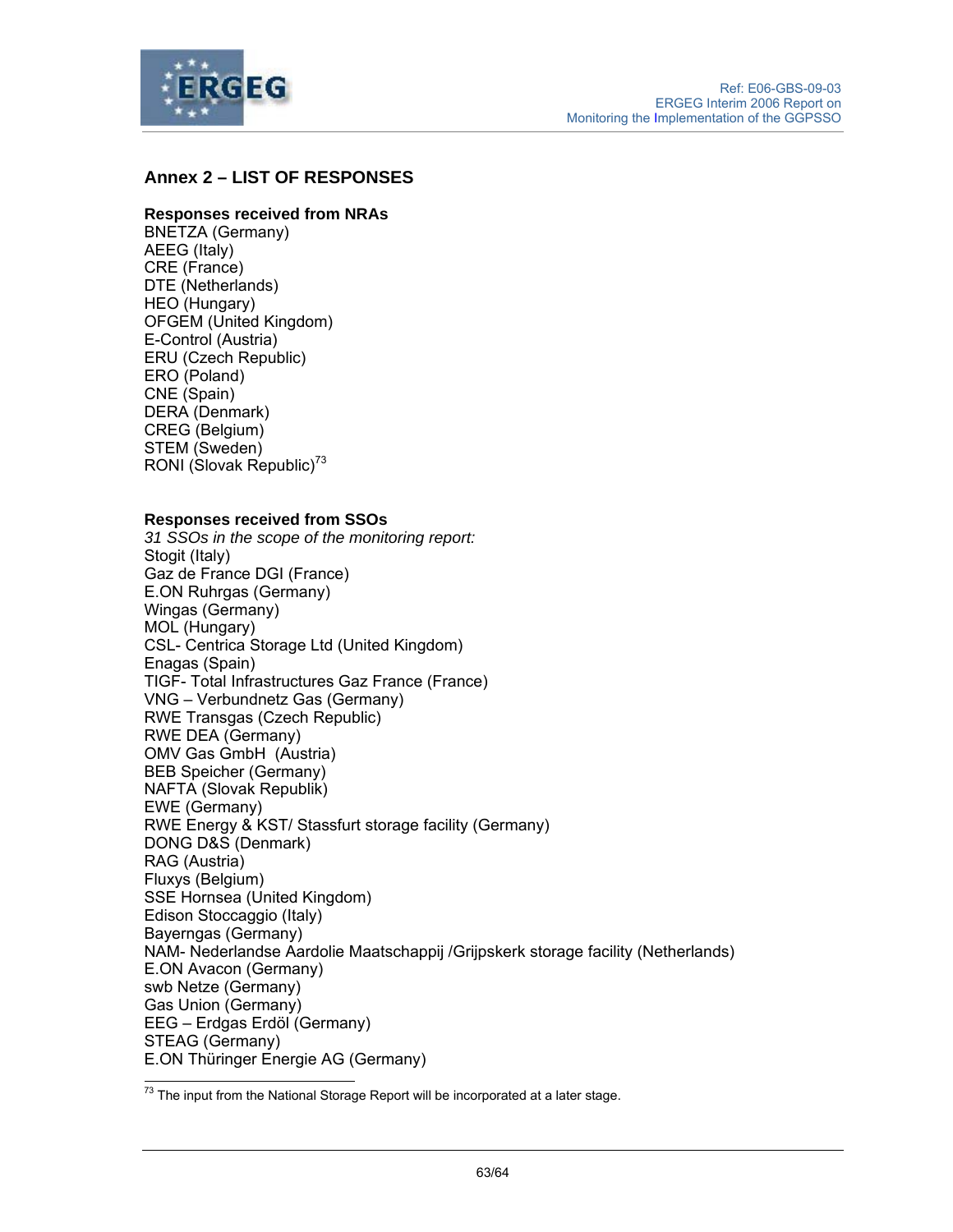

# **Annex 2 – LIST OF RESPONSES**

#### **Responses received from NRAs**

BNETZA (Germany) AEEG (Italy) CRE (France) DTE (Netherlands) HEO (Hungary) OFGEM (United Kingdom) E-Control (Austria) ERU (Czech Republic) ERO (Poland) CNE (Spain) DERA (Denmark) CREG (Belgium) STEM (Sweden) RONI (Slovak Republic) $^{73}$ 

#### **Responses received from SSOs**

*31 SSOs in the scope of the monitoring report:* Stogit (Italy) Gaz de France DGI (France) E.ON Ruhrgas (Germany) Wingas (Germany) MOL (Hungary) CSL- Centrica Storage Ltd (United Kingdom) Enagas (Spain) TIGF- Total Infrastructures Gaz France (France) VNG – Verbundnetz Gas (Germany) RWE Transgas (Czech Republic) RWE DEA (Germany) OMV Gas GmbH (Austria) BEB Speicher (Germany) NAFTA (Slovak Republik) EWE (Germany) RWE Energy & KST/ Stassfurt storage facility (Germany) DONG D&S (Denmark) RAG (Austria) Fluxys (Belgium) SSE Hornsea (United Kingdom) Edison Stoccaggio (Italy) Bayerngas (Germany) NAM- Nederlandse Aardolie Maatschappij /Grijpskerk storage facility (Netherlands) E.ON Avacon (Germany) swb Netze (Germany) Gas Union (Germany) EEG – Erdgas Erdöl (Germany) STEAG (Germany) E.ON Thüringer Energie AG (Germany)  $\overline{a}$ 

 $^{73}$  The input from the National Storage Report will be incorporated at a later stage.